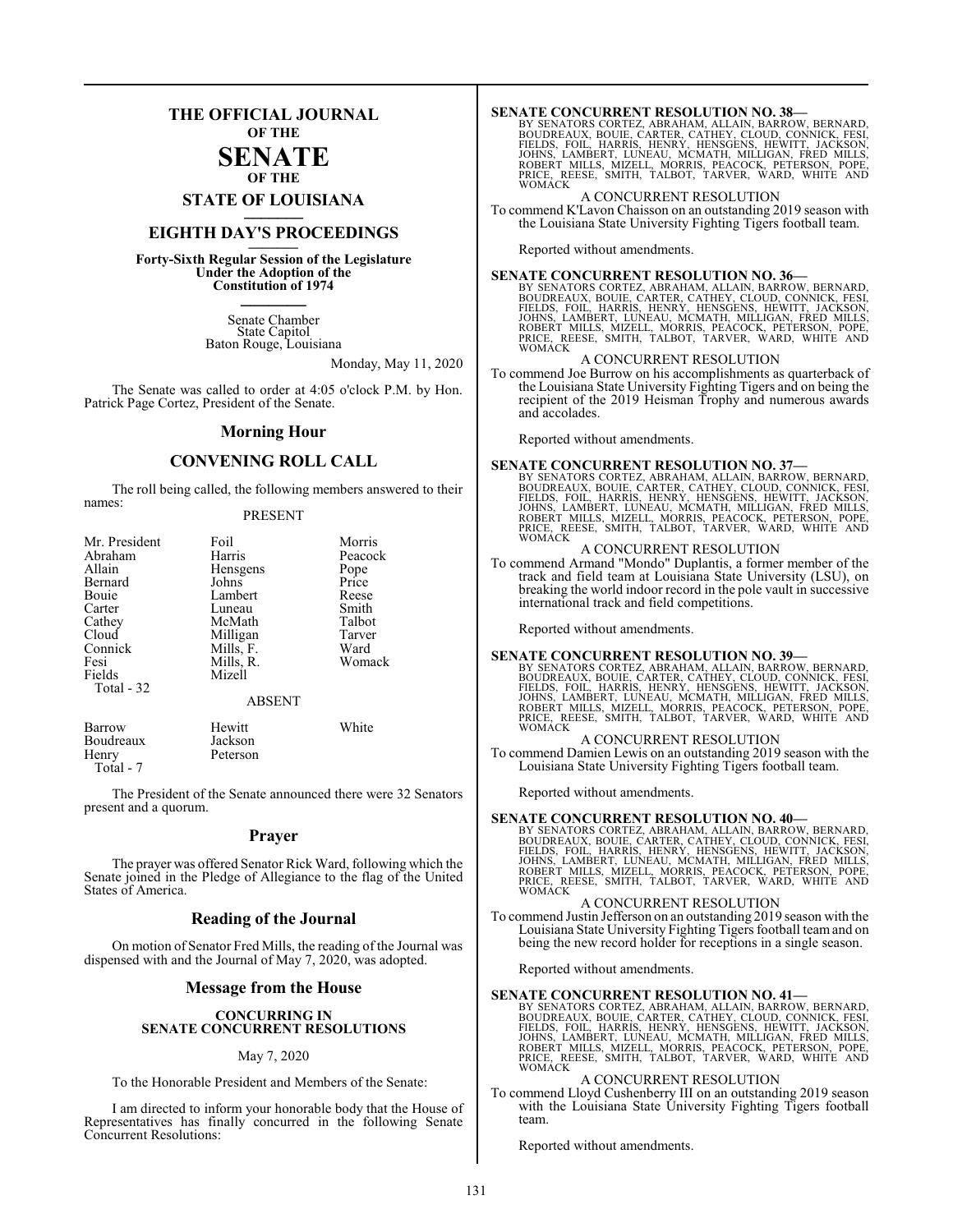## **THE OFFICIAL JOURNAL OF THE**

#### **SENATE OF THE**

**STATE OF LOUISIANA \_\_\_\_\_\_\_**

# **EIGHTH DAY'S PROCEEDINGS \_\_\_\_\_\_\_**

**Forty-Sixth Regular Session of the Legislature Under the Adoption of the Constitution of 1974 \_\_\_\_\_\_\_**

> Senate Chamber State Capitol Baton Rouge, Louisiana

> > Monday, May 11, 2020

The Senate was called to order at 4:05 o'clock P.M. by Hon. Patrick Page Cortez, President of the Senate.

#### **Morning Hour**

### **CONVENING ROLL CALL**

The roll being called, the following members answered to their names:

#### PRESENT

| Mr. President | Foil          | Morris  |
|---------------|---------------|---------|
| Abraham       | Harris        | Peacock |
| Allain        | Hensgens      | Pope    |
| Bernard       | Johns         | Price   |
| Bouie         | Lambert       | Reese   |
| Carter        | Luneau        | Smith   |
| Cathey        | McMath        | Talbot  |
| Cloud         | Milligan      | Tarver  |
| Connick       | Mills, F.     | Ward    |
| Fesi          | Mills, R.     | Womack  |
| Fields        | Mizell        |         |
| Total - 32    |               |         |
|               | <b>ABSENT</b> |         |
| Barrow        | Hewitt        | White   |
| Boudreaux     | Jackson       |         |
| Henry         | Peterson      |         |

The President of the Senate announced there were 32 Senators present and a quorum.

Total - 7

#### **Prayer**

The prayer was offered Senator Rick Ward, following which the Senate joined in the Pledge of Allegiance to the flag of the United States of America.

#### **Reading of the Journal**

On motion of Senator Fred Mills, the reading of the Journal was dispensed with and the Journal of May 7, 2020, was adopted.

#### **Message from the House**

#### **CONCURRING IN SENATE CONCURRENT RESOLUTIONS**

#### May 7, 2020

To the Honorable President and Members of the Senate:

I am directed to inform your honorable body that the House of Representatives has finally concurred in the following Senate Concurrent Resolutions:

**SENATE CONCURRENT RESOLUTION NO. 38**<br>BY SENATORS CORTEZ, ABRAHAM, ALLAIN, BARROW, BERNARD,<br>BOUDREAUX, BOUIE, CARTER, CATHEY, CLOUD, CONNICK, FESI,<br>FIELDS, FOIL, HARRIS, HENRY, HENSGENS, HEWITT, JACKSON,<br>JOHNS, LAMBERT, LU

#### A CONCURRENT RESOLUTION

To commend K'Lavon Chaisson on an outstanding 2019 season with the Louisiana State University Fighting Tigers football team.

Reported without amendments.

**SENATE CONCURRENT RESOLUTION NO. 36**<br>BY SENATORS CORTEZ, ABRAHAM, ALLAIN, BARROW, BERNARD,<br>BOUDREAUX, BOUIE, CARTER, CATHEY, CLOUD, CONNICK, FESI,<br>FIELDS, FOIL, HARRIS, HENRY, HENSGENS, HEWITT, JACKSON,<br>JOHNS, LAMBERT, LU WOMACK

#### A CONCURRENT RESOLUTION

To commend Joe Burrow on his accomplishments as quarterback of the Louisiana State University Fighting Tigers and on being the recipient of the 2019 Heisman Trophy and numerous awards and accolades.

Reported without amendments.

SENATE CONCURRENT RESOLUTION NO. 37—BY SENATORS CORTEZ, ABRAHAM, ALLAIN, BARROW, BERNARD, BOUDREAUX, BOURCH, CARTER, CATHEY, CLOUD, CONNICK, FESI, FIELDS, FOIL, HARRIS, HENRY, HENSGENS, HEWITT, JACKSON, JOHNS, LAMBERT, LUN

#### A CONCURRENT RESOLUTION

To commend Armand "Mondo" Duplantis, a former member of the track and field team at Louisiana State University (LSU), on breaking the world indoor record in the pole vault in successive international track and field competitions.

Reported without amendments.

#### **SENATE CONCURRENT RESOLUTION NO. 39—**

BY SENATORS CORTEZ, ABRAHAM, ALLAIN, BARROW, BERNARD,<br>BOUDREAUX, BOUIE, CARTER, CATHEY, CLOUD, CONNICK, FESI,<br>FIELDS, FOIL, HARRIS, HENRY, HENSGENS, HEWITT, JACKSON,<br>JOHNS, LAMBERT, LUNEAU, MCMATH, MILLIGAN, FRED MILLS,<br>RO

#### A CONCURRENT RESOLUTION

To commend Damien Lewis on an outstanding 2019 season with the Louisiana State University Fighting Tigers football team.

Reported without amendments.

#### **SENATE CONCURRENT RESOLUTION NO. 40—**

BY SENATORS CORTEZ, ABRAHAM, ALLAIN, BARROW, BERNARD,<br>BOUDREAUX, BOUIE, CARTER, CATHEY, CLOUD, CONNICK, FESI,<br>FIELDS, FOIL, HARRIS, HENRY, HENSGENS, HEWITT, JACKSON,<br>JOHNS, LAMBERT, LUNEAU, MCMATH, MILLIGAN, FRED MILLS,<br>RO WOMACK

#### A CONCURRENT RESOLUTION

To commend Justin Jefferson on an outstanding 2019 season with the Louisiana State University Fighting Tigers football teamand on being the new record holder for receptions in a single season.

Reported without amendments.

#### **SENATE CONCURRENT RESOLUTION NO. 41—**

BY SENATORS CORTEZ, ABRAHAM, ALLAIN, BARROW, BERNARD,<br>BOUDREAUX, BOUIE, CARTER, CATHEY, CLOUD, CONNICK, FEILDS, FOIL, HARRIS, HENRY, HENSGENS, HEWITT, JACKSON,<br>JOHNS, LAMBERT, LUNEAU, MCMATH, MILLIGAN, FRED MILLS,<br>ROBERT M WOMACK

#### A CONCURRENT RESOLUTION

To commend Lloyd Cushenberry III on an outstanding 2019 season with the Louisiana State University Fighting Tigers football team.

Reported without amendments.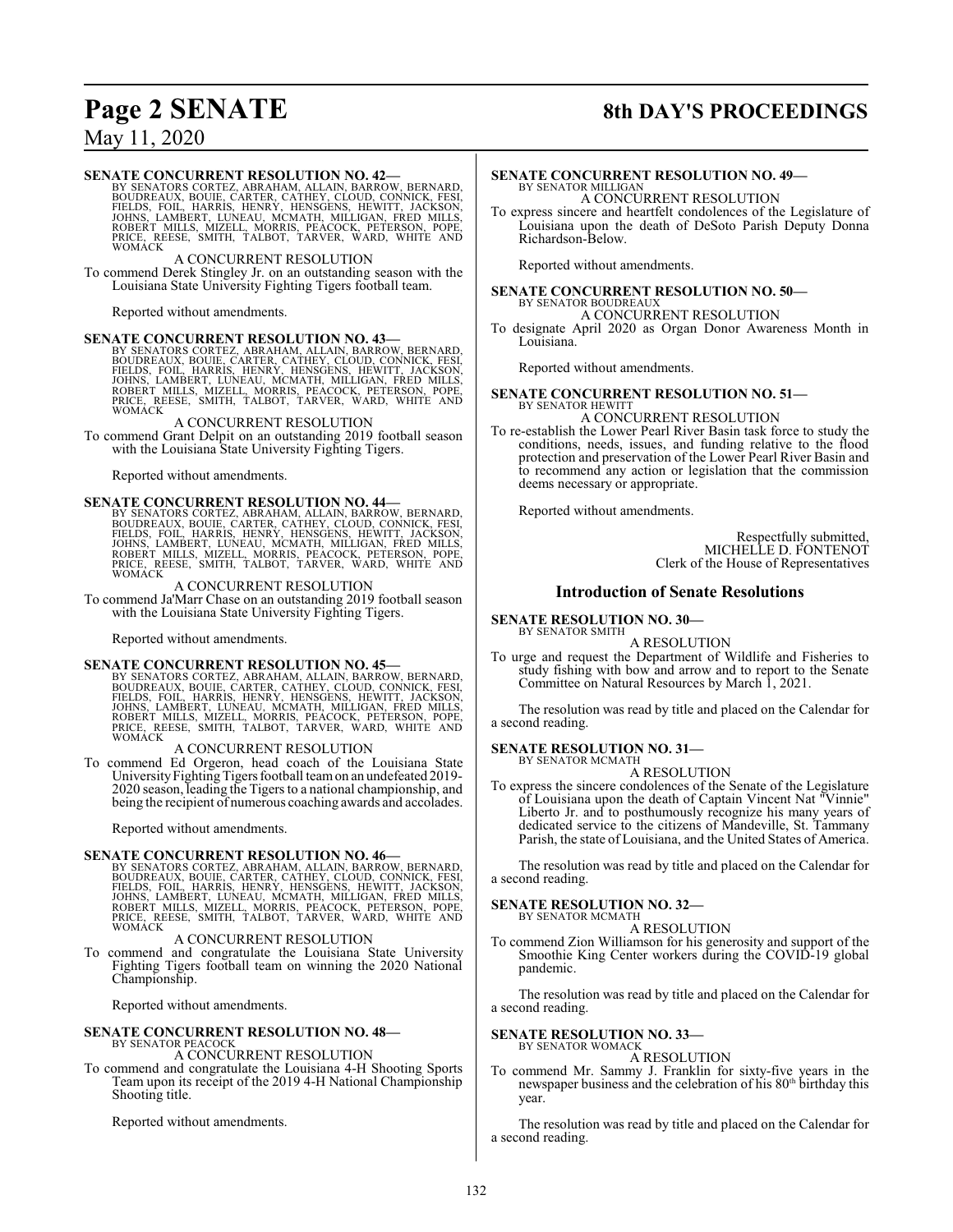# **Page 2 SENATE 8th DAY'S PROCEEDINGS**

## May 11, 2020

SENATE CONCURRENT RESOLUTION NO. 42—BY SENATORS CORTEZ, ABRAHAM, ALLAIN, BARROW, BERNARD, BOUDREAUX, BOURC, CARTER, CATHEY, CLOUD, CONNICK, FESI, FIELDS, FOIL, HARRIS, HENRY, HENSGENS, HEWITT, JACKSON, JOHNS, LAMBERT, LUNE

#### A CONCURRENT RESOLUTION

To commend Derek Stingley Jr. on an outstanding season with the Louisiana State University Fighting Tigers football team.

Reported without amendments.

#### **SENATE CONCURRENT RESOLUTION NO. 43—**

BY SENATORS CORTEZ, ABRAHAM, ALLAIN, BARROW, BERNARD,<br>BOUDREAUX, BOUIE, CARTER, CATHEY, CLOUD, CONNICK, FESI,<br>FIELDS, FOIL, HARRIS, HENRY, HENSGENS, HEWITT, JACKSON,<br>JOHNS, LAMBERT, LUNEAU, MCMATH, MILLIGAN, FRED MILLS,<br>RO

#### A CONCURRENT RESOLUTION

To commend Grant Delpit on an outstanding 2019 football season with the Louisiana State University Fighting Tigers.

Reported without amendments.

SENATE CONCURRENT RESOLUTION NO. 44-BY SENATORS CORTEZ, ABRAHAM, ALLAIN, BARROW, BERNARD, BOUDREAUX, BOURC, CARTER, CATHEY, CLOUD, CONNICK, FESI, FIELDS, FOIL, HARRIS, HENRY, HENSGENS, HEWITT, JACKSON, JOHNS, LAMBERT, LUNE

#### A CONCURRENT RESOLUTION

To commend Ja'Marr Chase on an outstanding 2019 football season with the Louisiana State University Fighting Tigers.

Reported without amendments.

**SENATE CONCURRENT RESOLUTION NO. 45—**<br>BY SENATORS CORTEZ, ABRAHAM, ALLAIN, BARROW, BERNARD,<br>BOUDREAUX, BOUIE, CARTER, CATHEY, CLOUD, CONNICK, FESI,<br>FIELDS, FOIL, HARRIS, HENRY, HENSGENS, HEWITT, JACKSON,<br>JOHNS, LAMBERT, L

#### A CONCURRENT RESOLUTION

To commend Ed Orgeron, head coach of the Louisiana State University Fighting Tigers football team on an undefeated 2019-2020 season, leading the Tigers to a national championship, and being the recipient of numerous coaching awards and accolades.

Reported without amendments.

# **SENATE CONCURRENT RESOLUTION NO. 46—** BY SENATORS CORTEZ, ABRAHAM, ALLAIN, BARROW, BERNARD,

BOUDREAUX, BOUIE, CARTER, CATHEY, CLOUD, CONNICK, FESI,<br>FIELDS, FOIL, HARRIS, HENRY, HENSGENS, HEWITT, JACKSON,<br>JOHNS, LAMBERT, LUNEAU, MCMATH, MILLIGAN, FRED MILLS,<br>ROBERT MILLS, MIZELL, MORRIS, PEACOCK, PETERSON, POPE,<br>P WOMACK

#### A CONCURRENT RESOLUTION

To commend and congratulate the Louisiana State University Fighting Tigers football team on winning the 2020 National Championship.

Reported without amendments.

## **SENATE CONCURRENT RESOLUTION NO. 48—**

# BY SENATOR PEACOCK A CONCURRENT RESOLUTION

To commend and congratulate the Louisiana 4-H Shooting Sports Team upon its receipt of the 2019 4-H National Championship Shooting title.

Reported without amendments.

## **SENATE CONCURRENT RESOLUTION NO. 49—** BY SENATOR MILLIGAN A CONCURRENT RESOLUTION

To express sincere and heartfelt condolences of the Legislature of

Louisiana upon the death of DeSoto Parish Deputy Donna Richardson-Below.

Reported without amendments.

#### **SENATE CONCURRENT RESOLUTION NO. 50—** BY SENATOR BOUDREAU. A CONCURRENT RESOLUTION

To designate April 2020 as Organ Donor Awareness Month in Louisiana.

Reported without amendments.

#### **SENATE CONCURRENT RESOLUTION NO. 51—** BY SENATOR HEWITT

A CONCURRENT RESOLUTION

To re-establish the Lower Pearl River Basin task force to study the conditions, needs, issues, and funding relative to the flood protection and preservation of the Lower Pearl River Basin and to recommend any action or legislation that the commission deems necessary or appropriate.

Reported without amendments.

Respectfully submitted, MICHELLE D. FONTENOT Clerk of the House of Representatives

#### **Introduction of Senate Resolutions**

## **SENATE RESOLUTION NO. 30—**

BY SENATOR SMITH

A RESOLUTION

To urge and request the Department of Wildlife and Fisheries to study fishing with bow and arrow and to report to the Senate Committee on Natural Resources by March 1, 2021.

The resolution was read by title and placed on the Calendar for a second reading.

# **SENATE RESOLUTION NO. 31—**<br>BY SENATOR MCMATH

A RESOLUTION

To express the sincere condolences of the Senate of the Legislature of Louisiana upon the death of Captain Vincent Nat "Vinnie" Liberto Jr. and to posthumously recognize his many years of dedicated service to the citizens of Mandeville, St. Tammany Parish, the state of Louisiana, and the United States of America.

The resolution was read by title and placed on the Calendar for a second reading.

#### **SENATE RESOLUTION NO. 32—** BY SENATOR MCMATH

A RESOLUTION

To commend Zion Williamson for his generosity and support of the Smoothie King Center workers during the COVID-19 global pandemic.

The resolution was read by title and placed on the Calendar for a second reading.

#### **SENATE RESOLUTION NO. 33—**

BY SENATOR WOMACK A RESOLUTION

To commend Mr. Sammy J. Franklin for sixty-five years in the newspaper business and the celebration of his 80<sup>th</sup> birthday this year.

The resolution was read by title and placed on the Calendar for a second reading.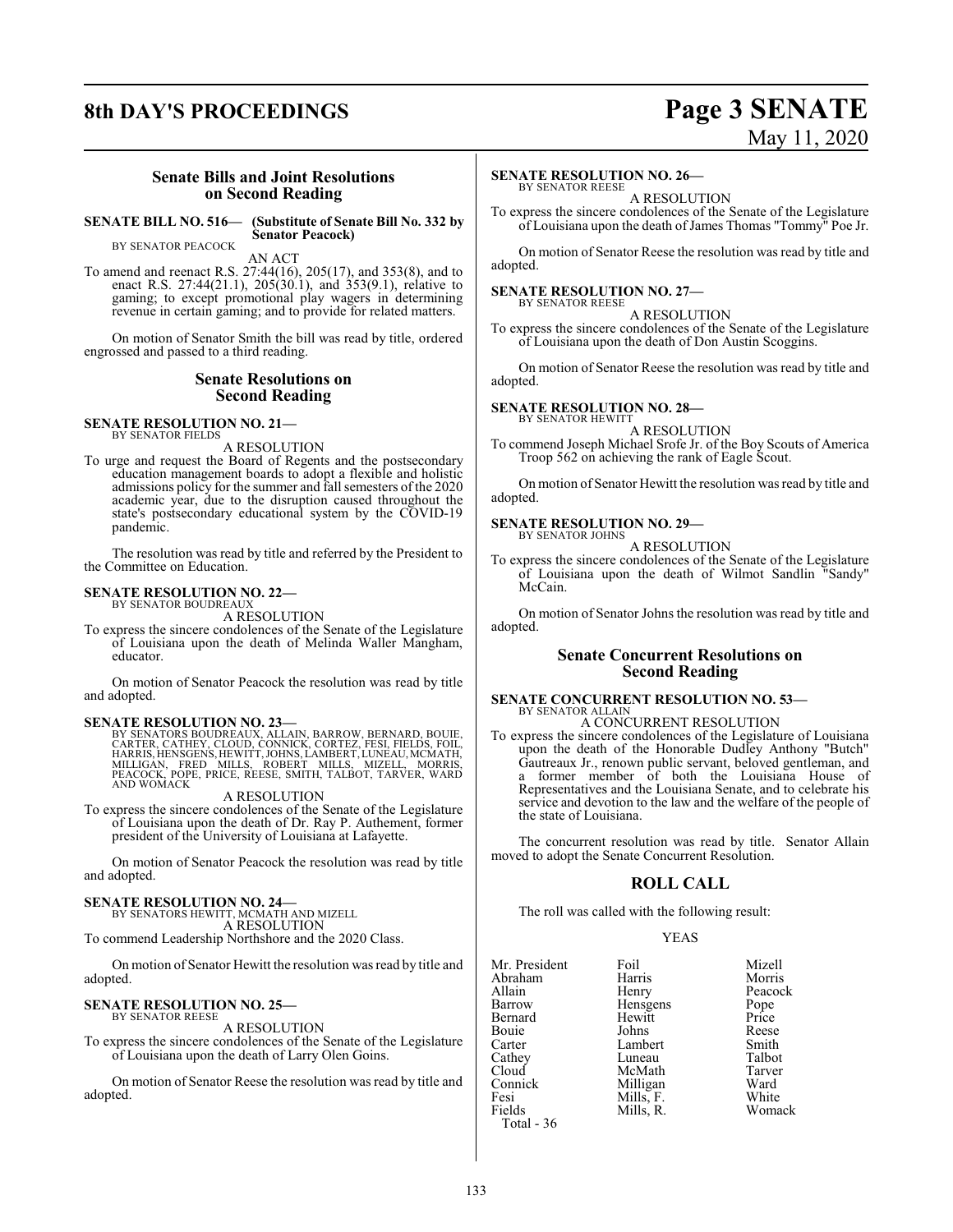# **8th DAY'S PROCEEDINGS Page 3 SENATE**

# May 11, 2020

#### **Senate Bills and Joint Resolutions on Second Reading**

**SENATE BILL NO. 516— (Substitute of Senate Bill No. 332 by Senator Peacock)** BY SENATOR PEACOCK

AN ACT

To amend and reenact R.S. 27:44(16), 205(17), and 353(8), and to enact R.S. 27:44(21.1), 205(30.1), and 353(9.1), relative to gaming; to except promotional play wagers in determining revenue in certain gaming; and to provide for related matters.

On motion of Senator Smith the bill was read by title, ordered engrossed and passed to a third reading.

#### **Senate Resolutions on Second Reading**

#### **SENATE RESOLUTION NO. 21—** BY SENATOR FIELDS

A RESOLUTION

To urge and request the Board of Regents and the postsecondary education management boards to adopt a flexible and holistic admissions policy for the summer and fall semesters of the 2020 academic year, due to the disruption caused throughout the state's postsecondary educational system by the COVID-19 pandemic.

The resolution was read by title and referred by the President to the Committee on Education.

#### **SENATE RESOLUTION NO. 22—** BY SENATOR BOUDREAUX

A RESOLUTION

To express the sincere condolences of the Senate of the Legislature of Louisiana upon the death of Melinda Waller Mangham, educator.

On motion of Senator Peacock the resolution was read by title and adopted.

#### **SENATE RESOLUTION NO. 23—**

BY SENATORS BOUDREAUX, ALLAIN, BARROW, BERNARD, BOUIE,<br>CARTER, CATHEY, CLOUD, CONNICK, CORTEZ, FESI, FIELDS, FOIL,<br>HARRIS, HENSGENS, HEWITT, JOHNS, LAMBERT, LUNEAU, MCMATH,<br>MILLIGAN, FRED MILLS, ROBERT MILLS, MIZELL, MORRI

#### A RESOLUTION

To express the sincere condolences of the Senate of the Legislature of Louisiana upon the death of Dr. Ray P. Authement, former president of the University of Louisiana at Lafayette.

On motion of Senator Peacock the resolution was read by title and adopted.

**SENATE RESOLUTION NO. 24—** BY SENATORS HEWITT, MCMATH AND MIZELL A RESOLUTION

To commend Leadership Northshore and the 2020 Class.

On motion of Senator Hewitt the resolution was read by title and adopted.

#### **SENATE RESOLUTION NO. 25—** BY SENATOR REESE

A RESOLUTION

To express the sincere condolences of the Senate of the Legislature of Louisiana upon the death of Larry Olen Goins.

On motion of Senator Reese the resolution was read by title and adopted.

#### **SENATE RESOLUTION NO. 26—**

BY SENATOR REESE A RESOLUTION

To express the sincere condolences of the Senate of the Legislature of Louisiana upon the death of James Thomas "Tommy" Poe Jr.

On motion of Senator Reese the resolution was read by title and adopted.

#### **SENATE RESOLUTION NO. 27—** BY SENATOR REESE

A RESOLUTION To express the sincere condolences of the Senate of the Legislature of Louisiana upon the death of Don Austin Scoggins.

On motion of Senator Reese the resolution was read by title and adopted.

#### **SENATE RESOLUTION NO. 28—**

BY SENATOR HEWITT A RESOLUTION

To commend Joseph Michael Srofe Jr. of the Boy Scouts of America Troop 562 on achieving the rank of Eagle Scout.

On motion of Senator Hewitt the resolution was read by title and adopted.

#### **SENATE RESOLUTION NO. 29—**

BY SENATOR JOHNS A RESOLUTION

To express the sincere condolences of the Senate of the Legislature of Louisiana upon the death of Wilmot Sandlin "Sandy" McCain.

On motion of Senator Johns the resolution was read by title and adopted.

#### **Senate Concurrent Resolutions on Second Reading**

#### **SENATE CONCURRENT RESOLUTION NO. 53—** BY SENATOR ALLAIN A CONCURRENT RESOLUTION

To express the sincere condolences of the Legislature of Louisiana upon the death of the Honorable Dudley Anthony "Butch" Gautreaux Jr., renown public servant, beloved gentleman, and a former member of both the Louisiana House of Representatives and the Louisiana Senate, and to celebrate his service and devotion to the law and the welfare of the people of the state of Louisiana.

The concurrent resolution was read by title. Senator Allain moved to adopt the Senate Concurrent Resolution.

### **ROLL CALL**

The roll was called with the following result:

#### YEAS

| Mr. President | Foil      | Mizell  |
|---------------|-----------|---------|
| Abraham       | Harris    | Morris  |
| Allain        | Henry     | Peacock |
| Barrow        | Hensgens  | Pope    |
| Bernard       | Hewitt    | Price   |
| Bouie         | Johns     | Reese   |
| Carter        | Lambert   | Smith   |
| Cathey        | Luneau    | Talbot  |
| Cloud         | McMath    | Tarver  |
| Connick       | Milligan  | Ward    |
| Fesi          | Mills, F. | White   |
| Fields        | Mills, R. | Womack  |
| Total - 36    |           |         |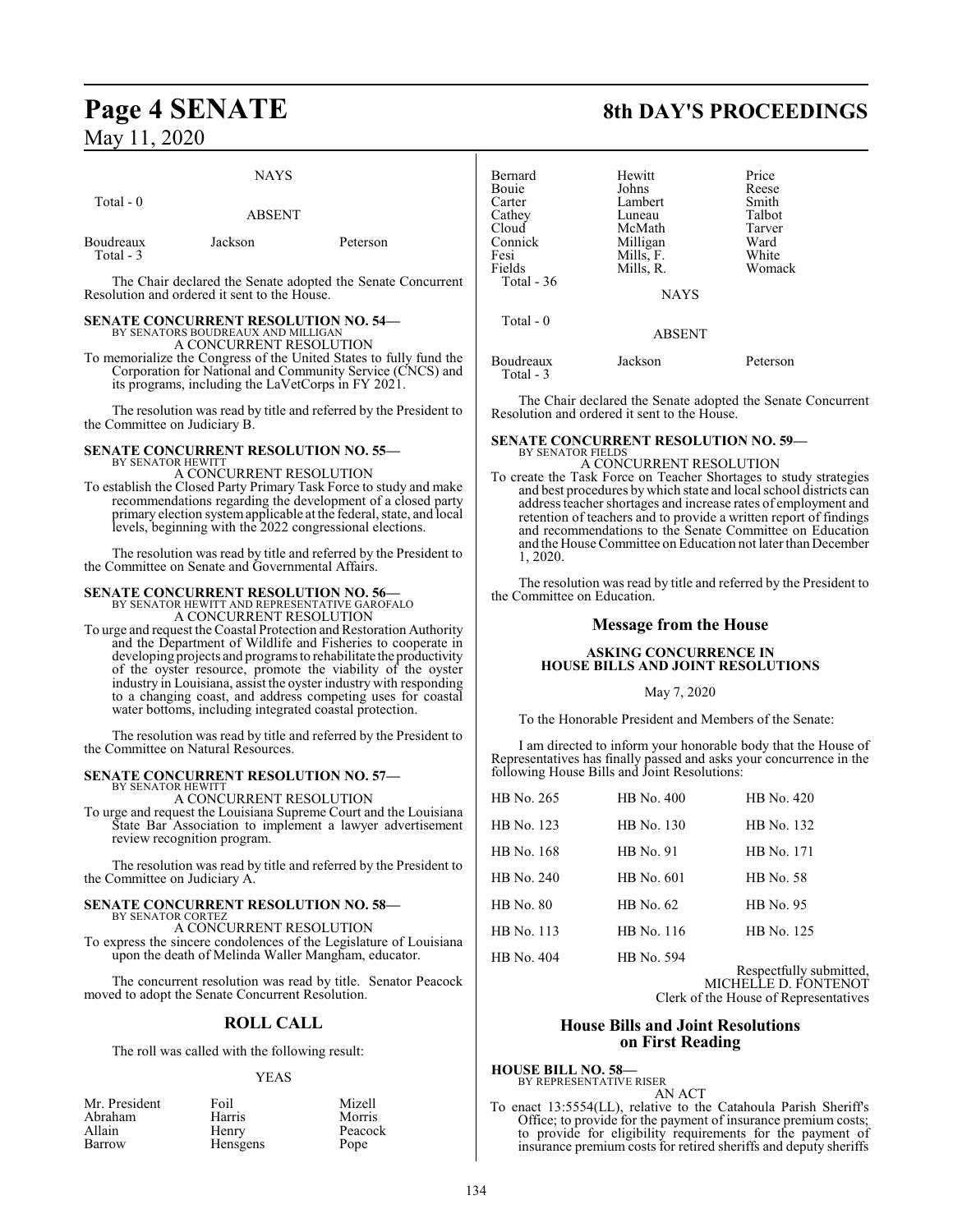## NAYS Total - 0 ABSENT

| Boudreaux | Jackson | Peterson |
|-----------|---------|----------|
| Total - 3 |         |          |

The Chair declared the Senate adopted the Senate Concurrent Resolution and ordered it sent to the House.

## **SENATE CONCURRENT RESOLUTION NO. 54—**

BY SENATORS BOUDREAUX AND MILLIGAN A CONCURRENT RESOLUTION

To memorialize the Congress of the United States to fully fund the Corporation for National and Community Service (CNCS) and its programs, including the LaVetCorps in FY 2021.

The resolution was read by title and referred by the President to the Committee on Judiciary B.

#### **SENATE CONCURRENT RESOLUTION NO. 55—** BY SENATOR HEWITT

A CONCURRENT RESOLUTION

To establish the Closed Party Primary Task Force to study and make recommendations regarding the development of a closed party primary election systemapplicable at the federal, state, and local levels, beginning with the 2022 congressional elections.

The resolution was read by title and referred by the President to the Committee on Senate and Governmental Affairs.

# **SENATE CONCURRENT RESOLUTION NO. 56—**<br>BY SENATOR HEWITT AND REPRESENTATIVE GAROFALO<br>A CONCURRENT RESOLUTION

- 
- To urge and request the Coastal Protection and Restoration Authority and the Department of Wildlife and Fisheries to cooperate in developing projects and programs to rehabilitate the productivity of the oyster resource, promote the viability of the oyster industry in Louisiana, assist the oyster industry with responding to a changing coast, and address competing uses for coastal water bottoms, including integrated coastal protection.

The resolution was read by title and referred by the President to the Committee on Natural Resources.

#### **SENATE CONCURRENT RESOLUTION NO. 57—**

BY SENATOR HEWITT A CONCURRENT RESOLUTION

To urge and request the Louisiana Supreme Court and the Louisiana State Bar Association to implement a lawyer advertisement review recognition program.

The resolution was read by title and referred by the President to the Committee on Judiciary A.

## **SENATE CONCURRENT RESOLUTION NO. 58—** BY SENATOR CORTEZ A CONCURRENT RESOLUTION

To express the sincere condolences of the Legislature of Louisiana upon the death of Melinda Waller Mangham, educator.

The concurrent resolution was read by title. Senator Peacock moved to adopt the Senate Concurrent Resolution.

## **ROLL CALL**

The roll was called with the following result:

#### YEAS

| Mr. President | Foil            | Mizell  |
|---------------|-----------------|---------|
| Abraham       | Harris          | Morris  |
| Allain        | Henry           | Peacock |
| Barrow        | <b>Hensgens</b> | Pope    |

# **Page 4 SENATE 8th DAY'S PROCEEDINGS**

| Bernard     | Hewitt        | Price    |
|-------------|---------------|----------|
| Bouie       | Johns         | Reese    |
| Carter      | Lambert       | Smith    |
| Cathey      | Luneau        | Talbot   |
| Cloud       | McMath        | Tarver   |
| Connick     | Milligan      | Ward     |
| Fesi        | Mills, F.     | White    |
| Fields      | Mills, R.     | Womack   |
| Total $-36$ |               |          |
|             | <b>NAYS</b>   |          |
| Total - 0   |               |          |
|             | <b>ABSENT</b> |          |
| Boudreaux   | Jackson       | Peterson |

The Chair declared the Senate adopted the Senate Concurrent Resolution and ordered it sent to the House.

#### **SENATE CONCURRENT RESOLUTION NO. 59—** BY SENATOR FIELDS

Total - 3

#### A CONCURRENT RESOLUTION

To create the Task Force on Teacher Shortages to study strategies and best procedures by which state and local school districts can address teacher shortages and increase rates of employment and retention of teachers and to provide a written report of findings and recommendations to the Senate Committee on Education and the House Committee on Education not later than December 1, 2020.

The resolution was read by title and referred by the President to the Committee on Education.

## **Message from the House**

#### **ASKING CONCURRENCE IN HOUSE BILLS AND JOINT RESOLUTIONS**

#### May 7, 2020

To the Honorable President and Members of the Senate:

I am directed to inform your honorable body that the House of Representatives has finally passed and asks your concurrence in the following House Bills and Joint Resolutions:

| HB No. 265       | HB No. 400       | HB No. 420       |
|------------------|------------------|------------------|
| HB No. 123       | HB No. 130       | HB No. 132       |
| HB No. 168       | <b>HB</b> No. 91 | HB No. 171       |
| HB No. 240       | HB No. 601       | <b>HB</b> No. 58 |
| <b>HB</b> No. 80 | HB No. 62        | HB No. 95        |
| HB No. 113       | HB No. 116       | HB No. 125       |
| HB No. 404       | HB No. 594       |                  |

Respectfully submitted, MICHELLE D. FONTENOT Clerk of the House of Representatives

#### **House Bills and Joint Resolutions on First Reading**

**HOUSE BILL NO. 58—** BY REPRESENTATIVE RISER

AN ACT

To enact 13:5554(LL), relative to the Catahoula Parish Sheriff's Office; to provide for the payment of insurance premium costs; to provide for eligibility requirements for the payment of insurance premium costs for retired sheriffs and deputy sheriffs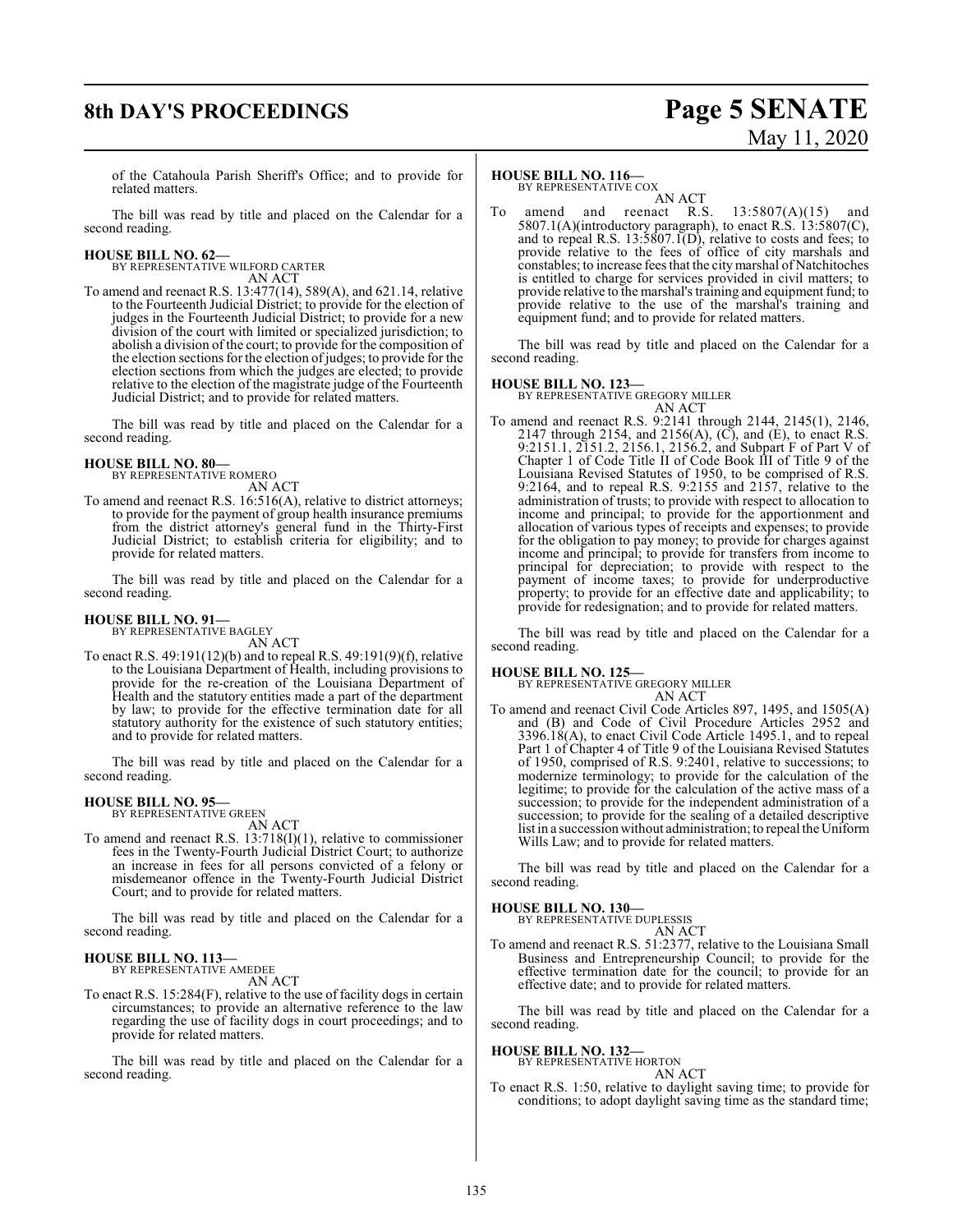# **8th DAY'S PROCEEDINGS Page 5 SENATE** May 11, 2020

of the Catahoula Parish Sheriff's Office; and to provide for related matters.

The bill was read by title and placed on the Calendar for a second reading.

**HOUSE BILL NO. 62—** BY REPRESENTATIVE WILFORD CARTER

AN ACT

To amend and reenact R.S. 13:477(14), 589(A), and 621.14, relative to the Fourteenth Judicial District; to provide for the election of judges in the Fourteenth Judicial District; to provide for a new division of the court with limited or specialized jurisdiction; to abolish a division of the court; to provide for the composition of the election sections for the election ofjudges; to provide for the election sections from which the judges are elected; to provide relative to the election of the magistrate judge of the Fourteenth Judicial District; and to provide for related matters.

The bill was read by title and placed on the Calendar for a second reading.

#### **HOUSE BILL NO. 80—**

BY REPRESENTATIVE ROMERO AN ACT

To amend and reenact R.S. 16:516(A), relative to district attorneys; to provide for the payment of group health insurance premiums from the district attorney's general fund in the Thirty-First Judicial District; to establish criteria for eligibility; and to provide for related matters.

The bill was read by title and placed on the Calendar for a second reading.

#### **HOUSE BILL NO. 91—**

BY REPRESENTATIVE BAGLEY

AN ACT To enact R.S. 49:191(12)(b) and to repeal R.S. 49:191(9)(f), relative to the Louisiana Department of Health, including provisions to provide for the re-creation of the Louisiana Department of Health and the statutory entities made a part of the department by law; to provide for the effective termination date for all statutory authority for the existence of such statutory entities; and to provide for related matters.

The bill was read by title and placed on the Calendar for a second reading.

# **HOUSE BILL NO. 95—** BY REPRESENTATIVE GREEN

AN ACT

To amend and reenact R.S. 13:718(I)(1), relative to commissioner fees in the Twenty-Fourth Judicial District Court; to authorize an increase in fees for all persons convicted of a felony or misdemeanor offence in the Twenty-Fourth Judicial District Court; and to provide for related matters.

The bill was read by title and placed on the Calendar for a second reading.

#### **HOUSE BILL NO. 113—** BY REPRESENTATIVE AMEDEE

AN ACT

To enact R.S. 15:284(F), relative to the use of facility dogs in certain circumstances; to provide an alternative reference to the law regarding the use of facility dogs in court proceedings; and to provide for related matters.

The bill was read by title and placed on the Calendar for a second reading.

#### **HOUSE BILL NO. 116—**

BY REPRESENTATIVE COX

AN ACT<br>reenact R.S. To amend and reenact R.S.  $13:5807(A)(15)$  and 5807.1(A)(introductory paragraph), to enact R.S.  $13:5807(C)$ , and to repeal R.S.  $13:5807.1(D)$ , relative to costs and fees; to provide relative to the fees of office of city marshals and constables; to increase fees that the citymarshal of Natchitoches is entitled to charge for services provided in civil matters; to provide relative to the marshal's training and equipment fund; to provide relative to the use of the marshal's training and equipment fund; and to provide for related matters.

The bill was read by title and placed on the Calendar for a second reading.

#### **HOUSE BILL NO. 123—**

BY REPRESENTATIVE GREGORY MILLER AN ACT

To amend and reenact R.S. 9:2141 through 2144, 2145(1), 2146, 2147 through 2154, and 2156(A), (C), and (E), to enact R.S. 9:2151.1, 2151.2, 2156.1, 2156.2, and Subpart F of Part V of Chapter 1 of Code Title II of Code Book III of Title 9 of the Louisiana Revised Statutes of 1950, to be comprised of R.S. 9:2164, and to repeal R.S. 9:2155 and 2157, relative to the administration of trusts; to provide with respect to allocation to income and principal; to provide for the apportionment and allocation of various types of receipts and expenses; to provide for the obligation to pay money; to provide for charges against income and principal; to provide for transfers from income to principal for depreciation; to provide with respect to the payment of income taxes; to provide for underproductive property; to provide for an effective date and applicability; to provide for redesignation; and to provide for related matters.

The bill was read by title and placed on the Calendar for a second reading.

#### **HOUSE BILL NO. 125—**

BY REPRESENTATIVE GREGORY MILLER

AN ACT To amend and reenact Civil Code Articles 897, 1495, and 1505(A) and (B) and Code of Civil Procedure Articles 2952 and 3396.18(A), to enact Civil Code Article 1495.1, and to repeal Part 1 of Chapter 4 of Title 9 of the Louisiana Revised Statutes of 1950, comprised of R.S. 9:2401, relative to successions; to modernize terminology; to provide for the calculation of the legitime; to provide for the calculation of the active mass of a succession; to provide for the independent administration of a succession; to provide for the sealing of a detailed descriptive list in a succession without administration; to repeal the Uniform Wills Law; and to provide for related matters.

The bill was read by title and placed on the Calendar for a second reading.

#### **HOUSE BILL NO. 130—**

BY REPRESENTATIVE DUPLESSIS AN ACT

To amend and reenact R.S. 51:2377, relative to the Louisiana Small Business and Entrepreneurship Council; to provide for the effective termination date for the council; to provide for an effective date; and to provide for related matters.

The bill was read by title and placed on the Calendar for a second reading.

#### **HOUSE BILL NO. 132—**

BY REPRESENTATIVE HORTON AN ACT

To enact R.S. 1:50, relative to daylight saving time; to provide for conditions; to adopt daylight saving time as the standard time;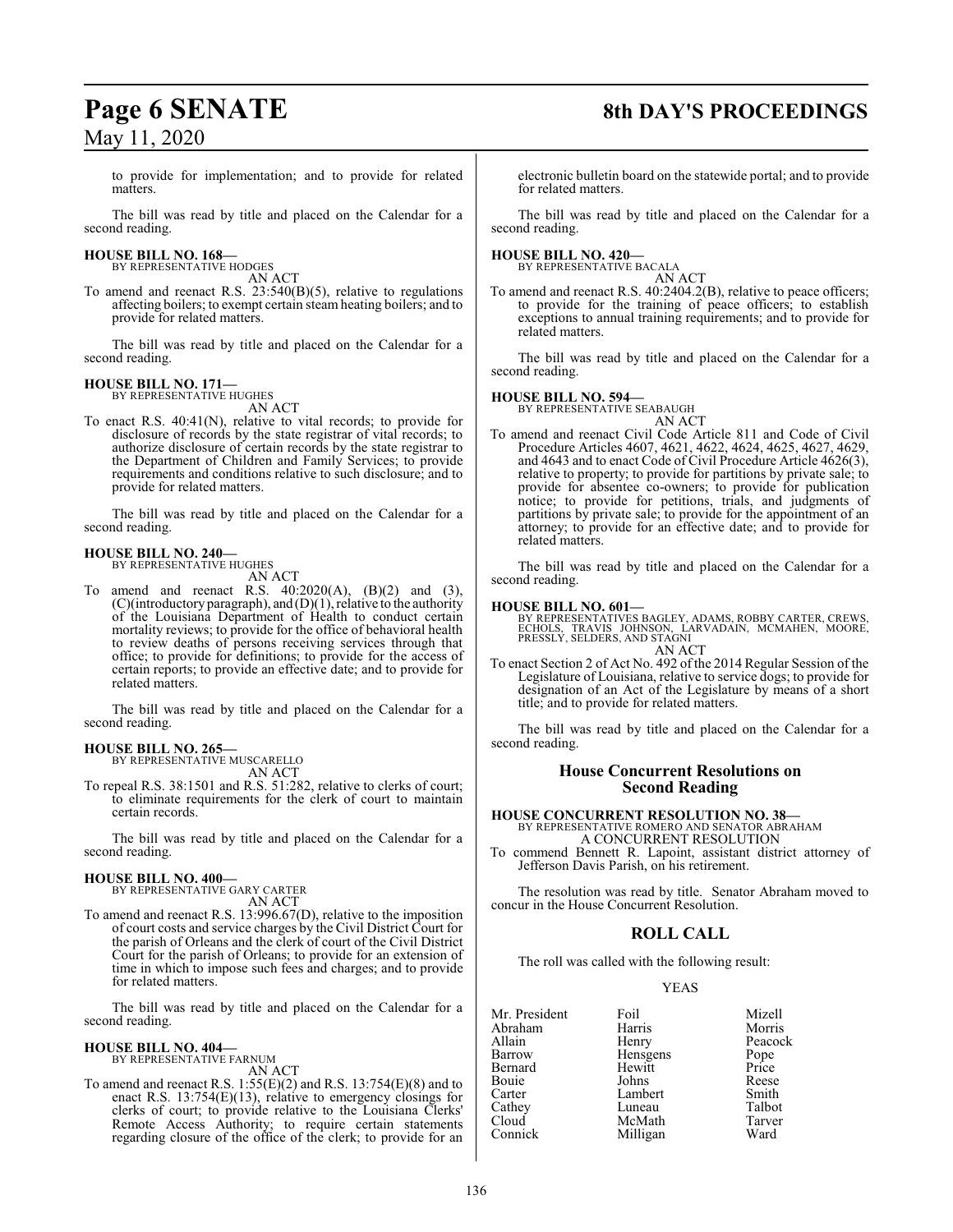# **Page 6 SENATE 8th DAY'S PROCEEDINGS**

to provide for implementation; and to provide for related matters.

The bill was read by title and placed on the Calendar for a second reading.

# **HOUSE BILL NO. 168—** BY REPRESENTATIVE HODGES

AN ACT

To amend and reenact R.S. 23:540(B)(5), relative to regulations affecting boilers; to exempt certain steam heating boilers; and to provide for related matters.

The bill was read by title and placed on the Calendar for a second reading.

#### **HOUSE BILL NO. 171—**

BY REPRESENTATIVE HUGHES AN ACT

To enact R.S. 40:41(N), relative to vital records; to provide for disclosure of records by the state registrar of vital records; to authorize disclosure of certain records by the state registrar to the Department of Children and Family Services; to provide requirements and conditions relative to such disclosure; and to provide for related matters.

The bill was read by title and placed on the Calendar for a second reading.

## **HOUSE BILL NO. 240—**

BY REPRESENTATIVE HUGHES AN ACT

To amend and reenact R.S. 40:2020(A), (B)(2) and (3),  $(C)($ introductory paragraph), and  $(D)(1)$ , relative to the authority of the Louisiana Department of Health to conduct certain mortality reviews; to provide for the office of behavioral health to review deaths of persons receiving services through that office; to provide for definitions; to provide for the access of certain reports; to provide an effective date; and to provide for related matters.

The bill was read by title and placed on the Calendar for a second reading.

**HOUSE BILL NO. 265—** BY REPRESENTATIVE MUSCARELLO AN ACT

To repeal R.S. 38:1501 and R.S. 51:282, relative to clerks of court; to eliminate requirements for the clerk of court to maintain certain records.

The bill was read by title and placed on the Calendar for a second reading.

#### **HOUSE BILL NO. 400—**

BY REPRESENTATIVE GARY CARTER AN ACT

To amend and reenact R.S. 13:996.67(D), relative to the imposition of court costs and service charges by the Civil District Court for the parish of Orleans and the clerk of court of the Civil District Court for the parish of Orleans; to provide for an extension of time in which to impose such fees and charges; and to provide for related matters.

The bill was read by title and placed on the Calendar for a second reading.

#### **HOUSE BILL NO. 404—** BY REPRESENTATIVE FARNUM

AN ACT

To amend and reenact R.S. 1:55(E)(2) and R.S. 13:754(E)(8) and to enact R.S.  $13:754(E)(13)$ , relative to emergency closings for clerks of court; to provide relative to the Louisiana Clerks' Remote Access Authority; to require certain statements regarding closure of the office of the clerk; to provide for an electronic bulletin board on the statewide portal; and to provide for related matters.

The bill was read by title and placed on the Calendar for a second reading.

# **HOUSE BILL NO. 420—** BY REPRESENTATIVE BACALA

AN ACT

To amend and reenact R.S. 40:2404.2(B), relative to peace officers; to provide for the training of peace officers; to establish exceptions to annual training requirements; and to provide for related matters.

The bill was read by title and placed on the Calendar for a second reading.

#### **HOUSE BILL NO. 594—**

BY REPRESENTATIVE SEABAUGH AN ACT

To amend and reenact Civil Code Article 811 and Code of Civil Procedure Articles 4607, 4621, 4622, 4624, 4625, 4627, 4629, and 4643 and to enact Code of Civil Procedure Article 4626(3), relative to property; to provide for partitions by private sale; to provide for absentee co-owners; to provide for publication notice; to provide for petitions, trials, and judgments of partitions by private sale; to provide for the appointment of an attorney; to provide for an effective date; and to provide for related matters.

The bill was read by title and placed on the Calendar for a second reading.

#### **HOUSE BILL NO. 601—**

BY REPRESENTATIVES BAGLEY, ADAMS, ROBBY CARTER, CREWS,<br>ECHOLS, TRAVIS JOHNSON, LARVADAIN, MCMAHEN, MOORE,<br>PRESSLY, SELDERS, AND STAGNI AN ACT

To enact Section 2 of Act No. 492 of the 2014 Regular Session of the Legislature of Louisiana, relative to service dogs; to provide for designation of an Act of the Legislature by means of a short title; and to provide for related matters.

The bill was read by title and placed on the Calendar for a second reading.

#### **House Concurrent Resolutions on Second Reading**

**HOUSE CONCURRENT RESOLUTION NO. 38—** BY REPRESENTATIVE ROMERO AND SENATOR ABRAHAM A CONCURRENT RESOLUTION

To commend Bennett R. Lapoint, assistant district attorney of Jefferson Davis Parish, on his retirement.

The resolution was read by title. Senator Abraham moved to concur in the House Concurrent Resolution.

### **ROLL CALL**

The roll was called with the following result:

#### YEAS

| Mr. President | Foil     | Mizell        |
|---------------|----------|---------------|
| Abraham       | Harris   | Morris        |
| Allain        | Henry    | Peacock       |
| Barrow        | Hensgens |               |
| Bernard       | Hewitt   | Pope<br>Price |
| Bouie         | Johns    | Reese         |
| Carter        | Lambert  | Smith         |
| Cathey        | Luneau   | Talbot        |
| Cloud         | McMath   | Tarver        |
| Connick       | Milligan | Ward          |
|               |          |               |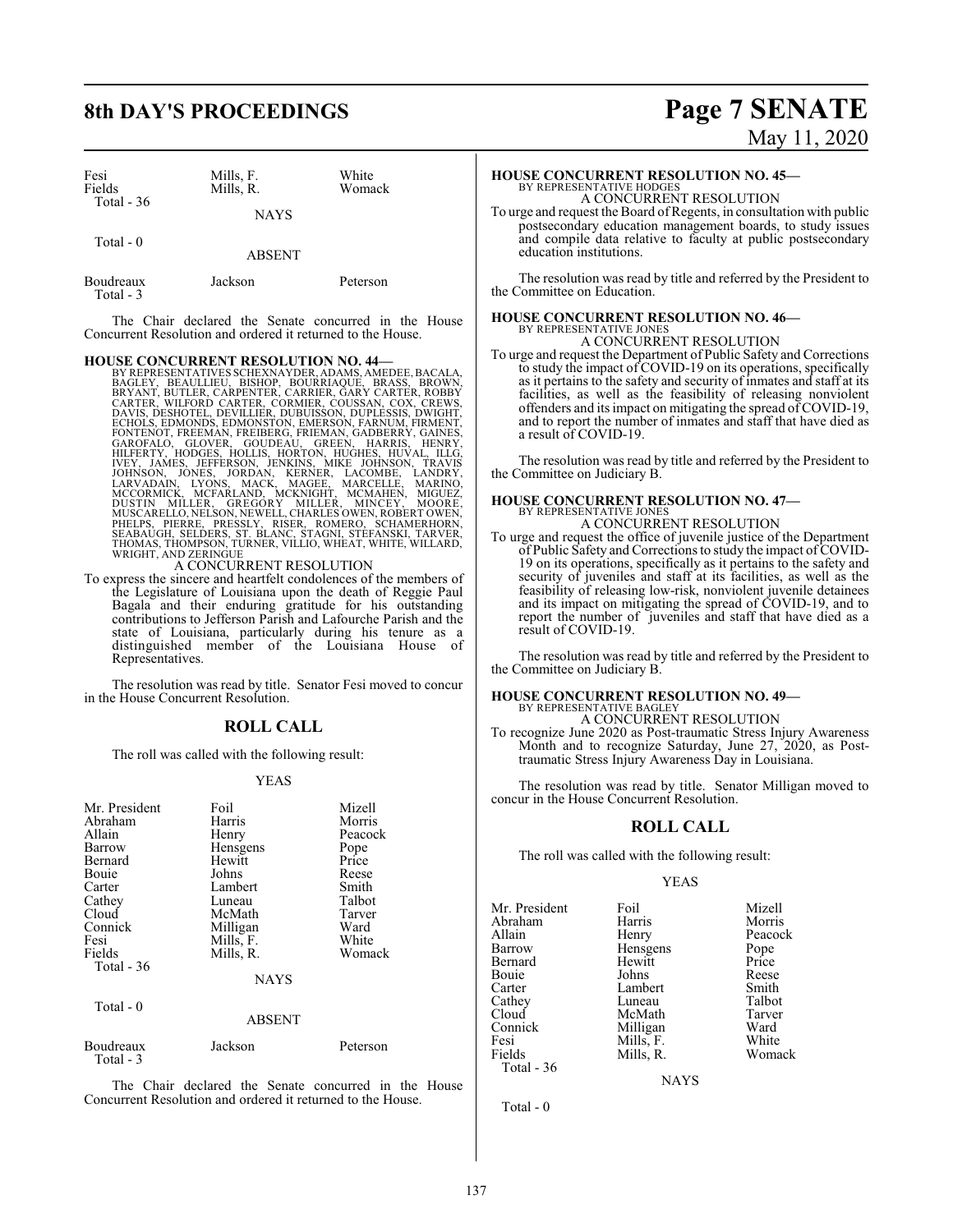| Fesi<br>Fields<br>Total $-36$ | Mills, F.<br>Mills, R. | White<br>Womack |
|-------------------------------|------------------------|-----------------|
|                               | <b>NAYS</b>            |                 |
| Total - 0                     | <b>ABSENT</b>          |                 |

| Boudreaux<br>Total - 3 | Jackson | Peterson |
|------------------------|---------|----------|

The Chair declared the Senate concurred in the House Concurrent Resolution and ordered it returned to the House.

HOUSE CONCURRENT RESOLUTION NO. 44—<br>BY REPRESENTATIVES SCHEXNAYDER, ADAMS, AMEDEE, BACALA,<br>BAGLEY, BEAULIEU, BISHOP, BOURRIAQUE, BRASS, BROWN,<br>BRYANT, BUTLER, CARPENTER, CARRIER, GARY CARTER, ROBBY<br>CARTER, WILFORD CARTER,

To express the sincere and heartfelt condolences of the members of the Legislature of Louisiana upon the death of Reggie Paul Bagala and their enduring gratitude for his outstanding contributions to Jefferson Parish and Lafourche Parish and the state of Louisiana, particularly during his tenure as a distinguished member of the Louisiana House of Representatives.

The resolution was read by title. Senator Fesi moved to concur in the House Concurrent Resolution.

### **ROLL CALL**

The roll was called with the following result:

#### YEAS

| Mr. President<br>Abraham<br>Allain<br>Barrow<br>Bernard<br><b>Bouje</b><br>Carter<br>Cathey<br>Cloud<br>Connick<br>Fesi | Foil<br>Harris<br>Henry<br>Hensgens<br>Hewitt<br>Johns<br>Lambert<br>Luneau<br>McMath<br>Milligan<br>Mills, F. | Mizell<br>Morris<br>Peacock<br>Pope<br>Price<br>Reese<br>Smith<br>Talbot<br>Tarver<br>Ward<br>White |
|-------------------------------------------------------------------------------------------------------------------------|----------------------------------------------------------------------------------------------------------------|-----------------------------------------------------------------------------------------------------|
| Total - $36$                                                                                                            | Mills, R.<br><b>NAYS</b>                                                                                       |                                                                                                     |
| Total - 0                                                                                                               | <b>ABSENT</b>                                                                                                  |                                                                                                     |
| Boudreaux<br>Total - 3                                                                                                  | Jackson                                                                                                        | Peterson                                                                                            |

The Chair declared the Senate concurred in the House Concurrent Resolution and ordered it returned to the House.

# **8th DAY'S PROCEEDINGS Page 7 SENATE** May 11, 2020

## **HOUSE CONCURRENT RESOLUTION NO. 45—** BY REPRESENTATIVE HODGES A CONCURRENT RESOLUTION

To urge and request the Board of Regents, in consultation with public postsecondary education management boards, to study issues and compile data relative to faculty at public postsecondary education institutions.

The resolution was read by title and referred by the President to the Committee on Education.

## **HOUSE CONCURRENT RESOLUTION NO. 46—** BY REPRESENTATIVE JONES A CONCURRENT RESOLUTION

To urge and request the Department of Public Safety and Corrections to study the impact of COVID-19 on its operations, specifically as it pertains to the safety and security of inmates and staff at its facilities, as well as the feasibility of releasing nonviolent offenders and its impact on mitigating the spread of COVID-19, and to report the number of inmates and staff that have died as a result of COVID-19.

The resolution was read by title and referred by the President to the Committee on Judiciary B.

#### **HOUSE CONCURRENT RESOLUTION NO. 47—** BY REPRESENTATIVE JONES

A CONCURRENT RESOLUTION

To urge and request the office of juvenile justice of the Department of Public Safety and Corrections to study the impact of COVID-19 on its operations, specifically as it pertains to the safety and security of juveniles and staff at its facilities, as well as the feasibility of releasing low-risk, nonviolent juvenile detainees and its impact on mitigating the spread of COVID-19, and to report the number of juveniles and staff that have died as a result of COVID-19.

The resolution was read by title and referred by the President to the Committee on Judiciary B.

#### **HOUSE CONCURRENT RESOLUTION NO. 49—**

BY REPRESENTATIVE BAGLEY A CONCURRENT RESOLUTION

To recognize June 2020 as Post-traumatic Stress Injury Awareness Month and to recognize Saturday, June 27, 2020, as Posttraumatic Stress Injury Awareness Day in Louisiana.

The resolution was read by title. Senator Milligan moved to concur in the House Concurrent Resolution.

#### **ROLL CALL**

The roll was called with the following result:

#### YEAS

Mr. President Foil Mizell<br>Abraham Harris Morris Abraham Harris<br>Allain Henry Allain Henry Peacock<br>
Barrow Hensgens Pope Bernard Hewitt Price Bouie Johns Reese Carter Lambert Smith<br>Cathey Luneau Talbot Cathey Luneau Talbot<br>Cloud McMath Tarver Cloud McMath Tarver Connick Milligan Ward Fesi Mills, F.<br>Fields Mills, R. Total - 36

Hensgens Pope<br>Hewitt Price

Womack

NAYS

Total - 0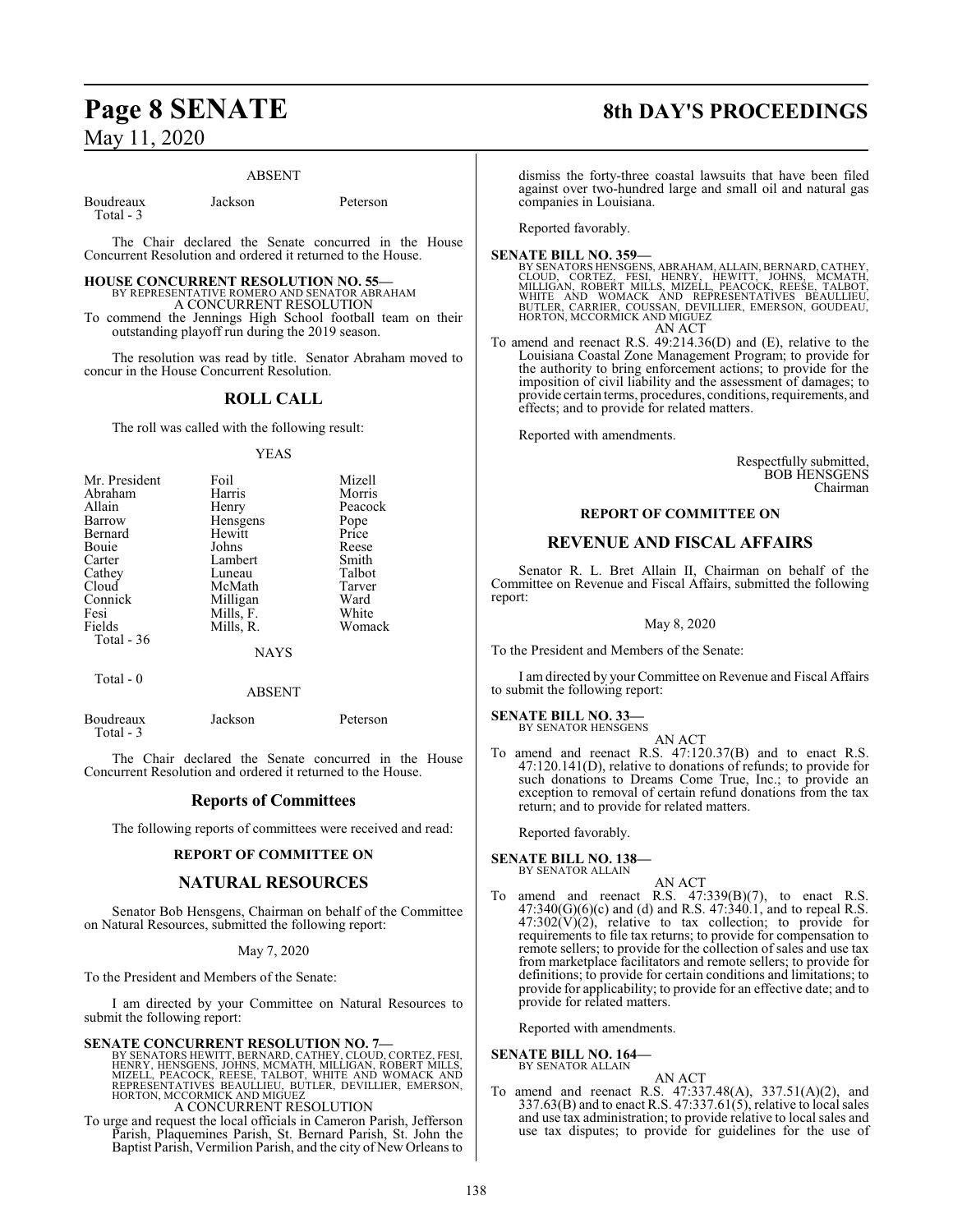#### ABSENT

| Boudreaux | Jackson | Peterson |
|-----------|---------|----------|
| Total - 3 |         |          |

The Chair declared the Senate concurred in the House Concurrent Resolution and ordered it returned to the House.

# **HOUSE CONCURRENT RESOLUTION NO. 55—** BY REPRESENTATIVE ROMERO AND SENATOR ABRAHAM A CONCURRENT RESOLUTION

To commend the Jennings High School football team on their outstanding playoff run during the 2019 season.

The resolution was read by title. Senator Abraham moved to concur in the House Concurrent Resolution.

### **ROLL CALL**

The roll was called with the following result:

#### YEAS

| Mr. President | Foil      | Mizell  |
|---------------|-----------|---------|
| Abraham       | Harris    | Morris  |
| Allain        | Henry     | Peacock |
| Barrow        | Hensgens  | Pope    |
| Bernard       | Hewitt    | Price   |
| Bouie         | Johns     | Reese   |
| Carter        | Lambert   | Smith   |
| Cathey        | Luneau    | Talbot  |
| Cloud         | McMath    | Tarver  |
| Connick       | Milligan  | Ward    |
| Fesi          | Mills, F. | White   |
| Fields        | Mills, R. | Womack  |
| Total - 36    |           |         |
|               | NAYS      |         |

Total - 0

Total - 3

ABSENT

Boudreaux Jackson Peterson

The Chair declared the Senate concurred in the House Concurrent Resolution and ordered it returned to the House.

## **Reports of Committees**

The following reports of committees were received and read:

### **REPORT OF COMMITTEE ON**

## **NATURAL RESOURCES**

Senator Bob Hensgens, Chairman on behalf of the Committee on Natural Resources, submitted the following report:

May 7, 2020

To the President and Members of the Senate:

I am directed by your Committee on Natural Resources to submit the following report:

#### **SENATE CONCURRENT RESOLUTION NO. 7—**

BY SENATORS HEWITT, BERNARD, CATHEY, CLOUD, CORTEZ, FESI,<br>HENRY, HENSGENS, JOHNS, MCMATH, MILLIGAN, ROBERT MILLS,<br>MIZELL, PEACOCK, REESE, TALBOT, WHITE AND WOMACK AND<br>REPRESENTATIVES BEAULLIEU, BUTLER, DEVILLIER, EMERSON,<br> A CONCURRENT RESOLUTION

To urge and request the local officials in Cameron Parish, Jefferson Parish, Plaquemines Parish, St. Bernard Parish, St. John the Baptist Parish, Vermilion Parish, and the city of New Orleans to

# **Page 8 SENATE 8th DAY'S PROCEEDINGS**

dismiss the forty-three coastal lawsuits that have been filed against over two-hundred large and small oil and natural gas companies in Louisiana.

Reported favorably.

#### **SENATE BILL NO. 359—**

BY SENATORS HENSGENS, ABRAHAM, ALLAIN, BERNARD, CATHEY,<br>CLOUD, CORTEZ, FESI, HENRY, HEWITT, JOHNS, MCMATH,<br>MILLIGAN, ROBERT MILLS, MIZELL, PEACOCK, REESE, TALBOT,<br>WHITE AND WOMACK AND REPRESENTAT AN ACT

To amend and reenact R.S. 49:214.36(D) and (E), relative to the Louisiana Coastal Zone Management Program; to provide for the authority to bring enforcement actions; to provide for the imposition of civil liability and the assessment of damages; to provide certain terms, procedures, conditions, requirements, and effects; and to provide for related matters.

Reported with amendments.

Respectfully submitted, BOB HENSGENS Chairman

#### **REPORT OF COMMITTEE ON**

#### **REVENUE AND FISCAL AFFAIRS**

Senator R. L. Bret Allain II, Chairman on behalf of the Committee on Revenue and Fiscal Affairs, submitted the following report:

#### May 8, 2020

To the President and Members of the Senate:

I am directed by your Committee on Revenue and Fiscal Affairs to submit the following report:

# **SENATE BILL NO. 33—** BY SENATOR HENSGENS

AN ACT

To amend and reenact R.S. 47:120.37(B) and to enact R.S. 47:120.141(D), relative to donations of refunds; to provide for such donations to Dreams Come True, Inc.; to provide an exception to removal of certain refund donations from the tax return; and to provide for related matters.

Reported favorably.

#### **SENATE BILL NO. 138—** BY SENATOR ALLAIN

- AN ACT
- To amend and reenact R.S.  $47:339(B)(7)$ , to enact R.S.  $47:340(G)(6)(c)$  and (d) and R.S.  $47:340.1$ , and to repeal R.S.  $47:302(V)(2)$ , relative to tax collection; to provide for requirements to file tax returns; to provide for compensation to remote sellers; to provide for the collection of sales and use tax from marketplace facilitators and remote sellers; to provide for definitions; to provide for certain conditions and limitations; to provide for applicability; to provide for an effective date; and to provide for related matters.

Reported with amendments.

**SENATE BILL NO. 164—**

BY SENATOR ALLAIN

#### AN ACT

To amend and reenact R.S. 47:337.48(A), 337.51(A)(2), and 337.63(B) and to enact R.S. 47:337.61(5), relative to local sales and use tax administration; to provide relative to local sales and use tax disputes; to provide for guidelines for the use of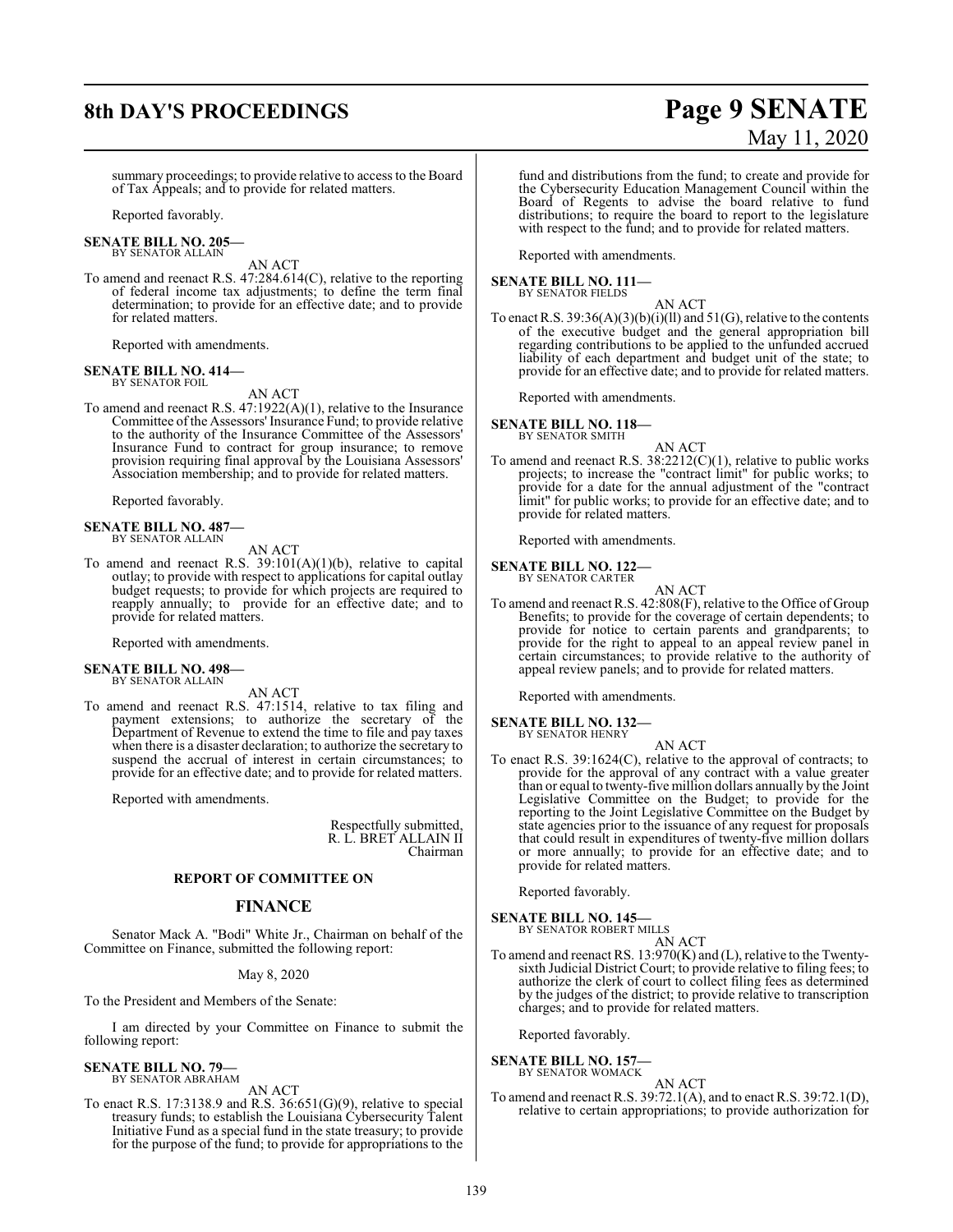# **8th DAY'S PROCEEDINGS Page 9 SENATE**

# May 11, 2020

summary proceedings; to provide relative to access to the Board of Tax Appeals; and to provide for related matters.

Reported favorably.

**SENATE BILL NO. 205—** BY SENATOR ALLAIN

AN ACT

To amend and reenact R.S. 47:284.614(C), relative to the reporting of federal income tax adjustments; to define the term final determination; to provide for an effective date; and to provide for related matters.

Reported with amendments.

# **SENATE BILL NO. 414—** BY SENATOR FOIL

AN ACT

To amend and reenact R.S. 47:1922(A)(1), relative to the Insurance Committee of the Assessors' Insurance Fund; to provide relative to the authority of the Insurance Committee of the Assessors' Insurance Fund to contract for group insurance; to remove provision requiring final approval by the Louisiana Assessors' Association membership; and to provide for related matters.

Reported favorably.

# **SENATE BILL NO. 487—** BY SENATOR ALLAIN

AN ACT

To amend and reenact R.S. 39:101(A)(1)(b), relative to capital outlay; to provide with respect to applications for capital outlay budget requests; to provide for which projects are required to reapply annually; to provide for an effective date; and to provide for related matters.

Reported with amendments.

#### **SENATE BILL NO. 498—** BY SENATOR ALLAIN

AN ACT

To amend and reenact R.S. 47:1514, relative to tax filing and payment extensions; to authorize the secretary of the Department of Revenue to extend the time to file and pay taxes when there is a disaster declaration; to authorize the secretary to suspend the accrual of interest in certain circumstances; to provide for an effective date; and to provide for related matters.

Reported with amendments.

Respectfully submitted, R. L. BRET ALLAIN II Chairman

#### **REPORT OF COMMITTEE ON**

#### **FINANCE**

Senator Mack A. "Bodi" White Jr., Chairman on behalf of the Committee on Finance, submitted the following report:

May 8, 2020

To the President and Members of the Senate:

I am directed by your Committee on Finance to submit the following report:

#### **SENATE BILL NO. 79—** BY SENATOR ABRAHAM

AN ACT

To enact R.S. 17:3138.9 and R.S. 36:651(G)(9), relative to special treasury funds; to establish the Louisiana Cybersecurity Talent Initiative Fund as a special fund in the state treasury; to provide for the purpose of the fund; to provide for appropriations to the

fund and distributions from the fund; to create and provide for the Cybersecurity Education Management Council within the Board of Regents to advise the board relative to fund distributions; to require the board to report to the legislature with respect to the fund; and to provide for related matters.

Reported with amendments.

**SENATE BILL NO. 111—** BY SENATOR FIELDS

AN ACT

To enact R.S.  $39:36(A)(3)(b)(i)(ll)$  and  $51(G)$ , relative to the contents of the executive budget and the general appropriation bill regarding contributions to be applied to the unfunded accrued liability of each department and budget unit of the state; to provide for an effective date; and to provide for related matters.

Reported with amendments.

**SENATE BILL NO. 118—** BY SENATOR SMITH

- 
- To amend and reenact R.S. 38:2212(C)(1), relative to public works projects; to increase the "contract limit" for public works; to provide for a date for the annual adjustment of the "contract limit" for public works; to provide for an effective date; and to provide for related matters.

AN ACT

Reported with amendments.

**SENATE BILL NO. 122—**

BY SENATOR CARTER AN ACT

To amend and reenact R.S. 42:808(F), relative to the Office of Group Benefits; to provide for the coverage of certain dependents; to provide for notice to certain parents and grandparents; to provide for the right to appeal to an appeal review panel in certain circumstances; to provide relative to the authority of appeal review panels; and to provide for related matters.

Reported with amendments.

**SENATE BILL NO. 132—**

BY SENATOR HENRY

- AN ACT
- To enact R.S. 39:1624(C), relative to the approval of contracts; to provide for the approval of any contract with a value greater than or equal to twenty-five million dollars annually by the Joint Legislative Committee on the Budget; to provide for the reporting to the Joint Legislative Committee on the Budget by state agencies prior to the issuance of any request for proposals that could result in expenditures of twenty-five million dollars or more annually; to provide for an effective date; and to provide for related matters.

Reported favorably.

**SENATE BILL NO. 145—** BY SENATOR ROBERT MILLS

AN ACT

To amend and reenact RS. 13:970(K) and (L), relative to the Twentysixth Judicial District Court; to provide relative to filing fees; to authorize the clerk of court to collect filing fees as determined by the judges of the district; to provide relative to transcription charges; and to provide for related matters.

Reported favorably.

**SENATE BILL NO. 157—** BY SENATOR WOMACK

AN ACT

To amend and reenact R.S. 39:72.1(A), and to enact R.S. 39:72.1(D), relative to certain appropriations; to provide authorization for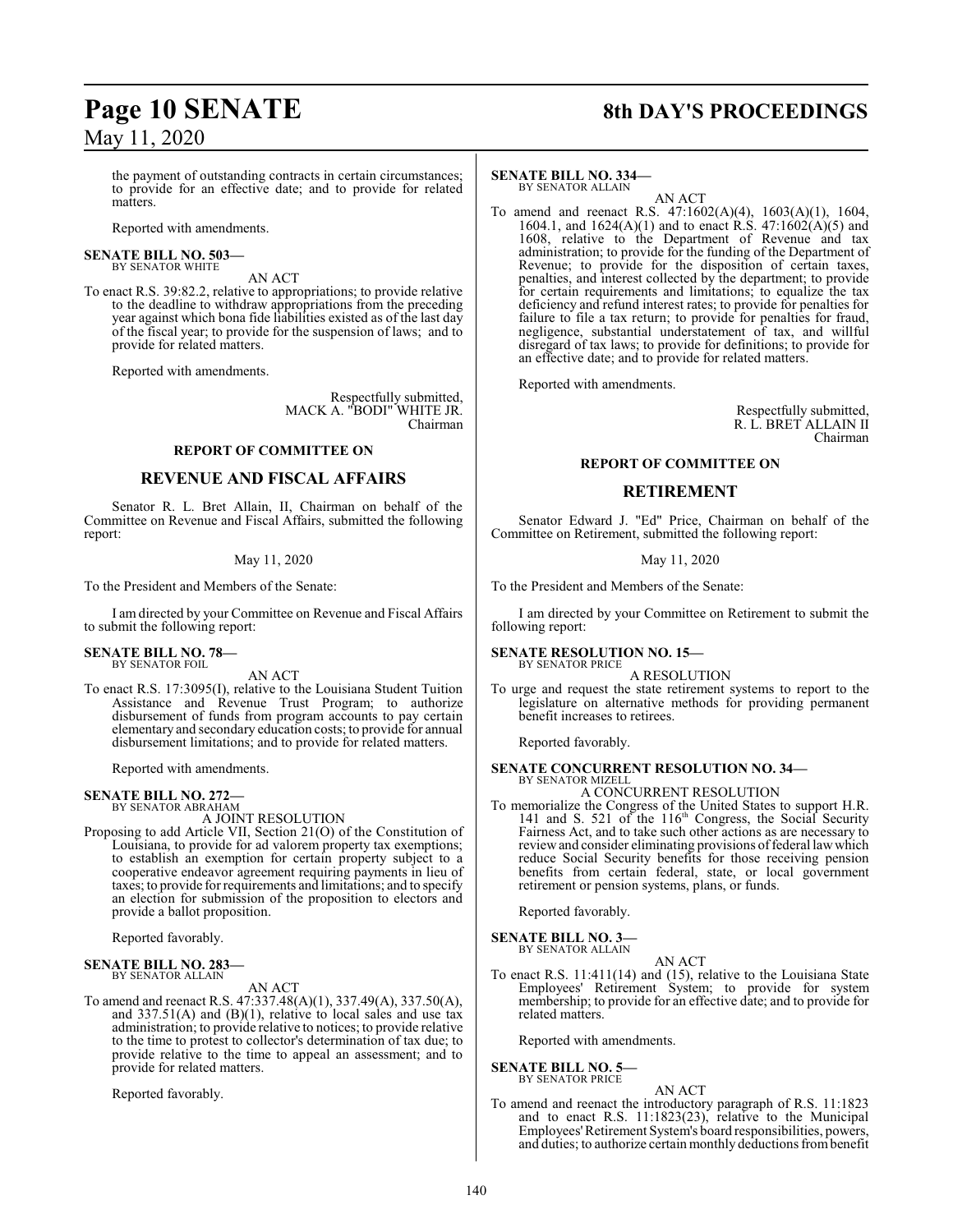the payment of outstanding contracts in certain circumstances; to provide for an effective date; and to provide for related matters.

Reported with amendments.

# **SENATE BILL NO. 503—** BY SENATOR WHITE

AN ACT

To enact R.S. 39:82.2, relative to appropriations; to provide relative to the deadline to withdraw appropriations from the preceding year against which bona fide liabilities existed as of the last day of the fiscal year; to provide for the suspension of laws; and to provide for related matters.

Reported with amendments.

Respectfully submitted, MACK A. "BODI" WHITE JR. Chairman

### **REPORT OF COMMITTEE ON**

## **REVENUE AND FISCAL AFFAIRS**

Senator R. L. Bret Allain, II, Chairman on behalf of the Committee on Revenue and Fiscal Affairs, submitted the following report:

#### May 11, 2020

To the President and Members of the Senate:

I am directed by your Committee on Revenue and Fiscal Affairs to submit the following report:

#### **SENATE BILL NO. 78—** BY SENATOR FOIL

AN ACT

To enact R.S. 17:3095(I), relative to the Louisiana Student Tuition Assistance and Revenue Trust Program; to authorize disbursement of funds from program accounts to pay certain elementary and secondary education costs; to provide for annual disbursement limitations; and to provide for related matters.

Reported with amendments.

## **SENATE BILL NO. 272—**

BY SENATOR ABRAHAM A JOINT RESOLUTION

Proposing to add Article VII, Section 21(O) of the Constitution of Louisiana, to provide for ad valorem property tax exemptions; to establish an exemption for certain property subject to a cooperative endeavor agreement requiring payments in lieu of taxes; to provide for requirements and limitations; and to specify an election for submission of the proposition to electors and provide a ballot proposition.

Reported favorably.

#### **SENATE BILL NO. 283—** BY SENATOR ALLAIN

### AN ACT

To amend and reenact R.S. 47:337.48(A)(1), 337.49(A), 337.50(A), and  $337.51(A)$  and  $(B)(1)$ , relative to local sales and use tax administration; to provide relative to notices; to provide relative to the time to protest to collector's determination of tax due; to provide relative to the time to appeal an assessment; and to provide for related matters.

Reported favorably.

# **Page 10 SENATE 8th DAY'S PROCEEDINGS**

#### **SENATE BILL NO. 334—**

BY SENATOR ALLAIN AN ACT

To amend and reenact R.S. 47:1602(A)(4), 1603(A)(1), 1604, 1604.1, and 1624(A)(1) and to enact R.S. 47:1602(A)(5) and 1608, relative to the Department of Revenue and tax administration; to provide for the funding of the Department of Revenue; to provide for the disposition of certain taxes, penalties, and interest collected by the department; to provide for certain requirements and limitations; to equalize the tax deficiency and refund interest rates; to provide for penalties for failure to file a tax return; to provide for penalties for fraud, negligence, substantial understatement of tax, and willful disregard of tax laws; to provide for definitions; to provide for an effective date; and to provide for related matters.

Reported with amendments.

Respectfully submitted, R. L. BRET ALLAIN II Chairman

#### **REPORT OF COMMITTEE ON**

#### **RETIREMENT**

Senator Edward J. "Ed" Price, Chairman on behalf of the Committee on Retirement, submitted the following report:

#### May 11, 2020

To the President and Members of the Senate:

I am directed by your Committee on Retirement to submit the following report:

#### **SENATE RESOLUTION NO. 15—** BY SENATOR PRICE

A RESOLUTION

To urge and request the state retirement systems to report to the legislature on alternative methods for providing permanent benefit increases to retirees.

Reported favorably.

#### **SENATE CONCURRENT RESOLUTION NO. 34—** BY SENATOR MIZELL

A CONCURRENT RESOLUTION

To memorialize the Congress of the United States to support H.R. 141 and S. 521 of the 116<sup>th</sup> Congress, the Social Security Fairness Act, and to take such other actions as are necessary to review and consider eliminating provisions of federal law which reduce Social Security benefits for those receiving pension benefits from certain federal, state, or local government retirement or pension systems, plans, or funds.

Reported favorably.

# **SENATE BILL NO. 3—**<br>BY SENATOR ALLAIN

AN ACT

To enact R.S. 11:411(14) and (15), relative to the Louisiana State Employees' Retirement System; to provide for system membership; to provide for an effective date; and to provide for related matters.

Reported with amendments.

#### **SENATE BILL NO. 5—** BY SENATOR PRICE

AN ACT

To amend and reenact the introductory paragraph of R.S. 11:1823 and to enact R.S. 11:1823(23), relative to the Municipal Employees'Retirement System's board responsibilities, powers, and duties; to authorize certain monthly deductions from benefit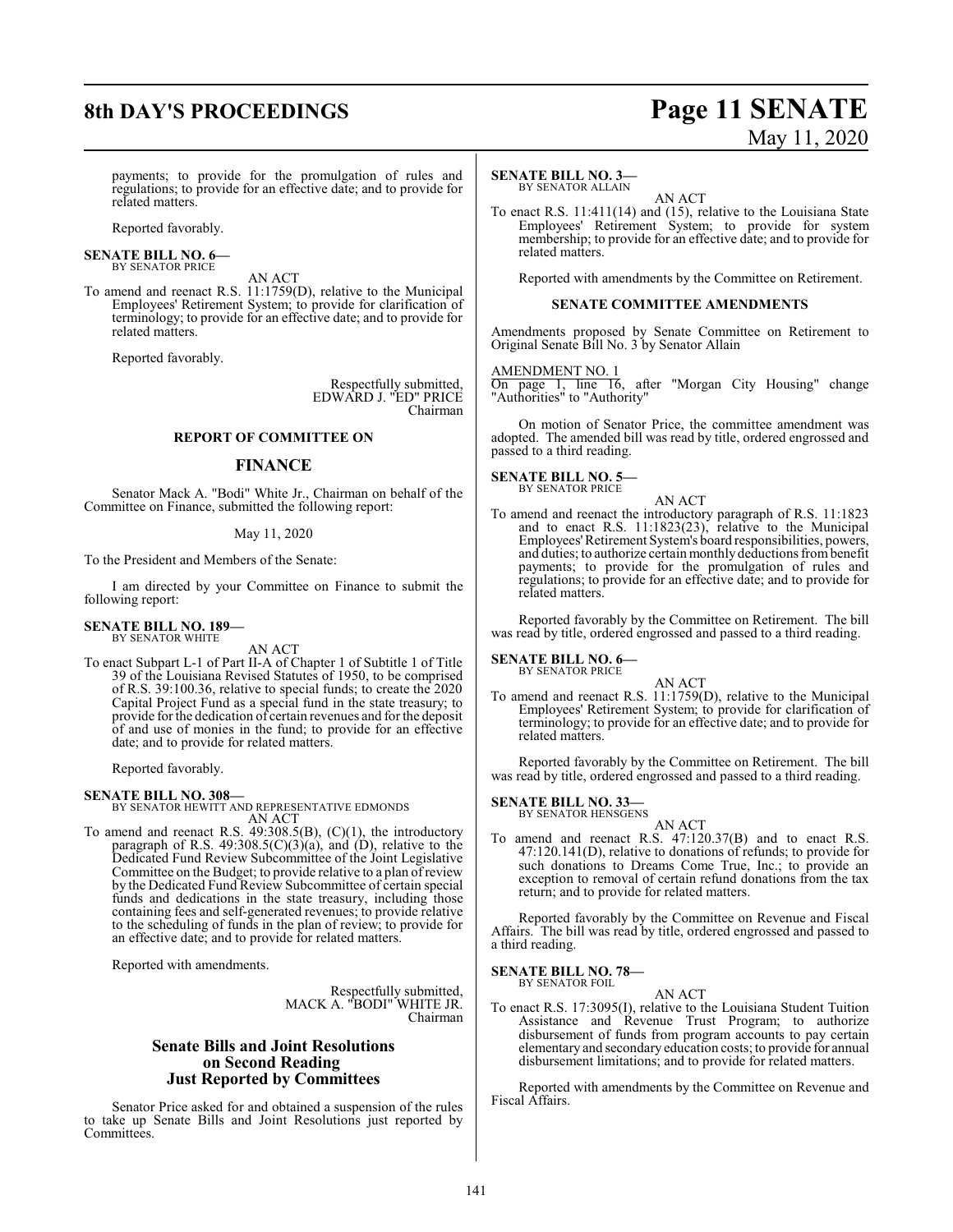# **8th DAY'S PROCEEDINGS Page 11 SENATE**

# May 11, 2020

payments; to provide for the promulgation of rules and regulations; to provide for an effective date; and to provide for related matters.

Reported favorably.

**SENATE BILL NO. 6—** BY SENATOR PRICE

AN ACT To amend and reenact R.S. 11:1759(D), relative to the Municipal Employees' Retirement System; to provide for clarification of terminology; to provide for an effective date; and to provide for related matters.

Reported favorably.

Respectfully submitted, EDWARD J. "ED" PRICE Chairman

#### **REPORT OF COMMITTEE ON**

#### **FINANCE**

Senator Mack A. "Bodi" White Jr., Chairman on behalf of the Committee on Finance, submitted the following report:

#### May 11, 2020

To the President and Members of the Senate:

I am directed by your Committee on Finance to submit the following report:

**SENATE BILL NO. 189—** BY SENATOR WHITE

AN ACT

To enact Subpart L-1 of Part II-A of Chapter 1 of Subtitle 1 of Title 39 of the Louisiana Revised Statutes of 1950, to be comprised of R.S. 39:100.36, relative to special funds; to create the 2020 Capital Project Fund as a special fund in the state treasury; to provide forthe dedication of certain revenues and for the deposit of and use of monies in the fund; to provide for an effective date; and to provide for related matters.

Reported favorably.

**SENATE BILL NO. 308—** BY SENATOR HEWITT AND REPRESENTATIVE EDMONDS AN ACT

To amend and reenact R.S. 49:308.5(B), (C)(1), the introductory paragraph of R.S.  $49:308.5(C)(3)(a)$ , and  $(D)$ , relative to the Dedicated Fund Review Subcommittee of the Joint Legislative Committee on the Budget; to provide relative to a plan ofreview by the Dedicated Fund Review Subcommittee of certain special funds and dedications in the state treasury, including those containing fees and self-generated revenues; to provide relative to the scheduling of funds in the plan of review; to provide for an effective date; and to provide for related matters.

Reported with amendments.

Respectfully submitted, MACK A. "BODI" WHITE JR. Chairman

#### **Senate Bills and Joint Resolutions on Second Reading Just Reported by Committees**

Senator Price asked for and obtained a suspension of the rules to take up Senate Bills and Joint Resolutions just reported by Committees.

#### **SENATE BILL NO. 3—**

BY SENATOR ALLAIN

AN ACT To enact R.S. 11:411(14) and (15), relative to the Louisiana State Employees' Retirement System; to provide for system membership; to provide for an effective date; and to provide for related matters.

Reported with amendments by the Committee on Retirement.

#### **SENATE COMMITTEE AMENDMENTS**

Amendments proposed by Senate Committee on Retirement to Original Senate Bill No. 3 by Senator Allain

AMENDMENT NO. 1

On page 1, line 16, after "Morgan City Housing" change "Authorities" to "Authority"

On motion of Senator Price, the committee amendment was adopted. The amended bill was read by title, ordered engrossed and passed to a third reading.

# **SENATE BILL NO. 5—**<br>BY SENATOR PRICE

AN ACT To amend and reenact the introductory paragraph of R.S. 11:1823 and to enact R.S. 11:1823(23), relative to the Municipal Employees'Retirement System's board responsibilities, powers, and duties; to authorize certain monthly deductions frombenefit payments; to provide for the promulgation of rules and regulations; to provide for an effective date; and to provide for related matters.

Reported favorably by the Committee on Retirement. The bill was read by title, ordered engrossed and passed to a third reading.

# **SENATE BILL NO. 6—**<br>BY SENATOR PRICE

AN ACT To amend and reenact R.S. 11:1759(D), relative to the Municipal Employees' Retirement System; to provide for clarification of terminology; to provide for an effective date; and to provide for related matters.

Reported favorably by the Committee on Retirement. The bill was read by title, ordered engrossed and passed to a third reading.

# **SENATE BILL NO. 33—** BY SENATOR HENSGENS

AN ACT

To amend and reenact R.S. 47:120.37(B) and to enact R.S. 47:120.141(D), relative to donations of refunds; to provide for such donations to Dreams Come True, Inc.; to provide an exception to removal of certain refund donations from the tax return; and to provide for related matters.

Reported favorably by the Committee on Revenue and Fiscal Affairs. The bill was read by title, ordered engrossed and passed to a third reading.

#### **SENATE BILL NO. 78—** BY SENATOR FOIL

AN ACT

To enact R.S. 17:3095(I), relative to the Louisiana Student Tuition Assistance and Revenue Trust Program; to authorize disbursement of funds from program accounts to pay certain elementary and secondary education costs; to provide for annual disbursement limitations; and to provide for related matters.

Reported with amendments by the Committee on Revenue and Fiscal Affairs.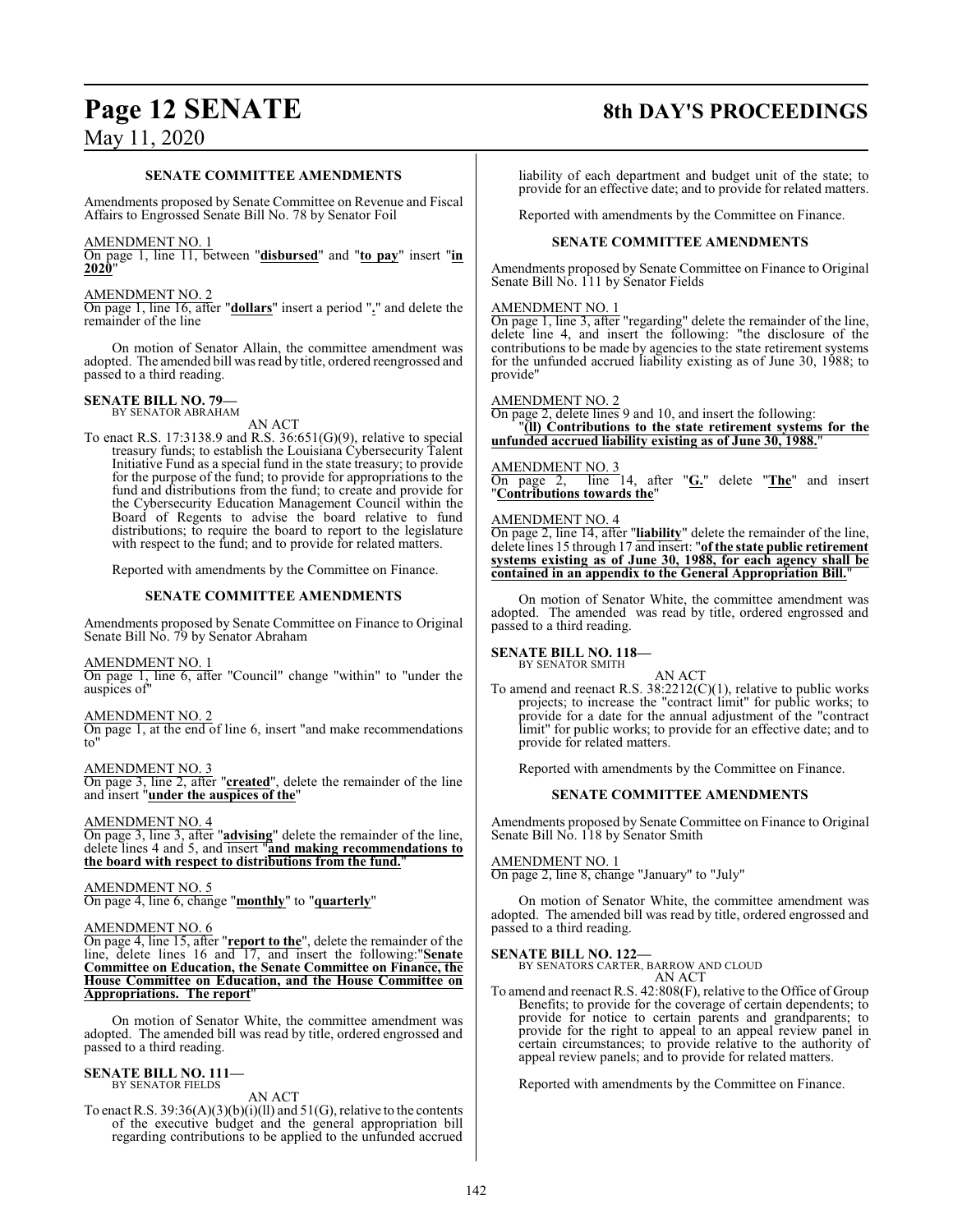# **Page 12 SENATE 8th DAY'S PROCEEDINGS**

#### **SENATE COMMITTEE AMENDMENTS**

Amendments proposed by Senate Committee on Revenue and Fiscal Affairs to Engrossed Senate Bill No. 78 by Senator Foil

#### AMENDMENT NO. 1

On page 1, line 11, between "**disbursed**" and "**to pay**" insert "**in 2020**"

#### AMENDMENT NO. 2

On page 1, line 16, after "**dollars**" insert a period "**.**" and delete the remainder of the line

On motion of Senator Allain, the committee amendment was adopted. The amended bill was read by title, ordered reengrossed and passed to a third reading.

#### **SENATE BILL NO. 79—** BY SENATOR ABRAHAM

AN ACT To enact R.S. 17:3138.9 and R.S. 36:651(G)(9), relative to special treasury funds; to establish the Louisiana Cybersecurity Talent Initiative Fund as a special fund in the state treasury; to provide for the purpose of the fund; to provide for appropriations to the fund and distributions from the fund; to create and provide for the Cybersecurity Education Management Council within the Board of Regents to advise the board relative to fund distributions; to require the board to report to the legislature with respect to the fund; and to provide for related matters.

Reported with amendments by the Committee on Finance.

#### **SENATE COMMITTEE AMENDMENTS**

Amendments proposed by Senate Committee on Finance to Original Senate Bill No. 79 by Senator Abraham

AMENDMENT NO. 1 On page 1, line 6, after "Council" change "within" to "under the auspices of"

### AMENDMENT NO. 2 On page 1, at the end of line 6, insert "and make recommendations

to"

AMENDMENT NO. 3 On page 3, line 2, after "**created**", delete the remainder of the line and insert "**under the auspices of the**"

#### AMENDMENT NO. 4

On page 3, line 3, after "**advising**" delete the remainder of the line, delete lines 4 and 5, and insert "**and making recommendations to the board with respect to distributions from the fund.**"

#### AMENDMENT NO. 5

On page 4, line 6, change "**monthly**" to "**quarterly**"

#### AMENDMENT NO. 6

On page 4, line 15, after "**report to the**", delete the remainder of the line, delete lines 16 and 17, and insert the following:"**Senate Committee on Education, the Senate Committee on Finance, the House Committee on Education, and the House Committee on Appropriations. The report**"

On motion of Senator White, the committee amendment was adopted. The amended bill was read by title, ordered engrossed and passed to a third reading.

#### **SENATE BILL NO. 111—** BY SENATOR FIELDS

AN ACT

To enact R.S.  $39:36(A)(3)(b)(i)(ll)$  and  $51(G)$ , relative to the contents of the executive budget and the general appropriation bill regarding contributions to be applied to the unfunded accrued

liability of each department and budget unit of the state; to provide for an effective date; and to provide for related matters.

Reported with amendments by the Committee on Finance.

#### **SENATE COMMITTEE AMENDMENTS**

Amendments proposed by Senate Committee on Finance to Original Senate Bill No. 111 by Senator Fields

#### AMENDMENT NO. 1

On page 1, line 3, after "regarding" delete the remainder of the line, delete line 4, and insert the following: "the disclosure of the contributions to be made by agencies to the state retirement systems for the unfunded accrued liability existing as of June 30, 1988; to provide"

#### AMENDMENT NO. 2

On page 2, delete lines 9 and 10, and insert the following: "**(ll) Contributions to the state retirement systems for the unfunded accrued liability existing as of June 30, 1988.**"

#### AMENDMENT NO. 3

On page 2, line 14, after "**G.**" delete "**The**" and insert "**Contributions towards the**"

#### AMENDMENT NO. 4

On page 2, line 14, after "**liability**" delete the remainder of the line, delete lines 15 through 17 and insert: "**of the state public retirement systems existing as of June 30, 1988, for each agency shall be contained in an appendix to the General Appropriation Bill.**"

On motion of Senator White, the committee amendment was adopted. The amended was read by title, ordered engrossed and passed to a third reading.

#### **SENATE BILL NO. 118—** BY SENATOR SMITH

#### AN ACT

To amend and reenact R.S. 38:2212(C)(1), relative to public works projects; to increase the "contract limit" for public works; to provide for a date for the annual adjustment of the "contract limit" for public works; to provide for an effective date; and to provide for related matters.

Reported with amendments by the Committee on Finance.

#### **SENATE COMMITTEE AMENDMENTS**

Amendments proposed by Senate Committee on Finance to Original Senate Bill No. 118 by Senator Smith

#### AMENDMENT NO. 1

On page 2, line 8, change "January" to "July"

On motion of Senator White, the committee amendment was adopted. The amended bill was read by title, ordered engrossed and passed to a third reading.

**SENATE BILL NO. 122—** BY SENATORS CARTER, BARROW AND CLOUD AN ACT

To amend and reenact R.S. 42:808(F), relative to the Office of Group Benefits; to provide for the coverage of certain dependents; to provide for notice to certain parents and grandparents; to provide for the right to appeal to an appeal review panel in certain circumstances; to provide relative to the authority of appeal review panels; and to provide for related matters.

Reported with amendments by the Committee on Finance.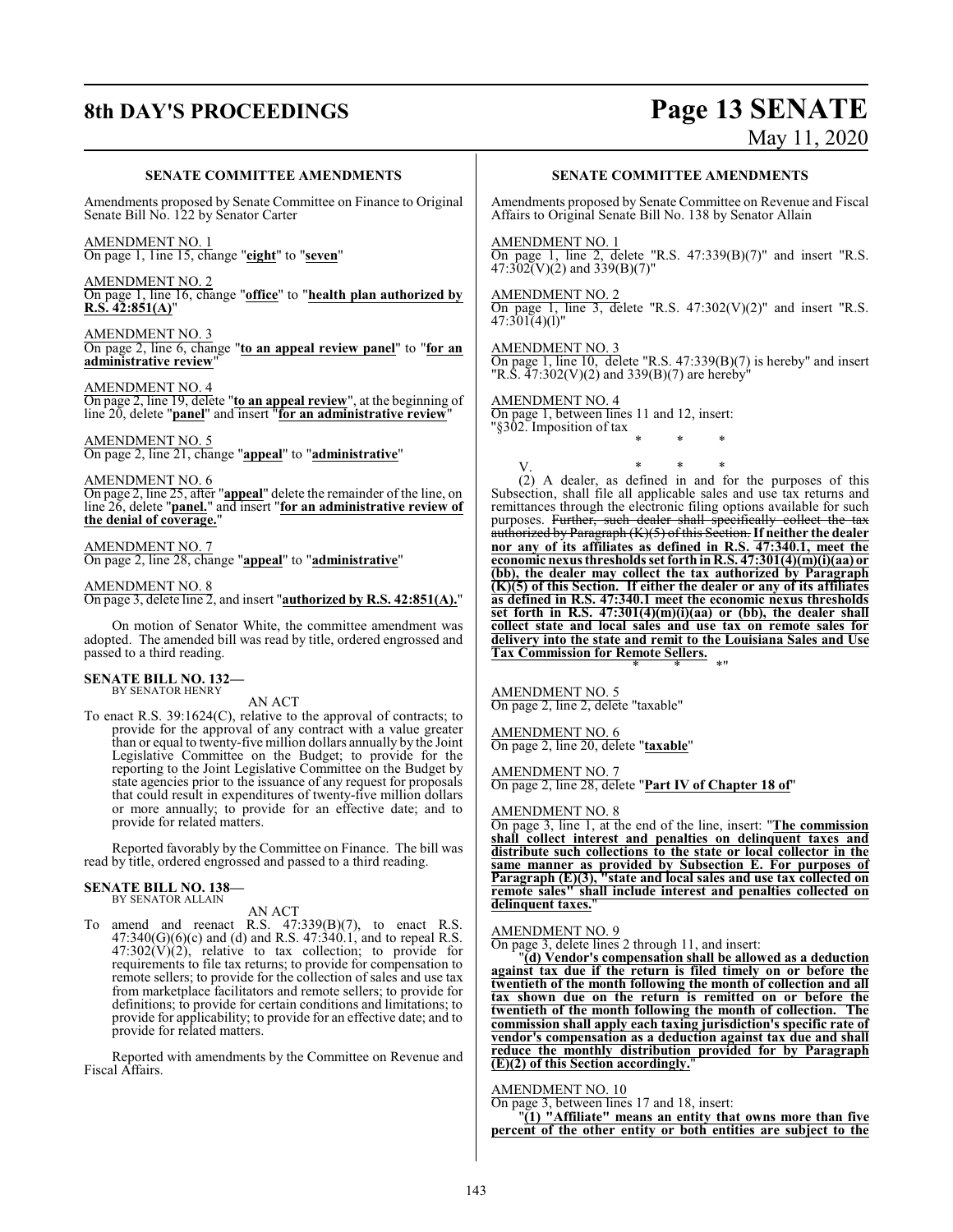# **8th DAY'S PROCEEDINGS Page 13 SENATE**

May 11, 2020

#### **SENATE COMMITTEE AMENDMENTS**

Amendments proposed by Senate Committee on Finance to Original Senate Bill No. 122 by Senator Carter

AMENDMENT NO. 1 On page 1, 1ine 15, change "**eight**" to "**seven**"

AMENDMENT NO. 2 On page 1, line 16, change "**office**" to "**health plan authorized by R.S. 42:851(A)**"

AMENDMENT NO. 3 On page 2, line 6, change "**to an appeal review panel**" to "**for an administrative review**"

AMENDMENT NO. 4 On page 2, line 19, delete "**to an appeal review**", at the beginning of line 20, delete "**panel**" and insert "**for an administrative review**"

AMENDMENT NO. 5 On page 2, line 21, change "**appeal**" to "**administrative**"

AMENDMENT NO. 6 On page 2, line 25, after "**appeal**" delete the remainder of the line, on line 26, delete "**panel.**" and insert "**for an administrative review of the denial of coverage.**"

#### AMENDMENT NO. 7

On page 2, line 28, change "**appeal**" to "**administrative**"

AMENDMENT NO. 8

On page 3, delete line 2, and insert "**authorized by R.S. 42:851(A).**"

On motion of Senator White, the committee amendment was adopted. The amended bill was read by title, ordered engrossed and passed to a third reading.

#### **SENATE BILL NO. 132—** BY SENATOR HENRY

AN ACT

To enact R.S. 39:1624(C), relative to the approval of contracts; to provide for the approval of any contract with a value greater than or equal to twenty-five million dollars annually by the Joint Legislative Committee on the Budget; to provide for the reporting to the Joint Legislative Committee on the Budget by state agencies prior to the issuance of any request for proposals that could result in expenditures of twenty-five million dollars or more annually; to provide for an effective date; and to provide for related matters.

Reported favorably by the Committee on Finance. The bill was read by title, ordered engrossed and passed to a third reading.

#### **SENATE BILL NO. 138—** BY SENATOR ALLAIN

AN ACT

To amend and reenact R.S.  $47:339(B)(7)$ , to enact R.S.  $47:340(G)(6)(c)$  and (d) and R.S.  $47:340.1$ , and to repeal R.S.  $47:302(V)(2)$ , relative to tax collection; to provide for requirements to file tax returns; to provide for compensation to remote sellers; to provide for the collection of sales and use tax from marketplace facilitators and remote sellers; to provide for definitions; to provide for certain conditions and limitations; to provide for applicability; to provide for an effective date; and to provide for related matters.

Reported with amendments by the Committee on Revenue and Fiscal Affairs.

#### **SENATE COMMITTEE AMENDMENTS**

Amendments proposed by Senate Committee on Revenue and Fiscal Affairs to Original Senate Bill No. 138 by Senator Allain

AMENDMENT NO. 1

On page 1, line 2, delete "R.S.  $47:339(B)(7)$ " and insert "R.S.  $47:302(V)(2)$  and  $339(B)(7)$ "

AMENDMENT NO. 2

On page 1, line 3, delete "R.S.  $47:302(V)(2)$ " and insert "R.S. 47:301(4)(l)"

AMENDMENT NO. 3 On page 1, line 10, delete "R.S. 47:339(B)(7) is hereby" and insert "R.S.  $47:302(V)(2)$  and 339(B)(7) are hereby<sup>"</sup>

AMENDMENT NO. 4

On page 1, between lines 11 and 12, insert: "§302. Imposition of tax \* \* \*

V. \* \* \* (2) A dealer, as defined in and for the purposes of this Subsection, shall file all applicable sales and use tax returns and remittances through the electronic filing options available for such purposes. Further, such dealer shall specifically collect the tax authorized by Paragraph (K)(5) of this Section. **If neither the dealer nor any of its affiliates as defined in R.S. 47:340.1, meet the economic nexus thresholds set forth in R.S. 47:301(4)(m)(i)(aa) or (bb), the dealer may collect the tax authorized by Paragraph (K)(5) of this Section. If either the dealer or any of its affiliates as defined in R.S. 47:340.1 meet the economic nexus thresholds set forth in R.S. 47:301(4)(m)(i)(aa) or (bb), the dealer shall collect state and local sales and use tax on remote sales for delivery into the state and remit to the Louisiana Sales and Use Tax Commission for Remote Sellers.** \* \* \*"

AMENDMENT NO. 5 On page 2, line 2, delete "taxable"

AMENDMENT NO. 6 On page 2, line 20, delete "**taxable**"

AMENDMENT NO. 7

On page 2, line 28, delete "**Part IV of Chapter 18 of**"

AMENDMENT NO. 8

On page 3, line 1, at the end of the line, insert: "**The commission shall collect interest and penalties on delinquent taxes and distribute such collections to the state or local collector in the same manner as provided by Subsection E. For purposes of Paragraph (E)(3), "state and local sales and use tax collected on remote sales" shall include interest and penalties collected on delinquent taxes.**"

#### AMENDMENT NO. 9

On page 3, delete lines 2 through 11, and insert:

"**(d) Vendor's compensation shall be allowed as a deduction against tax due if the return is filed timely on or before the twentieth of the month following the month of collection and all tax shown due on the return is remitted on or before the twentieth of the month following the month of collection. The commission shall apply each taxing jurisdiction's specific rate of vendor's compensation as a deduction against tax due and shall reduce the monthly distribution provided for by Paragraph (E)(2) of this Section accordingly.**"

#### AMENDMENT NO. 10

On page 3, between lines 17 and 18, insert:

"**(1) "Affiliate" means an entity that owns more than five percent of the other entity or both entities are subject to the**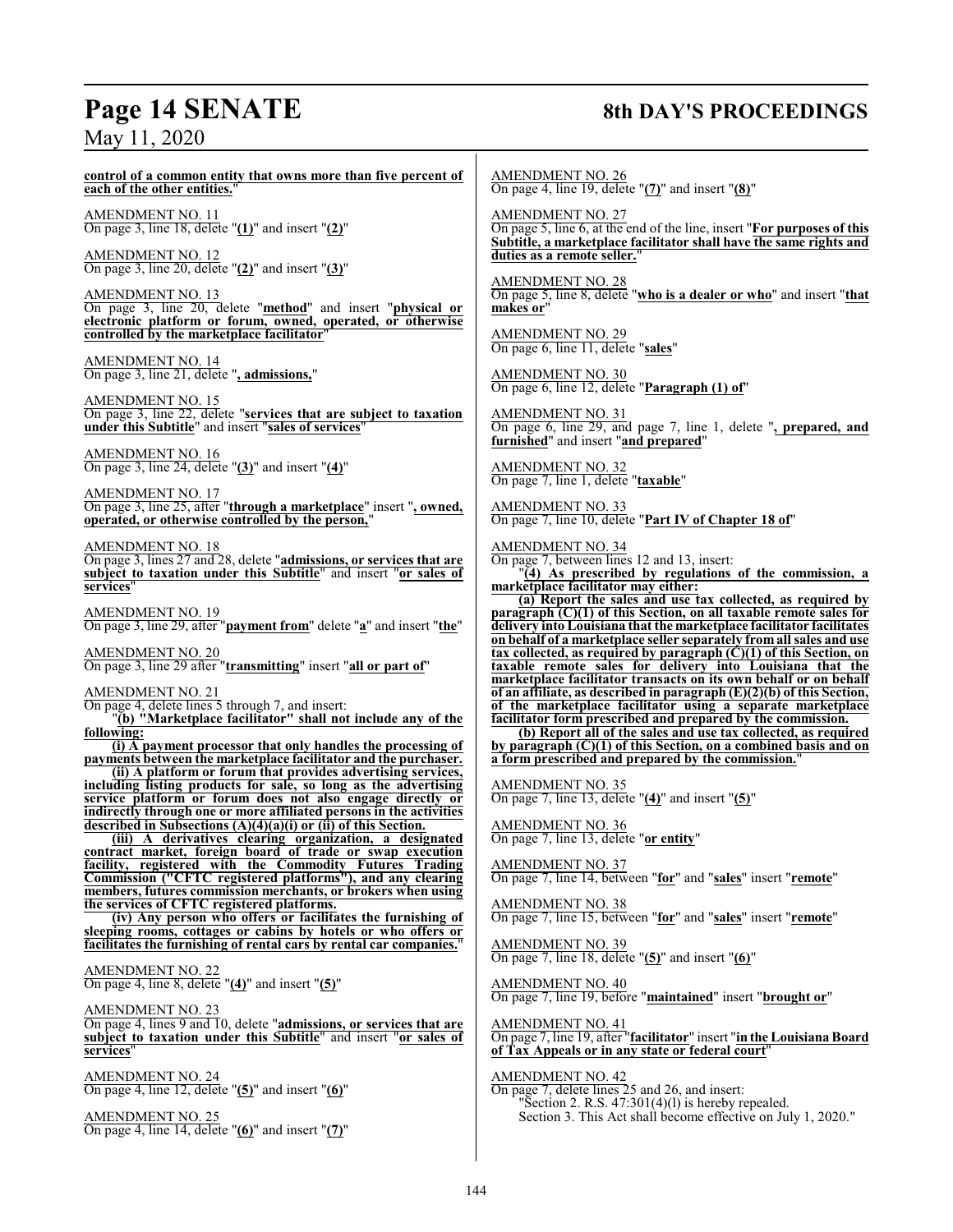# **Page 14 SENATE 8th DAY'S PROCEEDINGS**

May 11, 2020

**control of a common entity that owns more than five percent of each of the other entities.**" AMENDMENT NO. 11 On page 3, line 18, delete "**(1)**" and insert "**(2)**" AMENDMENT NO. 12 On page 3, line 20, delete "**(2)**" and insert "**(3)**" AMENDMENT NO. 13 On page 3, line 20, delete "**method**" and insert "**physical or electronic platform or forum, owned, operated, or otherwise controlled by the marketplace facilitator**" AMENDMENT NO. 14 On page 3, line 21, delete "**, admissions,**" AMENDMENT NO. 15 On page 3, line 22, delete "**services that are subject to taxation under this Subtitle**" and insert "**sales of services**" AMENDMENT NO. 16 On page 3, line 24, delete "**(3)**" and insert "**(4)**" AMENDMENT NO. 17 On page 3, line 25, after "**through a marketplace**" insert "**, owned, operated, or otherwise controlled by the person,**" AMENDMENT NO. 18 On page 3, lines 27 and 28, delete "**admissions, or services that are subject to taxation under this Subtitle**" and insert "**or sales of services**" AMENDMENT NO. 19 On page 3, line 29, after "**payment from**" delete "**a**" and insert "**the**" AMENDMENT NO. 20 On page 3, line 29 after "**transmitting**" insert "**all or part of**" AMENDMENT NO. 21 On page 4, delete lines 5 through 7, and insert: "**(b) "Marketplace facilitator" shall not include any of the following: (i) A payment processor that only handles the processing of payments between the marketplace facilitator and the purchaser. (ii) A platform or forum that provides advertising services, including listing products for sale, so long as the advertising service platform or forum does not also engage directly or indirectly through one or more affiliated persons in the activities described in Subsections (A)(4)(a)(i) or (ii) of this Section. (iii) A derivatives clearing organization, a designated contract market, foreign board of trade or swap execution facility, registered with the Commodity Futures Trading Commission ("CFTC registered platforms"), and any clearing members, futures commission merchants, or brokers when using the services of CFTC registered platforms. (iv) Any person who offers or facilitates the furnishing of sleeping rooms, cottages or cabins by hotels or who offers or facilitates the furnishing of rental cars by rental car companies.**" AMENDMENT NO. 22 On page 4, line 8, delete "**(4)**" and insert "**(5)**" AMENDMENT NO. 23 On page 4, lines 9 and 10, delete "**admissions, or services that are subject to taxation under this Subtitle**" and insert "**or sales of** services AMENDMENT NO. 24 On page 4, line 12, delete "**(5)**" and insert "**(6)**" AMENDMENT NO. 25 On page 4, line 14, delete "**(6)**" and insert "**(7)**" AMENDMENT NO. 26 On page 4, line 19, delete "**(7)**" and insert "**(8)**" AMENDMENT NO. 27 On page 5, line 6, at the end of the line, insert "**For purposes of this Subtitle, a marketplace facilitator shall have the same rights and duties as a remote seller.**" AMENDMENT NO. 28 On page 5, line 8, delete "**who is a dealer or who**" and insert "**that makes or**" AMENDMENT NO. 29 On page 6, line 11, delete "**sales**" AMENDMENT NO. 30 On page 6, line 12, delete "**Paragraph (1) of**" AMENDMENT NO. 31 On page 6, line 29, and page 7, line 1, delete "**, prepared, and furnished**" and insert "**and prepared**" AMENDMENT NO. 32 On page 7, line 1, delete "**taxable**" AMENDMENT NO. 33 On page 7, line 10, delete "**Part IV of Chapter 18 of**" AMENDMENT NO. 34 On page 7, between lines 12 and 13, insert: "**(4) As prescribed by regulations of the commission, a marketplace facilitator may either: (a) Report the sales and use tax collected, as required by paragraph (C)(1) of this Section, on all taxable remote sales for delivery into Louisiana that the marketplace facilitator facilitates on behalf of a marketplace seller separately from all sales and use tax collected, as required by paragraph (C)(1) of this Section, on taxable remote sales for delivery into Louisiana that the marketplace facilitator transacts on its own behalf or on behalf of an affiliate, as described in paragraph (E)(2)(b) of this Section, of the marketplace facilitator using a separate marketplace facilitator form prescribed and prepared by the commission. (b) Report all of the sales and use tax collected, as required by paragraph (C)(1) of this Section, on a combined basis and on a form prescribed and prepared by the commission.**" AMENDMENT NO. 35 On page 7, line 13, delete "**(4)**" and insert "**(5)**" AMENDMENT NO. 36 On page 7, line 13, delete "**or entity**" AMENDMENT NO. 37 On page 7, line 14, between "**for**" and "**sales**" insert "**remote**" AMENDMENT NO. 38 On page 7, line 15, between "**for**" and "**sales**" insert "**remote**" AMENDMENT NO. 39 On page 7, line 18, delete "**(5)**" and insert "**(6)**" AMENDMENT NO. 40 On page 7, line 19, before "**maintained**" insert "**brought or**" AMENDMENT NO. 41 On page 7, line 19, after "**facilitator**" insert "in the Louisiana Board **of Tax Appeals or in any state or federal court**" AMENDMENT NO. 42 On page 7, delete lines 25 and 26, and insert: "Section 2. R.S. 47:301(4)(l) is hereby repealed. Section 3. This Act shall become effective on July 1, 2020."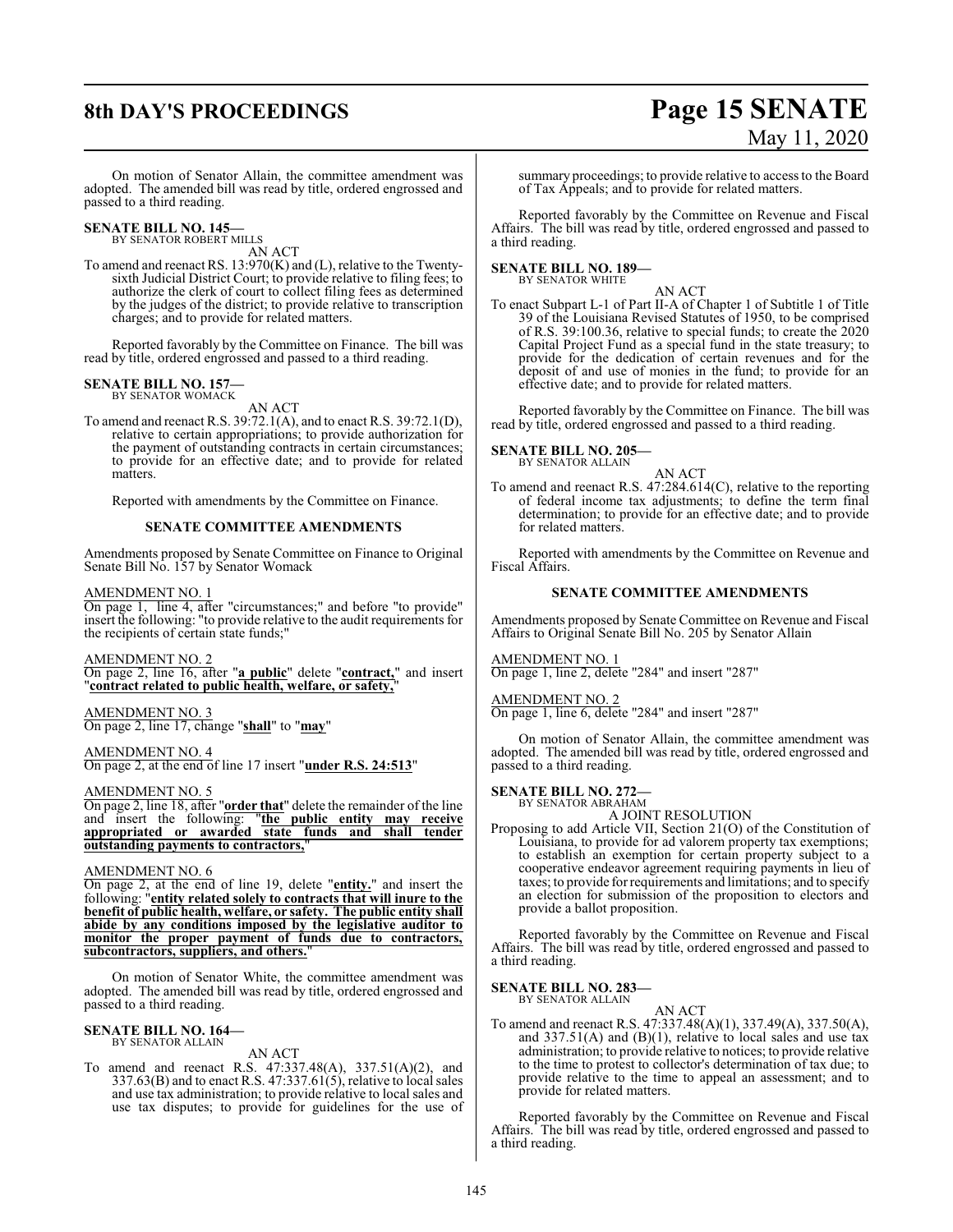# **8th DAY'S PROCEEDINGS Page 15 SENATE** May 11, 2020

On motion of Senator Allain, the committee amendment was adopted. The amended bill was read by title, ordered engrossed and passed to a third reading.

#### **SENATE BILL NO. 145—** BY SENATOR ROBERT MILLS

AN ACT

To amend and reenact RS. 13:970(K) and (L), relative to the Twentysixth Judicial District Court; to provide relative to filing fees; to authorize the clerk of court to collect filing fees as determined by the judges of the district; to provide relative to transcription charges; and to provide for related matters.

Reported favorably by the Committee on Finance. The bill was read by title, ordered engrossed and passed to a third reading.

#### **SENATE BILL NO. 157—**

BY SENATOR WOMACK AN ACT

To amend and reenact R.S. 39:72.1(A), and to enact R.S. 39:72.1(D), relative to certain appropriations; to provide authorization for the payment of outstanding contracts in certain circumstances; to provide for an effective date; and to provide for related matters.

Reported with amendments by the Committee on Finance.

#### **SENATE COMMITTEE AMENDMENTS**

Amendments proposed by Senate Committee on Finance to Original Senate Bill No. 157 by Senator Womack

#### AMENDMENT NO. 1

On page 1, line 4, after "circumstances;" and before "to provide" insert the following: "to provide relative to the audit requirements for the recipients of certain state funds;"

#### AMENDMENT NO. 2

On page 2, line 16, after "**a public**" delete "**contract,**" and insert "**contract related to public health, welfare, or safety,**"

AMENDMENT NO. 3 On page 2, line 17, change "**shall**" to "**may**"

AMENDMENT NO. 4 On page 2, at the end of line 17 insert "**under R.S. 24:513**"

#### AMENDMENT NO. 5

On page 2, line 18, after "**order that**" delete the remainder of the line and insert the following: "**the public entity may receive appropriated or awarded state funds and shall tender outstanding payments to contractors,**"

#### AMENDMENT NO. 6

On page 2, at the end of line 19, delete "**entity.**" and insert the following: "**entity related solely to contracts that will inure to the benefit of public health, welfare, or safety. The public entity shall abide by any conditions imposed by the legislative auditor to monitor the proper payment of funds due to contractors, subcontractors, suppliers, and others.**"

On motion of Senator White, the committee amendment was adopted. The amended bill was read by title, ordered engrossed and passed to a third reading.

#### **SENATE BILL NO. 164—** BY SENATOR ALLAIN

AN ACT

To amend and reenact R.S. 47:337.48(A), 337.51(A)(2), and 337.63(B) and to enact R.S. 47:337.61(5), relative to local sales and use tax administration; to provide relative to local sales and use tax disputes; to provide for guidelines for the use of

summary proceedings; to provide relative to access to the Board of Tax Appeals; and to provide for related matters.

Reported favorably by the Committee on Revenue and Fiscal Affairs. The bill was read by title, ordered engrossed and passed to a third reading.

# **SENATE BILL NO. 189—** BY SENATOR WHITE

AN ACT

To enact Subpart L-1 of Part II-A of Chapter 1 of Subtitle 1 of Title 39 of the Louisiana Revised Statutes of 1950, to be comprised of R.S. 39:100.36, relative to special funds; to create the 2020 Capital Project Fund as a special fund in the state treasury; to provide for the dedication of certain revenues and for the deposit of and use of monies in the fund; to provide for an effective date; and to provide for related matters.

Reported favorably by the Committee on Finance. The bill was read by title, ordered engrossed and passed to a third reading.

#### **SENATE BILL NO. 205—** BY SENATOR ALLAIN

AN ACT

To amend and reenact R.S. 47:284.614(C), relative to the reporting of federal income tax adjustments; to define the term final determination; to provide for an effective date; and to provide for related matters.

Reported with amendments by the Committee on Revenue and Fiscal Affairs.

#### **SENATE COMMITTEE AMENDMENTS**

Amendments proposed by Senate Committee on Revenue and Fiscal Affairs to Original Senate Bill No. 205 by Senator Allain

#### AMENDMENT NO. 1

On page 1, line 2, delete "284" and insert "287"

AMENDMENT NO. 2

On page 1, line 6, delete "284" and insert "287"

On motion of Senator Allain, the committee amendment was adopted. The amended bill was read by title, ordered engrossed and passed to a third reading.

#### **SENATE BILL NO. 272—** BY SENATOR ABRAHAM

A JOINT RESOLUTION

Proposing to add Article VII, Section 21(O) of the Constitution of Louisiana, to provide for ad valorem property tax exemptions; to establish an exemption for certain property subject to a cooperative endeavor agreement requiring payments in lieu of taxes; to provide for requirements and limitations; and to specify an election for submission of the proposition to electors and provide a ballot proposition.

Reported favorably by the Committee on Revenue and Fiscal Affairs. The bill was read by title, ordered engrossed and passed to a third reading.

### **SENATE BILL NO. 283—**

BY SENATOR ALLAIN

AN ACT To amend and reenact R.S. 47:337.48(A)(1), 337.49(A), 337.50(A), and  $337.51(A)$  and  $(B)(1)$ , relative to local sales and use tax administration; to provide relative to notices; to provide relative to the time to protest to collector's determination of tax due; to provide relative to the time to appeal an assessment; and to provide for related matters.

Reported favorably by the Committee on Revenue and Fiscal Affairs. The bill was read by title, ordered engrossed and passed to a third reading.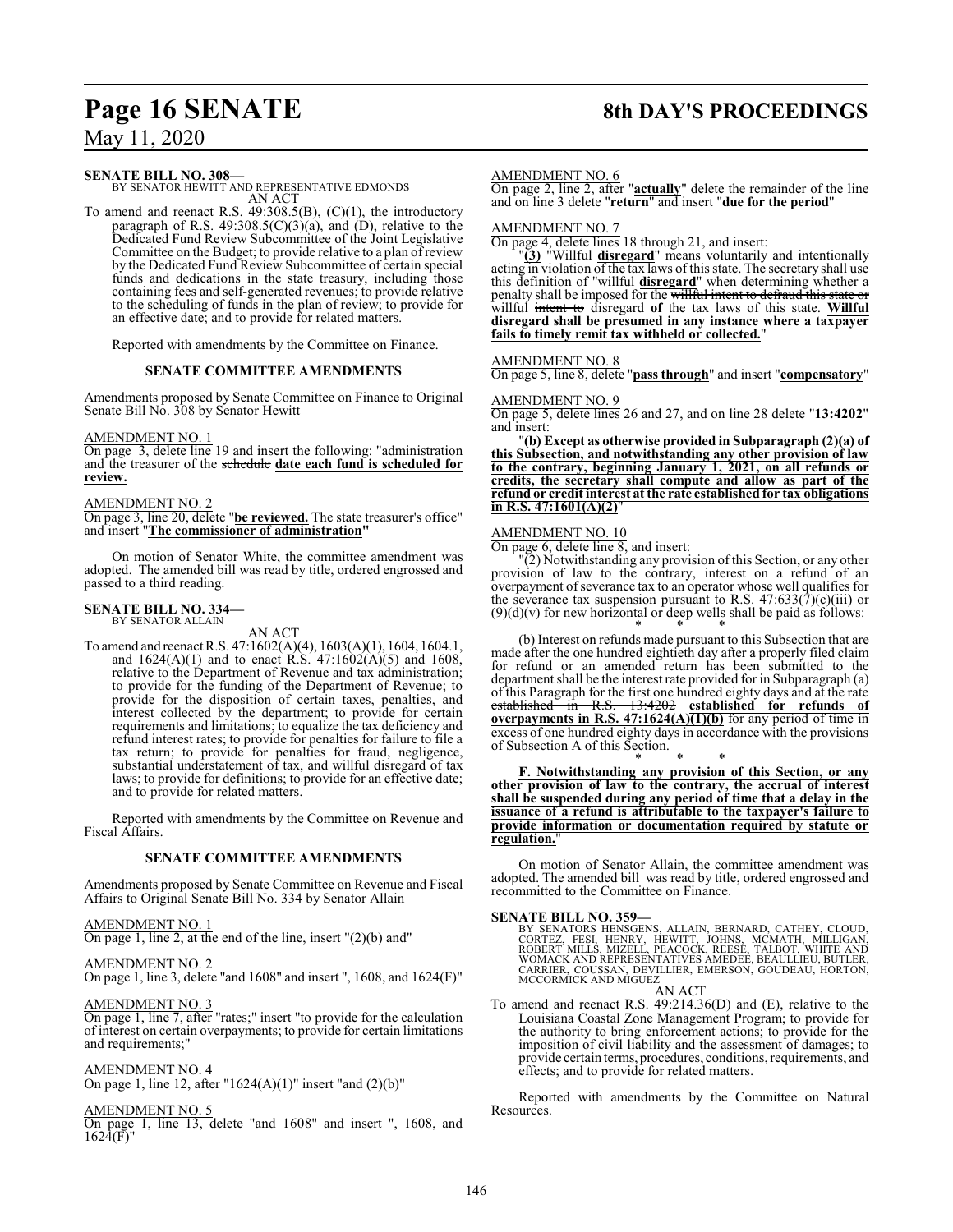# **Page 16 SENATE 8th DAY'S PROCEEDINGS**

# May 11, 2020

#### **SENATE BILL NO. 308—**

BY SENATOR HEWITT AND REPRESENTATIVE EDMONDS AN ACT

To amend and reenact R.S. 49:308.5(B), (C)(1), the introductory paragraph of R.S.  $49:308.5(C)(3)(a)$ , and  $(D)$ , relative to the Dedicated Fund Review Subcommittee of the Joint Legislative Committee on the Budget; to provide relative to a plan ofreview by the Dedicated Fund Review Subcommittee of certain special funds and dedications in the state treasury, including those containing fees and self-generated revenues; to provide relative to the scheduling of funds in the plan of review; to provide for an effective date; and to provide for related matters.

Reported with amendments by the Committee on Finance.

#### **SENATE COMMITTEE AMENDMENTS**

Amendments proposed by Senate Committee on Finance to Original Senate Bill No. 308 by Senator Hewitt

#### AMENDMENT NO. 1

On page 3, delete line 19 and insert the following: "administration and the treasurer of the schedule **date each fund is scheduled for review.**

#### AMENDMENT NO. 2

On page 3, line 20, delete "**be reviewed.** The state treasurer's office" and insert "**The commissioner of administration"**

On motion of Senator White, the committee amendment was adopted. The amended bill was read by title, ordered engrossed and passed to a third reading.

#### **SENATE BILL NO. 334—** BY SENATOR ALLAIN

AN ACT

To amend and reenact R.S. 47:1602(A)(4), 1603(A)(1), 1604, 1604.1, and  $1624(A)(1)$  and to enact R.S.  $47:1602(A)(5)$  and  $1608$ , relative to the Department of Revenue and tax administration; to provide for the funding of the Department of Revenue; to provide for the disposition of certain taxes, penalties, and interest collected by the department; to provide for certain requirements and limitations; to equalize the tax deficiency and refund interest rates; to provide for penalties for failure to file a tax return; to provide for penalties for fraud, negligence, substantial understatement of tax, and willful disregard of tax laws; to provide for definitions; to provide for an effective date; and to provide for related matters.

Reported with amendments by the Committee on Revenue and Fiscal Affairs.

#### **SENATE COMMITTEE AMENDMENTS**

Amendments proposed by Senate Committee on Revenue and Fiscal Affairs to Original Senate Bill No. 334 by Senator Allain

#### AMENDMENT NO. 1

On page 1, line 2, at the end of the line, insert "(2)(b) and"

## AMENDMENT NO. 2

On page 1, line 3, delete "and 1608" and insert ", 1608, and 1624(F)"

#### AMENDMENT NO. 3

On page 1, line 7, after "rates;" insert "to provide for the calculation of interest on certain overpayments; to provide for certain limitations and requirements;"

#### AMENDMENT NO. 4

On page 1, line 12, after "1624(A)(1)" insert "and  $(2)(b)$ "

#### AMENDMENT NO. 5

On page 1, line 13, delete "and 1608" and insert ", 1608, and  $1624(F)$ "

#### AMENDMENT NO. 6

On page 2, line 2, after "**actually**" delete the remainder of the line and on line 3 delete "**return**" and insert "**due for the period**"

#### AMENDMENT NO. 7

On page 4, delete lines 18 through 21, and insert:

"**(3)** "Willful **disregard**" means voluntarily and intentionally acting in violation of the tax laws of this state. The secretary shall use this definition of "willful **disregard**" when determining whether a penalty shall be imposed for the willful intent to defraud this sta willful intent to disregard **of** the tax laws of this state. **Willful disregard shall be presumed in any instance where a taxpayer fails to timely remit tax withheld or collected.**"

#### AMENDMENT NO. 8

On page 5, line 8, delete "**pass through**" and insert "**compensatory**"

#### AMENDMENT NO. 9 On page 5, delete lines 26 and 27, and on line 28 delete "**13:4202**" and insert:

"**(b) Except as otherwise provided in Subparagraph (2)(a) of this Subsection, and notwithstanding any other provision of law to the contrary, beginning January 1, 2021, on all refunds or credits, the secretary shall compute and allow as part of the refund or credit interest at the rate established for tax obligations in R.S. 47:1601(A)(2)**"

#### AMENDMENT NO. 10

On page 6, delete line 8, and insert:

"(2) Notwithstanding any provision of this Section, or any other provision of law to the contrary, interest on a refund of an overpayment of severance tax to an operator whose well qualifies for the severance tax suspension pursuant to R.S.  $47:633(7)(c)(iii)$  or  $(9)(d)(v)$  for new horizontal or deep wells shall be paid as follows: \* \* \*

(b) Interest on refunds made pursuant to this Subsection that are made after the one hundred eightieth day after a properly filed claim for refund or an amended return has been submitted to the department shall be the interest rate provided for in Subparagraph (a) of this Paragraph for the first one hundred eighty days and at the rate established in R.S. 13:4202 **established for refunds of overpayments in R.S. 47:1624(A)(1)(b)** for any period of time in excess of one hundred eighty days in accordance with the provisions of Subsection A of this Section. \* \* \*

**F. Notwithstanding any provision of this Section, or any other provision of law to the contrary, the accrual of interest shall be suspended during any period of time that a delay in the issuance of a refund is attributable to the taxpayer's failure to provide information or documentation required by statute or regulation.**"

On motion of Senator Allain, the committee amendment was adopted. The amended bill was read by title, ordered engrossed and recommitted to the Committee on Finance.

#### **SENATE BILL NO. 359—**

BY SENATORS HENSGENS, ALLAIN, BERNARD, CATHEY, CLOUD,<br>CORTEZ, FESI, HENRY, HEWITT, JOHNS, MCMATH, MILLIGAN,<br>ROBERT MILLS, MIZELL, PEACOCK, REESE, TALBOT, WHITE AND<br>WOMACK AND REPRESENTATIVES AMEDEE, BEAULLIEU, BUTLER,<br>CARR MCCORMICK AND MIGUEZ

AN ACT To amend and reenact R.S. 49:214.36(D) and (E), relative to the Louisiana Coastal Zone Management Program; to provide for the authority to bring enforcement actions; to provide for the imposition of civil liability and the assessment of damages; to provide certain terms, procedures, conditions, requirements, and effects; and to provide for related matters.

Reported with amendments by the Committee on Natural Resources.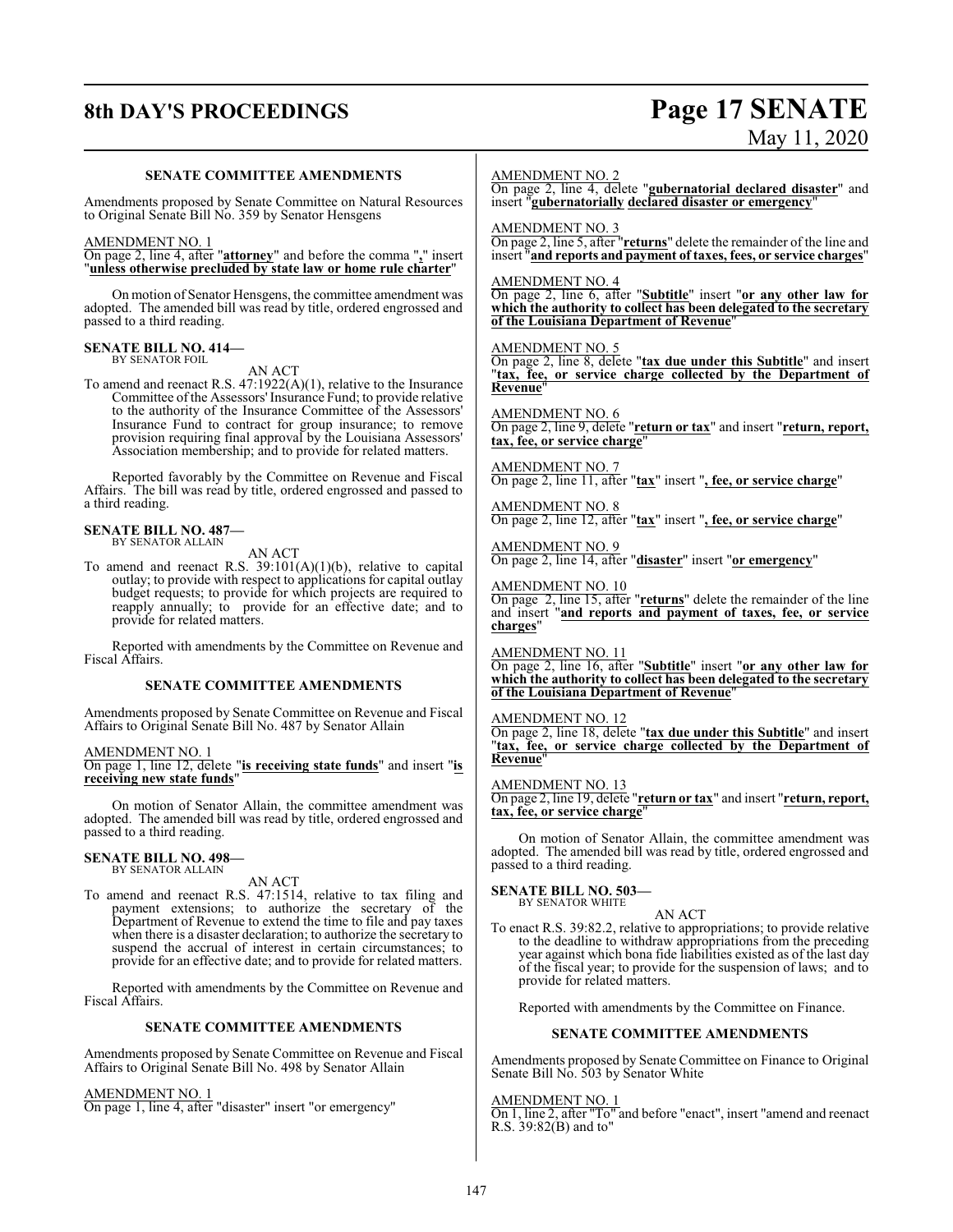# **8th DAY'S PROCEEDINGS Page 17 SENATE**

# May 11, 2020

#### **SENATE COMMITTEE AMENDMENTS**

Amendments proposed by Senate Committee on Natural Resources to Original Senate Bill No. 359 by Senator Hensgens

#### AMENDMENT NO. 1

On page 2, line 4, after "**attorney**" and before the comma "**,**" insert "**unless otherwise precluded by state law or home rule charter**"

On motion of Senator Hensgens, the committee amendment was adopted. The amended bill was read by title, ordered engrossed and passed to a third reading.

#### **SENATE BILL NO. 414—** BY SENATOR FOIL

AN ACT

To amend and reenact R.S. 47:1922(A)(1), relative to the Insurance Committee of the Assessors'Insurance Fund; to provide relative to the authority of the Insurance Committee of the Assessors' Insurance Fund to contract for group insurance; to remove provision requiring final approval by the Louisiana Assessors' Association membership; and to provide for related matters.

Reported favorably by the Committee on Revenue and Fiscal Affairs. The bill was read by title, ordered engrossed and passed to a third reading.

#### **SENATE BILL NO. 487—**

BY SENATOR ALLAIN

AN ACT

To amend and reenact R.S. 39:101(A)(1)(b), relative to capital outlay; to provide with respect to applications for capital outlay budget requests; to provide for which projects are required to reapply annually; to provide for an effective date; and to provide for related matters.

Reported with amendments by the Committee on Revenue and Fiscal Affairs.

#### **SENATE COMMITTEE AMENDMENTS**

Amendments proposed by Senate Committee on Revenue and Fiscal Affairs to Original Senate Bill No. 487 by Senator Allain

#### AMENDMENT NO. 1

On page 1, line 12, delete "**is receiving state funds**" and insert "**is receiving new state funds**"

On motion of Senator Allain, the committee amendment was adopted. The amended bill was read by title, ordered engrossed and passed to a third reading.

#### **SENATE BILL NO. 498—** BY SENATOR ALLAIN

AN ACT

To amend and reenact R.S. 47:1514, relative to tax filing and payment extensions; to authorize the secretary of the Department of Revenue to extend the time to file and pay taxes when there is a disaster declaration; to authorize the secretary to suspend the accrual of interest in certain circumstances; to provide for an effective date; and to provide for related matters.

Reported with amendments by the Committee on Revenue and Fiscal Affairs.

#### **SENATE COMMITTEE AMENDMENTS**

Amendments proposed by Senate Committee on Revenue and Fiscal Affairs to Original Senate Bill No. 498 by Senator Allain

#### AMENDMENT NO. 1

On page 1, line 4, after "disaster" insert "or emergency"

#### AMENDMENT NO. 2

On page 2, line 4, delete "**gubernatorial declared disaster**" and insert "**gubernatorially declared disaster or emergency**"

AMENDMENT NO. 3

On page 2, line 5, after "**returns**" delete the remainder of the line and insert "**and reports and payment of taxes, fees, or service charges**"

#### AMENDMENT NO. 4

On page 2, line 6, after "**Subtitle**" insert "**or any other law for which the authority to collect has been delegated to the secretary of the Louisiana Department of Revenue**"

#### AMENDMENT NO. 5

On page 2, line 8, delete "**tax due under this Subtitle**" and insert "**tax, fee, or service charge collected by the Department of Revenue**"

#### AMENDMENT NO. 6

On page 2, line 9, delete "**return or tax**" and insert "**return, report, tax, fee, or service charge**"

## AMENDMENT NO. 7

On page 2, line 11, after "**tax**" insert "**, fee, or service charge**"

AMENDMENT NO. 8 On page 2, line 12, after "**tax**" insert "**, fee, or service charge**"

AMENDMENT NO. 9 On page 2, line 14, after "**disaster**" insert "**or emergency**"

AMENDMENT NO. 10

On page 2, line 15, after "**returns**" delete the remainder of the line and insert "**and reports and payment of taxes, fee, or service charges**"

AMENDMENT NO. 11

On page 2, line 16, after "**Subtitle**" insert "**or any other law for which the authority to collect has been delegated to the secretary of the Louisiana Department of Revenue**"

#### AMENDMENT NO. 12

On page 2, line 18, delete "**tax due under this Subtitle**" and insert "**tax, fee, or service charge collected by the Department of Revenue**"

#### AMENDMENT NO. 13

On page 2, line 19, delete "**return or tax**" and insert "**return, report, tax, fee, or service charge**"

On motion of Senator Allain, the committee amendment was adopted. The amended bill was read by title, ordered engrossed and passed to a third reading.

#### **SENATE BILL NO. 503—** BY SENATOR WHITE

AN ACT

To enact R.S. 39:82.2, relative to appropriations; to provide relative to the deadline to withdraw appropriations from the preceding year against which bona fide liabilities existed as of the last day of the fiscal year; to provide for the suspension of laws; and to provide for related matters.

Reported with amendments by the Committee on Finance.

#### **SENATE COMMITTEE AMENDMENTS**

Amendments proposed by Senate Committee on Finance to Original Senate Bill No. 503 by Senator White

#### AMENDMENT NO. 1

On 1, line 2, after "To" and before "enact", insert "amend and reenact R.S. 39:82(B) and to"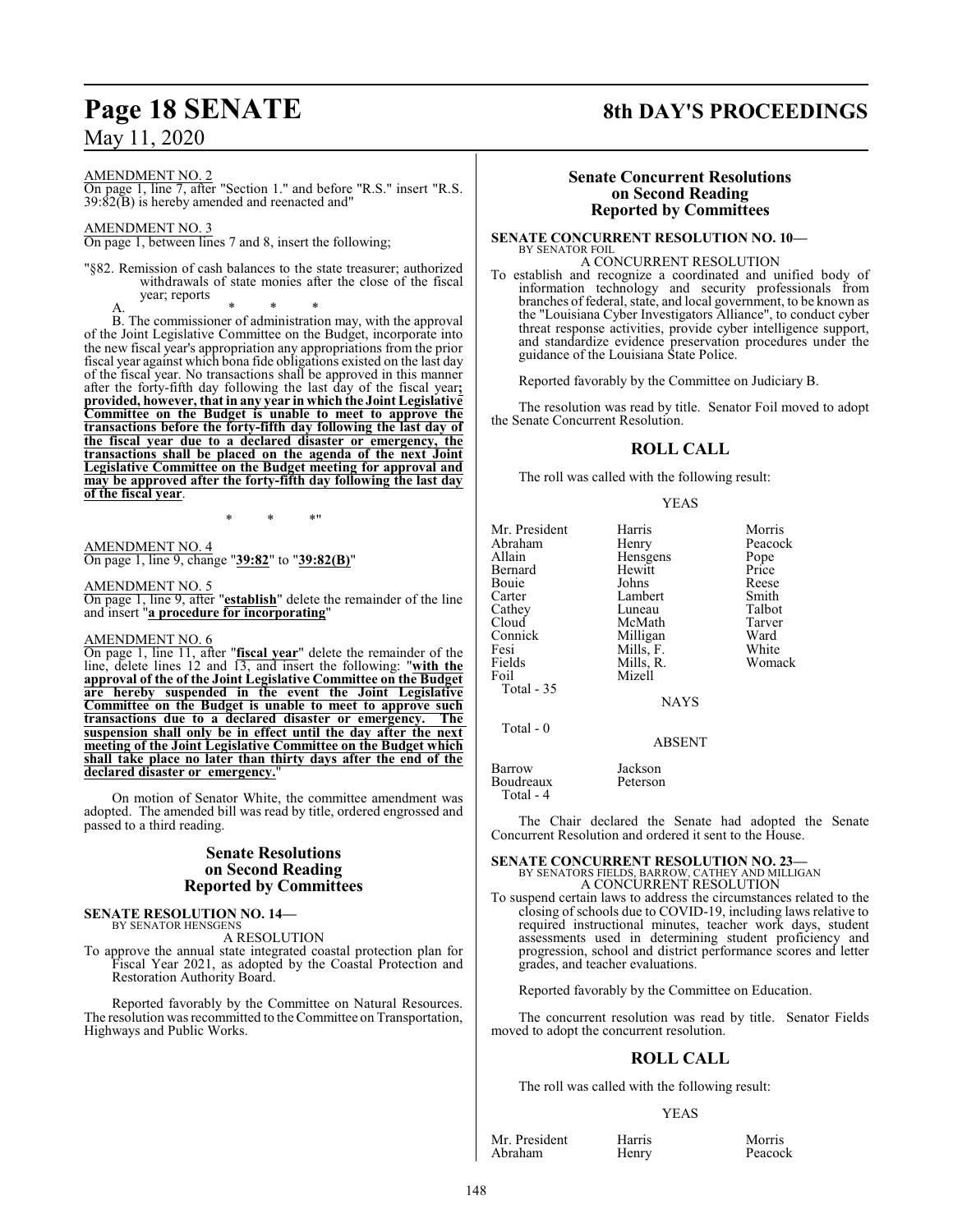# **Page 18 SENATE 8th DAY'S PROCEEDINGS**

AMENDMENT NO. 2

On page 1, line 7, after "Section 1." and before "R.S." insert "R.S. 39:82(B) is hereby amended and reenacted and"

AMENDMENT NO. 3

On page 1, between lines 7 and 8, insert the following;

"§82. Remission of cash balances to the state treasurer; authorized withdrawals of state monies after the close of the fiscal year; reports

A. \* \* \* B. The commissioner of administration may, with the approval of the Joint Legislative Committee on the Budget, incorporate into the new fiscal year's appropriation any appropriations from the prior fiscal year against which bona fide obligations existed on the last day of the fiscal year. No transactions shall be approved in this manner after the forty-fifth day following the last day of the fiscal year**; provided, however, that in any year in which the Joint Legislative Committee on the Budget is unable to meet to approve the transactions before the forty-fifth day following the last day of the fiscal year due to a declared disaster or emergency, the transactions shall be placed on the agenda of the next Joint Legislative Committee on the Budget meeting for approval and may be approved after the forty-fifth day following the last day of the fiscal year**.

\* \* \*"

AMENDMENT NO. 4 On page 1, line 9, change "**39:82**" to "**39:82(B)**"

AMENDMENT NO. 5 On page 1, line 9, after "**establish**" delete the remainder of the line and insert "**a procedure for incorporating**"

#### AMENDMENT NO. 6

On page 1, line 11, after "**fiscal year**" delete the remainder of the line, delete lines 12 and 13, and insert the following: "**with the approval of the of the Joint Legislative Committee on the Budget are hereby suspended in the event the Joint Legislative Committee on the Budget is unable to meet to approve such transactions due to a declared disaster or emergency. The suspension shall only be in effect until the day after the next meeting of the Joint Legislative Committee on the Budget which shall take place no later than thirty days after the end of the declared disaster or emergency.**"

On motion of Senator White, the committee amendment was adopted. The amended bill was read by title, ordered engrossed and passed to a third reading.

### **Senate Resolutions on Second Reading Reported by Committees**

#### **SENATE RESOLUTION NO. 14—** BY SENATOR HENSGENS

A RESOLUTION

To approve the annual state integrated coastal protection plan for Fiscal Year 2021, as adopted by the Coastal Protection and Restoration Authority Board.

Reported favorably by the Committee on Natural Resources. The resolution was recommitted to the Committee on Transportation, Highways and Public Works.

#### **Senate Concurrent Resolutions on Second Reading Reported by Committees**

**SENATE CONCURRENT RESOLUTION NO. 10—** BY SENATOR FOIL

### A CONCURRENT RESOLUTION

To establish and recognize a coordinated and unified body of information technology and security professionals from branches of federal, state, and local government, to be known as the "Louisiana Cyber Investigators Alliance", to conduct cyber threat response activities, provide cyber intelligence support, and standardize evidence preservation procedures under the guidance of the Louisiana State Police.

Reported favorably by the Committee on Judiciary B.

The resolution was read by title. Senator Foil moved to adopt the Senate Concurrent Resolution.

## **ROLL CALL**

The roll was called with the following result:

#### YEAS

| Mr. President | Harris      | Morris  |
|---------------|-------------|---------|
| Abraham       | Henry       | Peacock |
| Allain        | Hensgens    | Pope    |
| Bernard       | Hewitt      | Price   |
| Bouie         | Johns       | Reese   |
| Carter        | Lambert     | Smith   |
| Cathey        | Luneau      | Talbot  |
| Cloud         | McMath      | Tarver  |
| Connick       | Milligan    | Ward    |
| Fesi          | Mills, F.   | White   |
| Fields        | Mills, R.   | Womack  |
| Foil          | Mizell      |         |
| Total $-35$   |             |         |
|               | <b>NAYS</b> |         |
| Total - 0     |             |         |
|               | ABSENT      |         |

Barrow Jackson Boudreaux Peterson Total - 4

The Chair declared the Senate had adopted the Senate Concurrent Resolution and ordered it sent to the House.

## **SENATE CONCURRENT RESOLUTION NO. 23—** BY SENATORS FIELDS, BARROW, CATHEY AND MILLIGAN A CONCURRENT RESOLUTION

To suspend certain laws to address the circumstances related to the closing of schools due to COVID-19, including laws relative to required instructional minutes, teacher work days, student assessments used in determining student proficiency and progression, school and district performance scores and letter grades, and teacher evaluations.

Reported favorably by the Committee on Education.

The concurrent resolution was read by title. Senator Fields moved to adopt the concurrent resolution.

### **ROLL CALL**

The roll was called with the following result:

#### YEAS

Mr. President Harris Morris Morris<br>Abraham Henry Peacock Abraham

148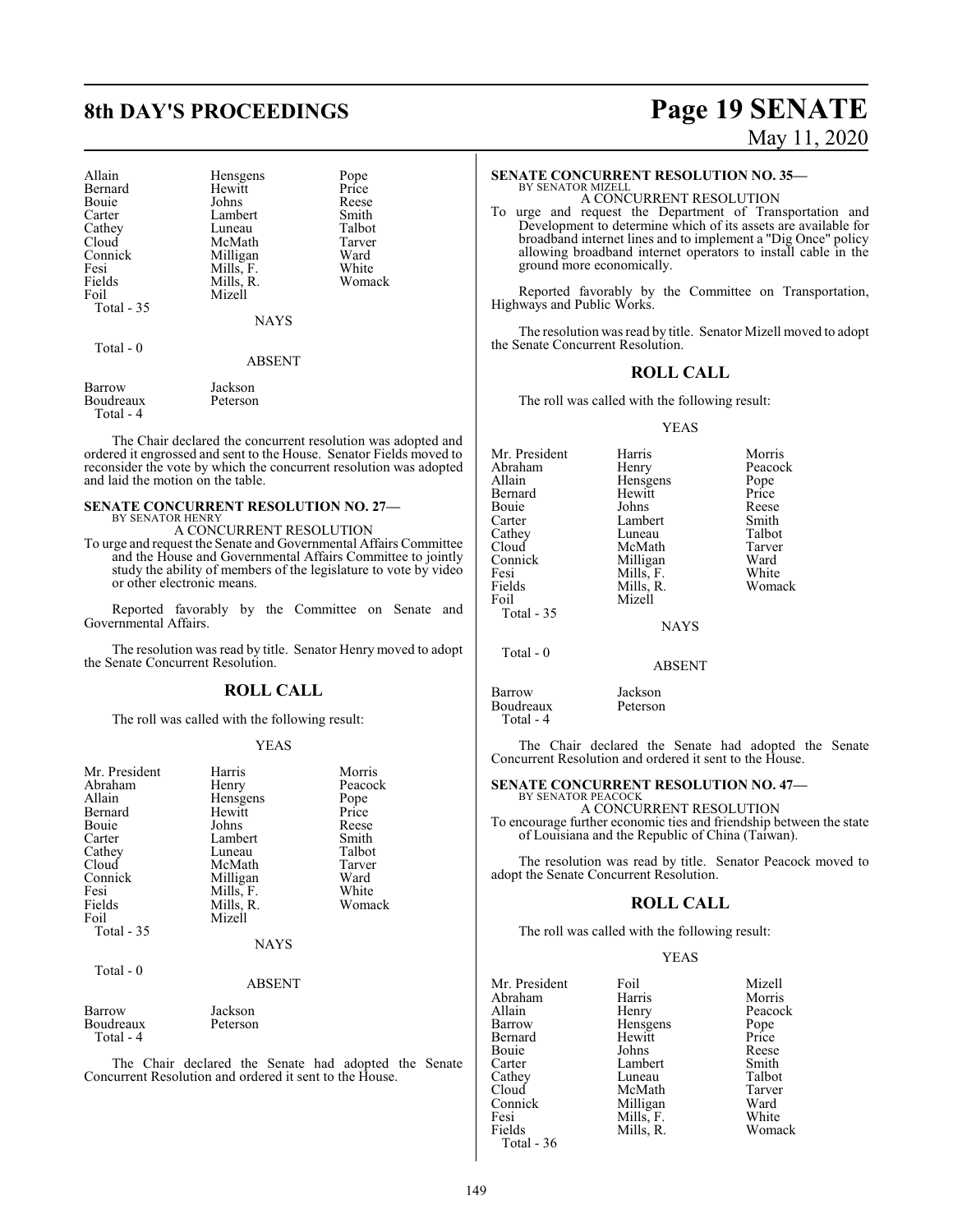| Allain     | Hensgens      | Pope   |
|------------|---------------|--------|
| Bernard    | Hewitt        | Price  |
| Bouie      | Johns         | Reese  |
| Carter     | Lambert       | Smith  |
| Cathey     | Luneau        | Talbot |
| Cloud      | McMath        | Tarver |
| Connick    | Milligan      | Ward   |
| Fesi       | Mills, F.     | White  |
| Fields     | Mills, R.     | Womack |
| Foil       | Mizell        |        |
| Total - 35 |               |        |
|            | NAYS          |        |
| Total $-0$ |               |        |
|            | <b>ABSENT</b> |        |

Barrow Jackson<br>Boudreaux Peterson Boudreaux Total - 4

The Chair declared the concurrent resolution was adopted and ordered it engrossed and sent to the House. Senator Fields moved to reconsider the vote by which the concurrent resolution was adopted and laid the motion on the table.

# **SENATE CONCURRENT RESOLUTION NO. 27—**

BY SENATOR HENRY A CONCURRENT RESOLUTION

To urge and request the Senate and Governmental Affairs Committee and the House and Governmental Affairs Committee to jointly study the ability of members of the legislature to vote by video or other electronic means.

Reported favorably by the Committee on Senate and Governmental Affairs.

The resolution was read by title. Senator Henry moved to adopt the Senate Concurrent Resolution.

### **ROLL CALL**

The roll was called with the following result:

#### YEAS

| Mr. President<br>Abraham<br>Allain<br>Bernard<br>Bouie<br>Carter<br>Cathey<br>Cloud<br>Connick<br>Fesi<br>Fields<br>Foil | Harris<br>Henry<br>Hensgens<br>Hewitt<br>Johns<br>Lambert<br>Luneau<br>McMath<br>Milligan<br>Mills, F.<br>Mills, R.<br>Mizell | Morris<br>Peacock<br>Pope<br>Price<br>Reese<br>Smith<br>Talbot<br>Tarver<br>Ward<br>White<br>Womack |
|--------------------------------------------------------------------------------------------------------------------------|-------------------------------------------------------------------------------------------------------------------------------|-----------------------------------------------------------------------------------------------------|
| Total $-35$<br>Total - 0                                                                                                 | <b>NAYS</b>                                                                                                                   |                                                                                                     |
|                                                                                                                          |                                                                                                                               |                                                                                                     |

#### ABSENT

| Barrow     | Jackson  |  |
|------------|----------|--|
| Boudreaux  | Peterson |  |
| Total $-4$ |          |  |

The Chair declared the Senate had adopted the Senate Concurrent Resolution and ordered it sent to the House.

# **8th DAY'S PROCEEDINGS Page 19 SENATE** May 11, 2020

#### **SENATE CONCURRENT RESOLUTION NO. 35—**

BY SENATOR MIZELL A CONCURRENT RESOLUTION

To urge and request the Department of Transportation and Development to determine which of its assets are available for broadband internet lines and to implement a "Dig Once" policy allowing broadband internet operators to install cable in the ground more economically.

Reported favorably by the Committee on Transportation, Highways and Public Works.

The resolution was read by title. Senator Mizell moved to adopt the Senate Concurrent Resolution.

#### **ROLL CALL**

The roll was called with the following result:

#### YEAS

| Mr. President<br>Abraham<br>Allain<br>Bernard<br>Bouie<br>Carter<br>Cathey<br>Cloud<br>Connick<br>Fesi<br>Fields | Harris<br>Henry<br>Hensgens<br>Hewitt<br>Johns<br>Lambert<br>Luneau<br>McMath<br>Milligan<br>Mills, F.<br>Mills, R. | Morris<br>Peacock<br>Pope<br>Price<br>Reese<br>Smith<br>Talbot<br>Tarver<br>Ward<br>White<br>Womack |
|------------------------------------------------------------------------------------------------------------------|---------------------------------------------------------------------------------------------------------------------|-----------------------------------------------------------------------------------------------------|
|                                                                                                                  |                                                                                                                     |                                                                                                     |
| Foil<br>Total $-35$                                                                                              | Mizell                                                                                                              |                                                                                                     |
|                                                                                                                  | <b>NAYS</b>                                                                                                         |                                                                                                     |
| Total $-0$                                                                                                       | <b>ABSENT</b>                                                                                                       |                                                                                                     |

Barrow Jackson<br>Boudreaux Peterson Boudreaux Total - 4

The Chair declared the Senate had adopted the Senate Concurrent Resolution and ordered it sent to the House.

#### **SENATE CONCURRENT RESOLUTION NO. 47—** BY SENATOR PEACOCK

A CONCURRENT RESOLUTION To encourage further economic ties and friendship between the state of Louisiana and the Republic of China (Taiwan).

The resolution was read by title. Senator Peacock moved to adopt the Senate Concurrent Resolution.

#### **ROLL CALL**

The roll was called with the following result:

#### YEAS

| Mr. President | Foil      | Mizell  |
|---------------|-----------|---------|
| Abraham       | Harris    | Morris  |
| Allain        | Henry     | Peacock |
| Barrow        | Hensgens  | Pope    |
| Bernard       | Hewitt    | Price   |
| Bouie         | Johns     | Reese   |
| Carter        | Lambert   | Smith   |
| Cathey        | Luneau    | Talbot  |
| Cloud         | McMath    | Tarver  |
| Connick       | Milligan  | Ward    |
| Fesi          | Mills, F. | White   |
| Fields        | Mills, R. | Womack  |
| Total - 36    |           |         |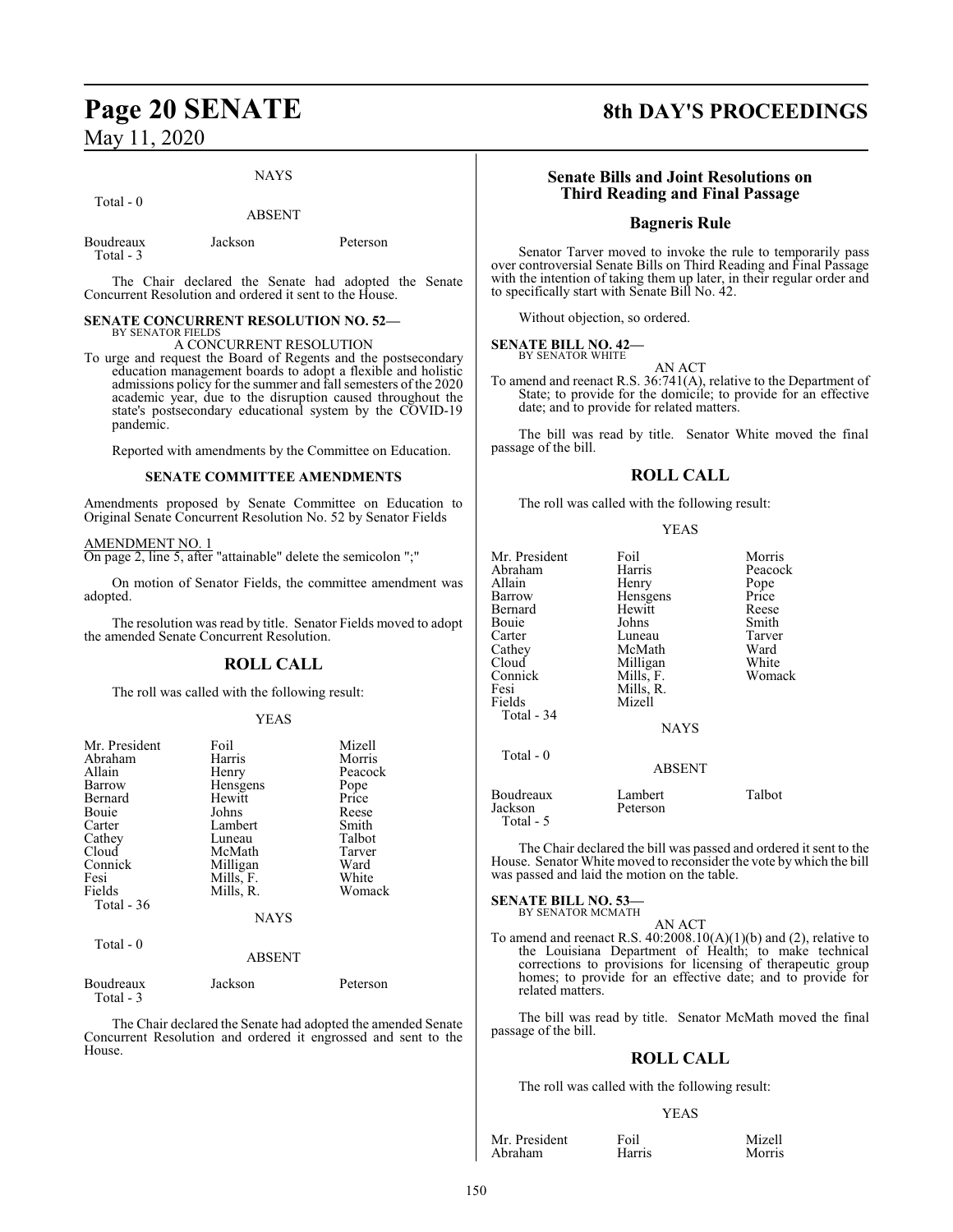#### NAYS

ABSENT

## Total - 0

| Jackson | Peterson |
|---------|----------|
|         |          |

The Chair declared the Senate had adopted the Senate Concurrent Resolution and ordered it sent to the House.

#### **SENATE CONCURRENT RESOLUTION NO. 52—** BY SENATOR FIELDS

A CONCURRENT RESOLUTION

To urge and request the Board of Regents and the postsecondary education management boards to adopt a flexible and holistic admissions policy for the summer and fall semesters of the 2020 academic year, due to the disruption caused throughout the state's postsecondary educational system by the COVID-19 pandemic.

Reported with amendments by the Committee on Education.

#### **SENATE COMMITTEE AMENDMENTS**

Amendments proposed by Senate Committee on Education to Original Senate Concurrent Resolution No. 52 by Senator Fields

#### AMENDMENT NO. 1

On page 2, line 5, after "attainable" delete the semicolon ";"

On motion of Senator Fields, the committee amendment was adopted.

The resolution was read by title. Senator Fields moved to adopt the amended Senate Concurrent Resolution.

### **ROLL CALL**

The roll was called with the following result:

#### YEAS

| Mr. President | Foil          | Mizell  |
|---------------|---------------|---------|
| Abraham       | Harris        | Morris  |
| Allain        | Henry         | Peacock |
| Barrow        | Hensgens      | Pope    |
| Bernard       | Hewitt        | Price   |
| Bouie         | Johns         | Reese   |
| Carter        | Lambert       | Smith   |
| Cathey        | Luneau        | Talbot  |
| Cloud         | McMath        | Tarver  |
| Connick       | Milligan      | Ward    |
| Fesi          | Mills, F.     | White   |
| Fields        | Mills, R.     | Womack  |
| Total $-36$   |               |         |
|               | <b>NAYS</b>   |         |
| Total - 0     |               |         |
|               | <b>ABSENT</b> |         |
|               |               |         |

| Boudreaux | Jackson | Peterson |
|-----------|---------|----------|
| Total - 3 |         |          |

The Chair declared the Senate had adopted the amended Senate Concurrent Resolution and ordered it engrossed and sent to the House.

# **Page 20 SENATE 8th DAY'S PROCEEDINGS**

#### **Senate Bills and Joint Resolutions on Third Reading and Final Passage**

#### **Bagneris Rule**

Senator Tarver moved to invoke the rule to temporarily pass over controversial Senate Bills on Third Reading and Final Passage with the intention of taking them up later, in their regular order and to specifically start with Senate Bill No. 42.

Without objection, so ordered.

#### **SENATE BILL NO. 42—** BY SENATOR WHITE

AN ACT

To amend and reenact R.S. 36:741(A), relative to the Department of State; to provide for the domicile; to provide for an effective date; and to provide for related matters.

The bill was read by title. Senator White moved the final passage of the bill.

#### **ROLL CALL**

The roll was called with the following result:

#### YEAS

| Mr. President<br>Abraham<br>Allain<br>Barrow<br>Bernard<br>Bouie<br>Carter<br>Cathey<br>Cloud<br>Connick<br>Fesi<br>Fields<br>Total - 34 | Foil<br>Harris<br>Henry<br>Hensgens<br>Hewitt<br>Johns<br>Luneau<br>McMath<br>Milligan<br>Mills, F.<br>Mills, R.<br>Mizell | Morris<br>Peacock<br>Pope<br>Price<br>Reese<br>Smith<br>Tarver<br>Ward<br>White<br>Womack |
|------------------------------------------------------------------------------------------------------------------------------------------|----------------------------------------------------------------------------------------------------------------------------|-------------------------------------------------------------------------------------------|
| Total - 0                                                                                                                                | <b>NAYS</b>                                                                                                                |                                                                                           |
|                                                                                                                                          | <b>ABSENT</b>                                                                                                              |                                                                                           |
| Boudreaux<br>Jackson<br>Total - 5                                                                                                        | Lambert<br>Peterson                                                                                                        | Talbot                                                                                    |

The Chair declared the bill was passed and ordered it sent to the House. Senator White moved to reconsider the vote by which the bill was passed and laid the motion on the table.

**SENATE BILL NO. 53—** BY SENATOR MCMATH

AN ACT

To amend and reenact R.S.  $40:2008.10(A)(1)(b)$  and (2), relative to the Louisiana Department of Health; to make technical corrections to provisions for licensing of therapeutic group homes; to provide for an effective date; and to provide for related matters.

The bill was read by title. Senator McMath moved the final passage of the bill.

#### **ROLL CALL**

The roll was called with the following result:

#### YEAS

Mr. President Foil Foil Mizell<br>Abraham Harris Morris Abraham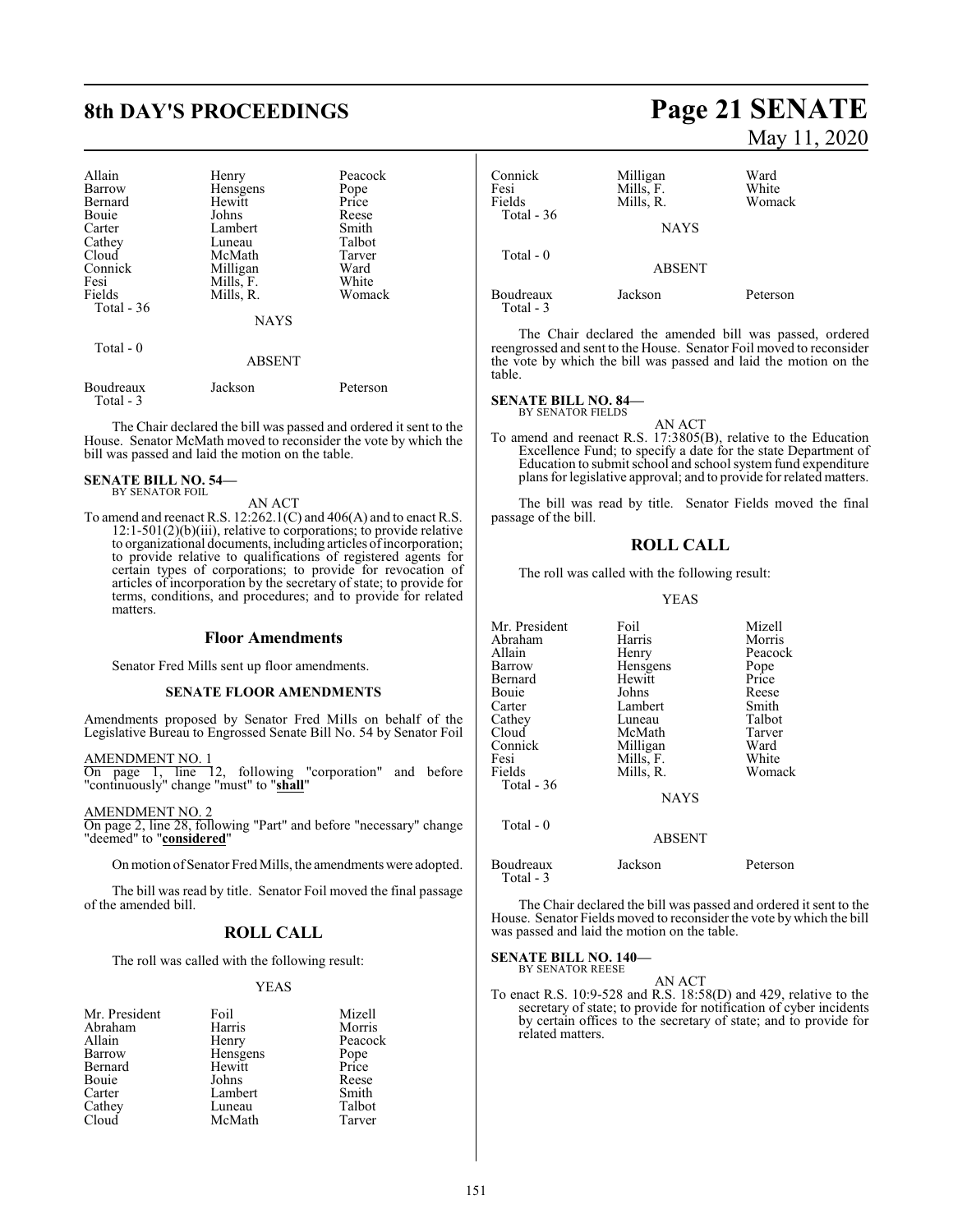# **8th DAY'S PROCEEDINGS Page 21 SENATE**

| Allain<br>Barrow<br>Bernard<br>Bouie<br>Carter<br>Cathey<br>Cloud<br>Connick<br>Fesi<br>Fields<br>Total $-36$<br>Total - 0 | Henry<br>Hensgens<br>Hewitt<br>Johns<br>Lambert<br>Luneau<br>McMath<br>Milligan<br>Mills, F.<br>Mills, R.<br><b>NAYS</b><br><b>ABSENT</b> | Peacock<br>Pope<br>Price<br>Reese<br>Smith<br>Talbot<br>Tarver<br>Ward<br>White<br>Womack |
|----------------------------------------------------------------------------------------------------------------------------|-------------------------------------------------------------------------------------------------------------------------------------------|-------------------------------------------------------------------------------------------|
|                                                                                                                            |                                                                                                                                           |                                                                                           |
| Boudreaux<br>Total - 3                                                                                                     | Jackson                                                                                                                                   | Peterson                                                                                  |

The Chair declared the bill was passed and ordered it sent to the House. Senator McMath moved to reconsider the vote by which the bill was passed and laid the motion on the table.

#### **SENATE BILL NO. 54—** BY SENATOR FOIL

AN ACT

To amend and reenact R.S. 12:262.1(C) and 406(A) and to enact R.S. 12:1-501(2)(b)(iii), relative to corporations; to provide relative to organizational documents, including articles of incorporation; to provide relative to qualifications of registered agents for certain types of corporations; to provide for revocation of articles of incorporation by the secretary of state; to provide for terms, conditions, and procedures; and to provide for related matters.

#### **Floor Amendments**

Senator Fred Mills sent up floor amendments.

#### **SENATE FLOOR AMENDMENTS**

Amendments proposed by Senator Fred Mills on behalf of the Legislative Bureau to Engrossed Senate Bill No. 54 by Senator Foil

AMENDMENT NO. 1

On page 1, line 12, following "corporation" and before "continuously" change "must" to "**shall**"

AMENDMENT NO. 2

On page 2, line 28, following "Part" and before "necessary" change "deemed" to "**considered**"

On motion of Senator Fred Mills, the amendments were adopted.

The bill was read by title. Senator Foil moved the final passage of the amended bill.

## **ROLL CALL**

The roll was called with the following result:

#### YEAS

| Mr. President | Foil     | Mizell        |
|---------------|----------|---------------|
| Abraham       | Harris   | Morris        |
| Allain        | Henry    | Peacock       |
| Barrow        | Hensgens | Pope<br>Price |
| Bernard       | Hewitt   |               |
| Bouie         | Johns    | Reese         |
| Carter        | Lambert  | Smith         |
| Cathey        | Luneau   | Talbot        |
| Cloud         | McMath   | Tarver        |

# May 11, 2020

| Connick<br>Fesi<br>Fields | Milligan<br>Mills, F.<br>Mills, R. | Ward<br>White<br>Womack |
|---------------------------|------------------------------------|-------------------------|
| Total - $36$              | <b>NAYS</b>                        |                         |
| Total $-0$                | <b>ABSENT</b>                      |                         |
| Boudreaux<br>Total - 3    | Jackson                            | Peterson                |

The Chair declared the amended bill was passed, ordered reengrossed and sent to the House. Senator Foil moved to reconsider the vote by which the bill was passed and laid the motion on the table.

#### **SENATE BILL NO. 84—**

BY SENATOR FIELDS

AN ACT To amend and reenact R.S. 17:3805(B), relative to the Education Excellence Fund; to specify a date for the state Department of Education to submit school and school system fund expenditure plans for legislative approval; and to provide for related matters.

The bill was read by title. Senator Fields moved the final passage of the bill.

#### **ROLL CALL**

The roll was called with the following result:

#### YEAS

| Mr. President          | Foil          | Mizell   |
|------------------------|---------------|----------|
| Abraham                | Harris        | Morris   |
| Allain                 | Henry         | Peacock  |
| Barrow                 | Hensgens      | Pope     |
| Bernard                | Hewitt        | Price    |
| Bouie                  | Johns         | Reese    |
| Carter                 | Lambert       | Smith    |
| Cathey                 | Luneau        | Talbot   |
| Cloud                  | McMath        | Tarver   |
| Connick                | Milligan      | Ward     |
| Fesi                   | Mills, F.     | White    |
| Fields                 | Mills, R.     | Womack   |
| <b>Total - 36</b>      |               |          |
|                        | <b>NAYS</b>   |          |
| Total $-0$             |               |          |
|                        | <b>ABSENT</b> |          |
| Boudreaux<br>Total - 3 | Jackson       | Peterson |

The Chair declared the bill was passed and ordered it sent to the House. Senator Fields moved to reconsider the vote by which the bill was passed and laid the motion on the table.

**SENATE BILL NO. 140—** BY SENATOR REESE

AN ACT

To enact R.S. 10:9-528 and R.S. 18:58(D) and 429, relative to the secretary of state; to provide for notification of cyber incidents by certain offices to the secretary of state; and to provide for related matters.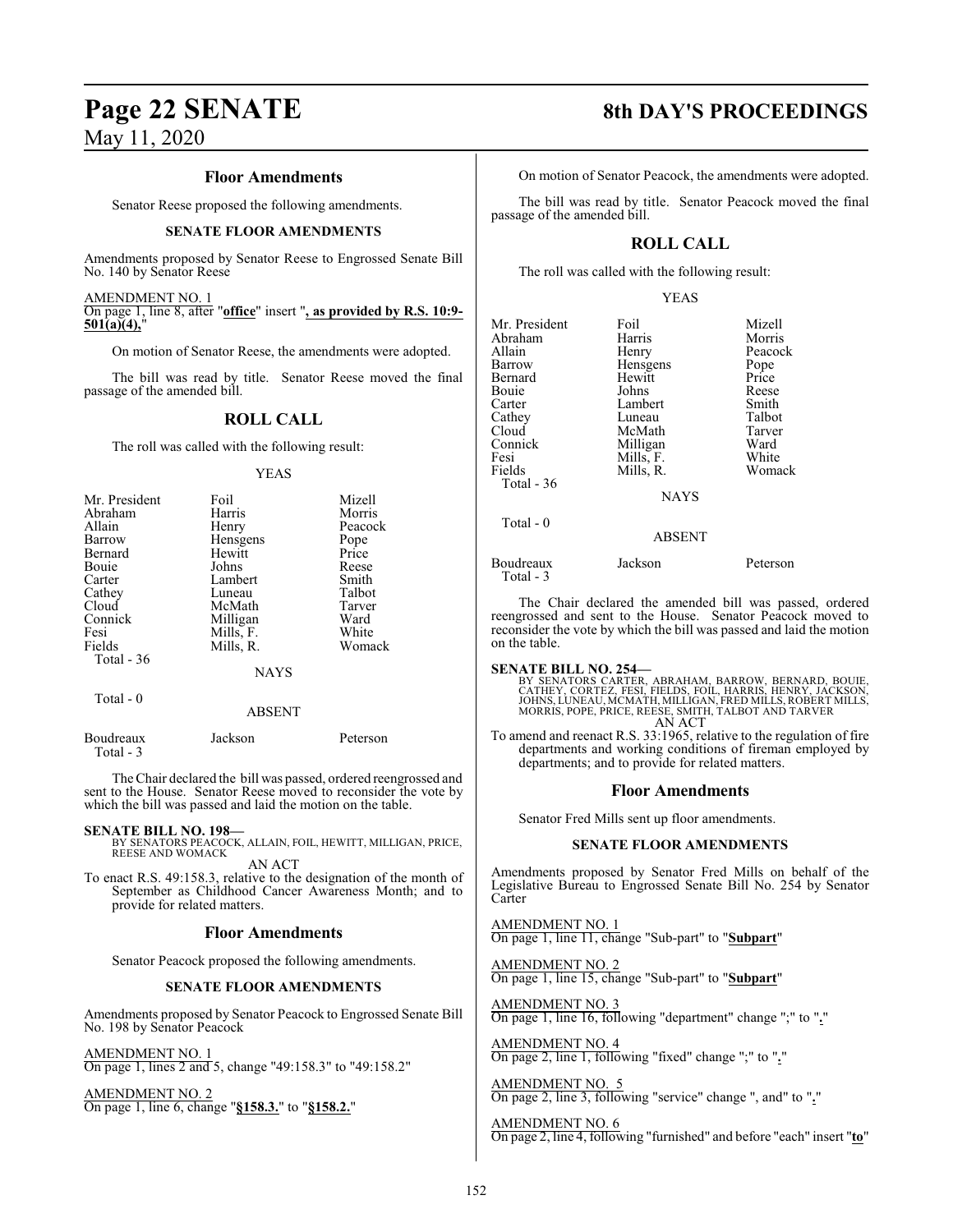# **Page 22 SENATE 8th DAY'S PROCEEDINGS**

May 11, 2020

#### **Floor Amendments**

Senator Reese proposed the following amendments.

#### **SENATE FLOOR AMENDMENTS**

Amendments proposed by Senator Reese to Engrossed Senate Bill No. 140 by Senator Reese

AMENDMENT NO. 1 On page 1, line 8, after "**office**" insert "**, as provided by R.S. 10:9- 501(a)(4),**"

On motion of Senator Reese, the amendments were adopted.

The bill was read by title. Senator Reese moved the final passage of the amended bill.

#### **ROLL CALL**

The roll was called with the following result:

#### YEAS

| Mr. President | Foil        | Mizell  |
|---------------|-------------|---------|
| Abraham       | Harris      | Morris  |
| Allain        | Henry       | Peacock |
| Barrow        | Hensgens    | Pope    |
| Bernard       | Hewitt      | Price   |
| Bouie         | Johns       | Reese   |
| Carter        | Lambert     | Smith   |
| Cathey        | Luneau      | Talbot  |
| Cloud         | McMath      | Tarver  |
| Connick       | Milligan    | Ward    |
| Fesi          | Mills, F.   | White   |
| Fields        | Mills, R.   | Womack  |
| Total - 36    | <b>NAYS</b> |         |
| Total $-0$    | ABSENT      |         |

Boudreaux Jackson Peterson Total - 3

The Chair declared the bill was passed, ordered reengrossed and sent to the House. Senator Reese moved to reconsider the vote by which the bill was passed and laid the motion on the table.

**SENATE BILL NO. 198—** BY SENATORS PEACOCK, ALLAIN, FOIL, HEWITT, MILLIGAN, PRICE, REESE AND WOMACK AN ACT

To enact R.S. 49:158.3, relative to the designation of the month of September as Childhood Cancer Awareness Month; and to provide for related matters.

#### **Floor Amendments**

Senator Peacock proposed the following amendments.

#### **SENATE FLOOR AMENDMENTS**

Amendments proposed by Senator Peacock to Engrossed Senate Bill No. 198 by Senator Peacock

AMENDMENT NO. 1

On page 1, lines 2 and 5, change "49:158.3" to "49:158.2"

AMENDMENT NO. 2 On page 1, line 6, change "**§158.3.**" to "**§158.2.**"

On motion of Senator Peacock, the amendments were adopted.

The bill was read by title. Senator Peacock moved the final passage of the amended bill.

### **ROLL CALL**

The roll was called with the following result:

#### YEAS

| Mr. President<br>Abraham<br>Allain<br>Barrow<br>Bernard<br>Bouie<br>Carter<br>Cathey<br>Cloud<br>Connick<br>Fesi<br>Fields<br>Total - 36 | Foil<br>Harris<br>Henry<br>Hensgens<br>Hewitt<br>Johns<br>Lambert<br>Luneau<br>McMath<br>Milligan<br>Mills, F.<br>Mills, R.<br><b>NAYS</b> | Mizell<br>Morris<br>Peacock<br>Pope<br>Price<br>Reese<br>Smith<br>Talbot<br>Tarver<br>Ward<br>White<br>Womack |
|------------------------------------------------------------------------------------------------------------------------------------------|--------------------------------------------------------------------------------------------------------------------------------------------|---------------------------------------------------------------------------------------------------------------|
| Total - 0                                                                                                                                | <b>ABSENT</b>                                                                                                                              |                                                                                                               |
| - -                                                                                                                                      |                                                                                                                                            |                                                                                                               |

Boudreaux Jackson Peterson Total - 3

The Chair declared the amended bill was passed, ordered reengrossed and sent to the House. Senator Peacock moved to reconsider the vote by which the bill was passed and laid the motion on the table.

#### **SENATE BILL NO. 254—**

BY SENATORS CARTER, ABRAHAM, BARROW, BERNARD, BOUIE,<br>CATHEY, CORTEZ, FESI, FIELDS, FOIL, HARRIS, HENRY, JACKSON,<br>JOHNS, LUNEAU, MCMATH, MILLIGAN, FRED MILLS, ROBERT MILLS,<br>MORRIS, POPE, PRICE, REESE, SMITH, TALBOT AND TARV AN ACT

To amend and reenact R.S. 33:1965, relative to the regulation of fire departments and working conditions of fireman employed by departments; and to provide for related matters.

#### **Floor Amendments**

Senator Fred Mills sent up floor amendments.

#### **SENATE FLOOR AMENDMENTS**

Amendments proposed by Senator Fred Mills on behalf of the Legislative Bureau to Engrossed Senate Bill No. 254 by Senator Carter

AMENDMENT NO. 1 On page 1, line 11, change "Sub-part" to "**Subpart**"

AMENDMENT NO. 2 On page 1, line 15, change "Sub-part" to "**Subpart**"

AMENDMENT NO. 3 On page 1, line 16, following "department" change ";" to "**.**"

AMENDMENT NO. 4 On page 2, line 1, following "fixed" change ";" to "**.**"

AMENDMENT NO. 5 On page 2, line 3, following "service" change ", and" to "**.**"

AMENDMENT NO. 6 On page 2, line 4, following "furnished" and before "each" insert "**to**"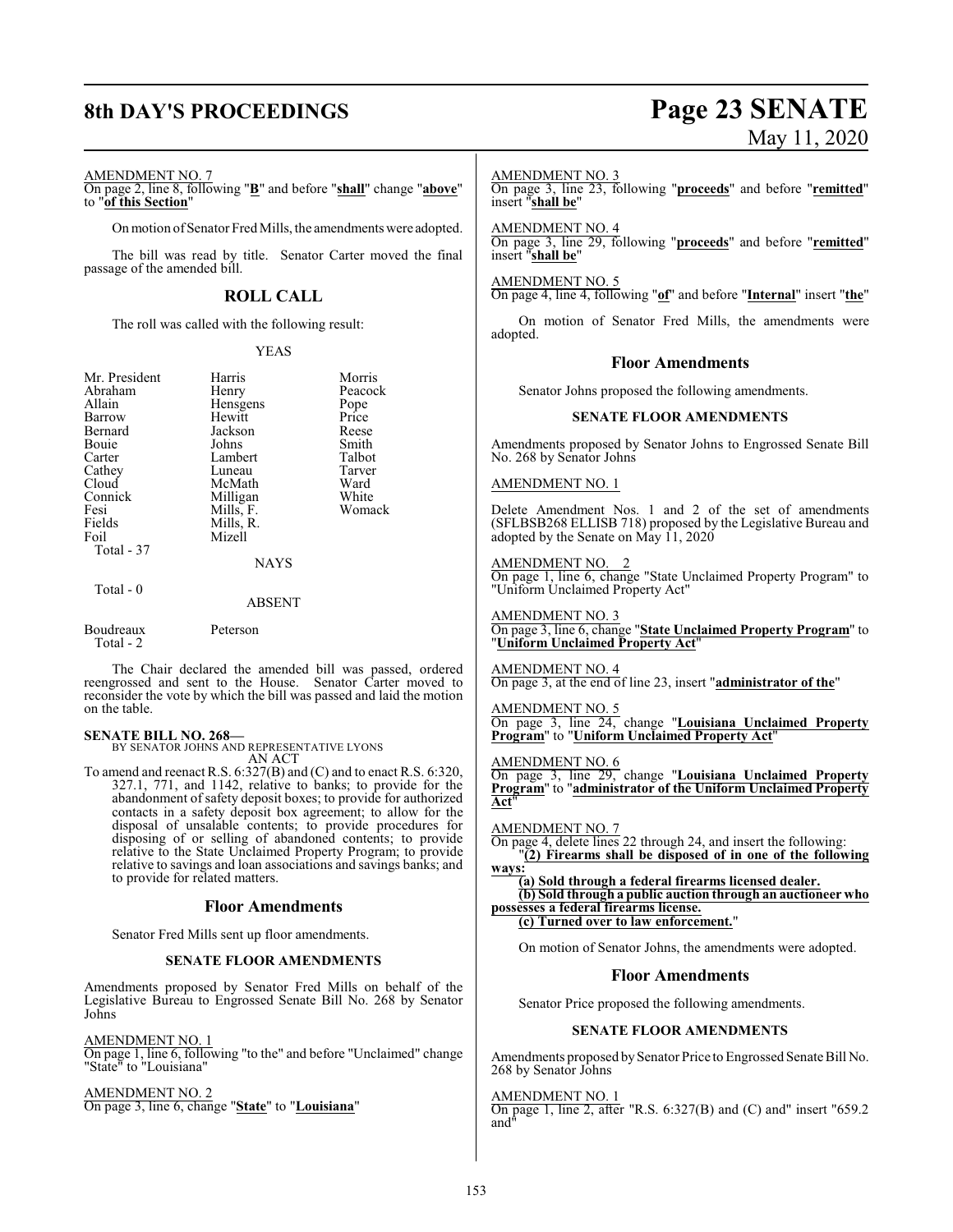#### AMENDMENT NO. 7

On page 2, line 8, following "**B**" and before "**shall**" change "**above**" to "**of this Section**"

On motion of Senator Fred Mills, the amendments were adopted.

The bill was read by title. Senator Carter moved the final passage of the amended bill.

### **ROLL CALL**

The roll was called with the following result:

#### YEAS

| Mr. President | Harris      | Morris  |
|---------------|-------------|---------|
| Abraham       | Henry       | Peacock |
| Allain        |             |         |
|               | Hensgens    | Pope    |
| Barrow        | Hewitt      | Price   |
| Bernard       | Jackson     | Reese   |
| Bouie         | Johns       | Smith   |
| Carter        | Lambert     | Talbot  |
| Cathey        | Luneau      | Tarver  |
| Cloud         | McMath      | Ward    |
| Connick       | Milligan    | White   |
| Fesi          | Mills, F.   | Womack  |
| Fields        | Mills, R.   |         |
| Foil          | Mizell      |         |
| Total - 37    |             |         |
|               | <b>NAYS</b> |         |
| Total - 0     |             |         |

#### ABSENT

Boudreaux Peterson Total - 2

The Chair declared the amended bill was passed, ordered reengrossed and sent to the House. Senator Carter moved to reconsider the vote by which the bill was passed and laid the motion on the table.

#### **SENATE BILL NO. 268—**

BY SENATOR JOHNS AND REPRESENTATIVE LYONS AN ACT

To amend and reenact R.S. 6:327(B) and (C) and to enact R.S. 6:320, 327.1, 771, and 1142, relative to banks; to provide for the abandonment of safety deposit boxes; to provide for authorized contacts in a safety deposit box agreement; to allow for the disposal of unsalable contents; to provide procedures for disposing of or selling of abandoned contents; to provide relative to the State Unclaimed Property Program; to provide relative to savings and loan associations and savings banks; and to provide for related matters.

#### **Floor Amendments**

Senator Fred Mills sent up floor amendments.

#### **SENATE FLOOR AMENDMENTS**

Amendments proposed by Senator Fred Mills on behalf of the Legislative Bureau to Engrossed Senate Bill No. 268 by Senator Johns

AMENDMENT NO. 1 On page 1, line 6, following "to the" and before "Unclaimed" change "State" to "Louisiana"

AMENDMENT NO. 2 On page 3, line 6, change "**State**" to "**Louisiana**"

# **8th DAY'S PROCEEDINGS Page 23 SENATE** May 11, 2020

#### AMENDMENT NO. 3

On page 3, line 23, following "**proceeds**" and before "**remitted**" insert "**shall be**"

AMENDMENT NO. 4

On page 3, line 29, following "**proceeds**" and before "**remitted**" insert "**shall be**"

#### AMENDMENT NO. 5

On page 4, line 4, following "**of**" and before "**Internal**" insert "**the**"

On motion of Senator Fred Mills, the amendments were adopted.

#### **Floor Amendments**

Senator Johns proposed the following amendments.

#### **SENATE FLOOR AMENDMENTS**

Amendments proposed by Senator Johns to Engrossed Senate Bill No. 268 by Senator Johns

#### AMENDMENT NO. 1

Delete Amendment Nos. 1 and 2 of the set of amendments (SFLBSB268 ELLISB 718) proposed by the Legislative Bureau and adopted by the Senate on May 11, 2020

AMENDMENT NO. 2 On page 1, line 6, change "State Unclaimed Property Program" to "Uniform Unclaimed Property Act"

AMENDMENT NO. 3 On page 3, line 6, change "**State Unclaimed Property Program**" to "**Uniform Unclaimed Property Act**"

#### AMENDMENT NO. 4

On page 3, at the end of line 23, insert "**administrator of the**"

## AMENDMENT NO. 5

On page 3, line 24, change "**Louisiana Unclaimed Property Program**" to "**Uniform Unclaimed Property Act**"

#### AMENDMENT NO. 6

On page 3, line 29, change "**Louisiana Unclaimed Property Program**" to "**administrator of the Uniform Unclaimed Property Act**"

#### AMENDMENT NO. 7

On page 4, delete lines 22 through 24, and insert the following: "**(2) Firearms shall be disposed of in one of the following**

#### **ways: (a) Sold through a federal firearms licensed dealer. (b) Sold through a public auction through an auctioneer who possesses a federal firearms license. (c) Turned over to law enforcement.**"

On motion of Senator Johns, the amendments were adopted.

#### **Floor Amendments**

Senator Price proposed the following amendments.

#### **SENATE FLOOR AMENDMENTS**

Amendments proposed by Senator Price to Engrossed Senate Bill No. 268 by Senator Johns

#### AMENDMENT NO. 1

On page 1, line 2, after "R.S. 6:327(B) and (C) and" insert "659.2 and"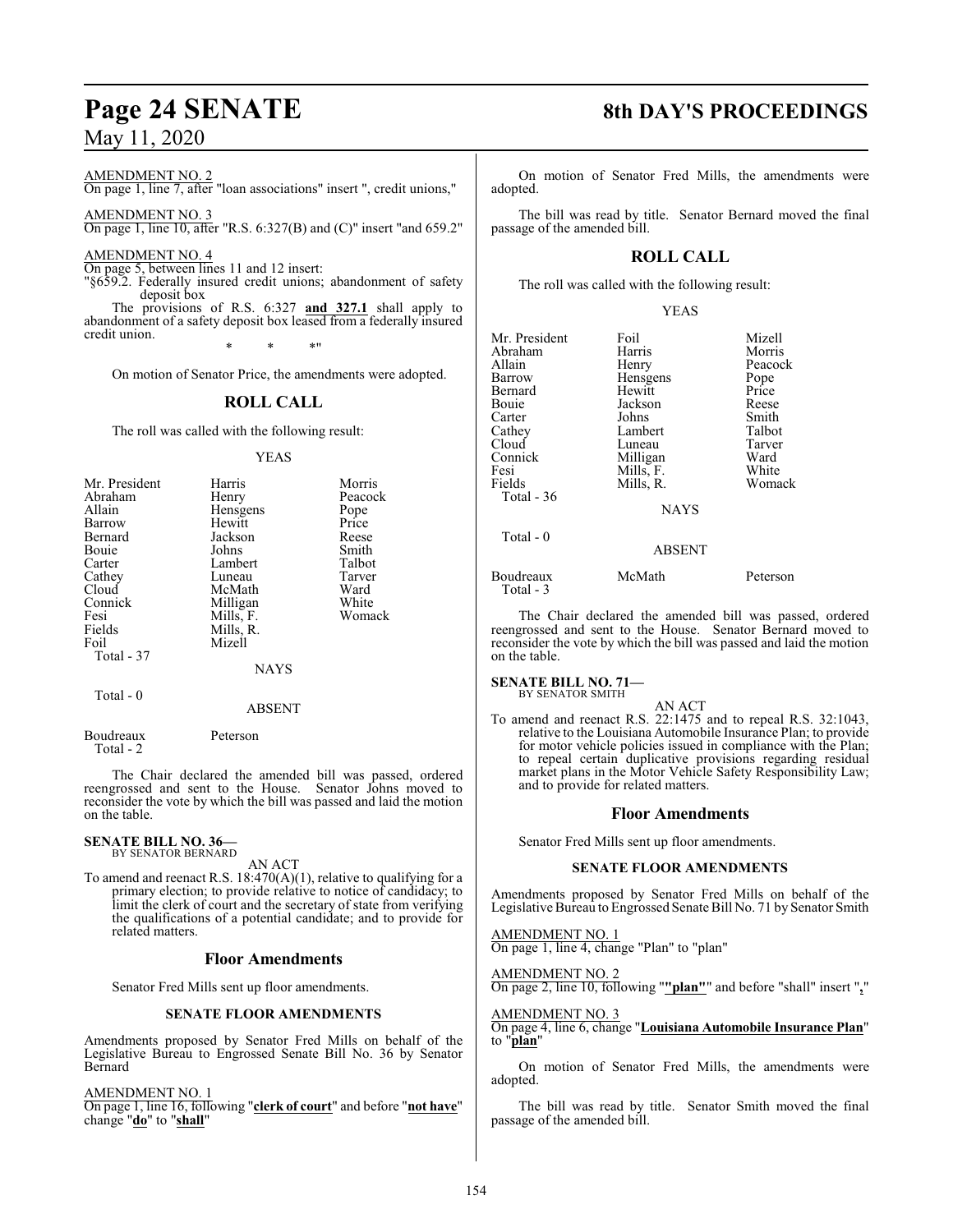# **Page 24 SENATE 8th DAY'S PROCEEDINGS**

May 11, 2020

AMENDMENT NO. 2

On page 1, line 7, after "loan associations" insert ", credit unions,"

AMENDMENT NO. 3 On page 1, line 10, after "R.S. 6:327(B) and (C)" insert "and 659.2"

AMENDMENT NO. 4

On page 5, between lines 11 and 12 insert:

"§659.2. Federally insured credit unions; abandonment of safety deposit box

The provisions of R.S. 6:327 **and 327.1** shall apply to abandonment of a safety deposit box leased from a federally insured credit union.

\* \* \*"

On motion of Senator Price, the amendments were adopted.

### **ROLL CALL**

The roll was called with the following result:

YEAS

| Mr. President | Harris    | Morris  |
|---------------|-----------|---------|
|               |           |         |
| Abraham       | Henry     | Peacock |
| Allain        | Hensgens  | Pope    |
| Barrow        | Hewitt    | Price   |
| Bernard       | Jackson   | Reese   |
| Bouie         | Johns     | Smith   |
| Carter        | Lambert   | Talbot  |
| Cathey        | Luneau    | Tarver  |
| Cloud         | McMath    | Ward    |
| Connick       | Milligan  | White   |
| Fesi          | Mills, F. | Womack  |
| Fields        | Mills, R. |         |
| Foil          | Mizell    |         |
| Total - 37    |           |         |
|               | NAYS      |         |
|               |           |         |

Total - 0

ABSENT

Boudreaux Peterson Total - 2

The Chair declared the amended bill was passed, ordered reengrossed and sent to the House. Senator Johns moved to reconsider the vote by which the bill was passed and laid the motion on the table.

**SENATE BILL NO. 36—** BY SENATOR BERNARD

AN ACT

To amend and reenact R.S.  $18:470(A)(1)$ , relative to qualifying for a primary election; to provide relative to notice of candidacy; to limit the clerk of court and the secretary of state from verifying the qualifications of a potential candidate; and to provide for related matters.

#### **Floor Amendments**

Senator Fred Mills sent up floor amendments.

#### **SENATE FLOOR AMENDMENTS**

Amendments proposed by Senator Fred Mills on behalf of the Legislative Bureau to Engrossed Senate Bill No. 36 by Senator Bernard

AMENDMENT NO. 1

On page 1, line 16, following "**clerk of court**" and before "**not have**" change "**do**" to "**shall**"

On motion of Senator Fred Mills, the amendments were adopted.

The bill was read by title. Senator Bernard moved the final passage of the amended bill.

### **ROLL CALL**

The roll was called with the following result:

| Mr. President<br>Abraham<br>Allain<br>Barrow<br>Bernard<br>Bouie<br>Carter<br>Cathey<br>Cloud<br>Connick<br>Fesi<br>Fields | Foil<br>Harris<br>Henry<br>Hensgens<br>Hewitt<br>Jackson<br>Johns<br>Lambert<br>Luneau<br>Milligan<br>Mills, F.<br>Mills, R. | Mizell<br>Morris<br>Peacock<br>Pope<br>Price<br>Reese<br>Smith<br>Talbot<br>Tarver<br>Ward<br>White<br>Womack |
|----------------------------------------------------------------------------------------------------------------------------|------------------------------------------------------------------------------------------------------------------------------|---------------------------------------------------------------------------------------------------------------|
| Total - 36                                                                                                                 | <b>NAYS</b>                                                                                                                  |                                                                                                               |
| Total $-0$                                                                                                                 | <b>ABSENT</b>                                                                                                                |                                                                                                               |
| Boudreaux<br>Total - 3                                                                                                     | McMath                                                                                                                       | Peterson                                                                                                      |

The Chair declared the amended bill was passed, ordered reengrossed and sent to the House. Senator Bernard moved to reconsider the vote by which the bill was passed and laid the motion on the table.

# **SENATE BILL NO. 71—**<br>BY SENATOR SMITH

AN ACT To amend and reenact R.S. 22:1475 and to repeal R.S. 32:1043, relative to the Louisiana Automobile Insurance Plan; to provide for motor vehicle policies issued in compliance with the Plan; to repeal certain duplicative provisions regarding residual market plans in the Motor Vehicle Safety Responsibility Law; and to provide for related matters.

#### **Floor Amendments**

Senator Fred Mills sent up floor amendments.

#### **SENATE FLOOR AMENDMENTS**

Amendments proposed by Senator Fred Mills on behalf of the Legislative Bureau to Engrossed Senate Bill No. 71 by Senator Smith

AMENDMENT NO. 1 On page 1, line 4, change "Plan" to "plan"

AMENDMENT NO. 2

On page 2, line 10, following "**"plan"**" and before "shall" insert "**,**"

AMENDMENT NO. 3 On page 4, line 6, change "**Louisiana Automobile Insurance Plan**" to "**plan**"

On motion of Senator Fred Mills, the amendments were adopted.

The bill was read by title. Senator Smith moved the final passage of the amended bill.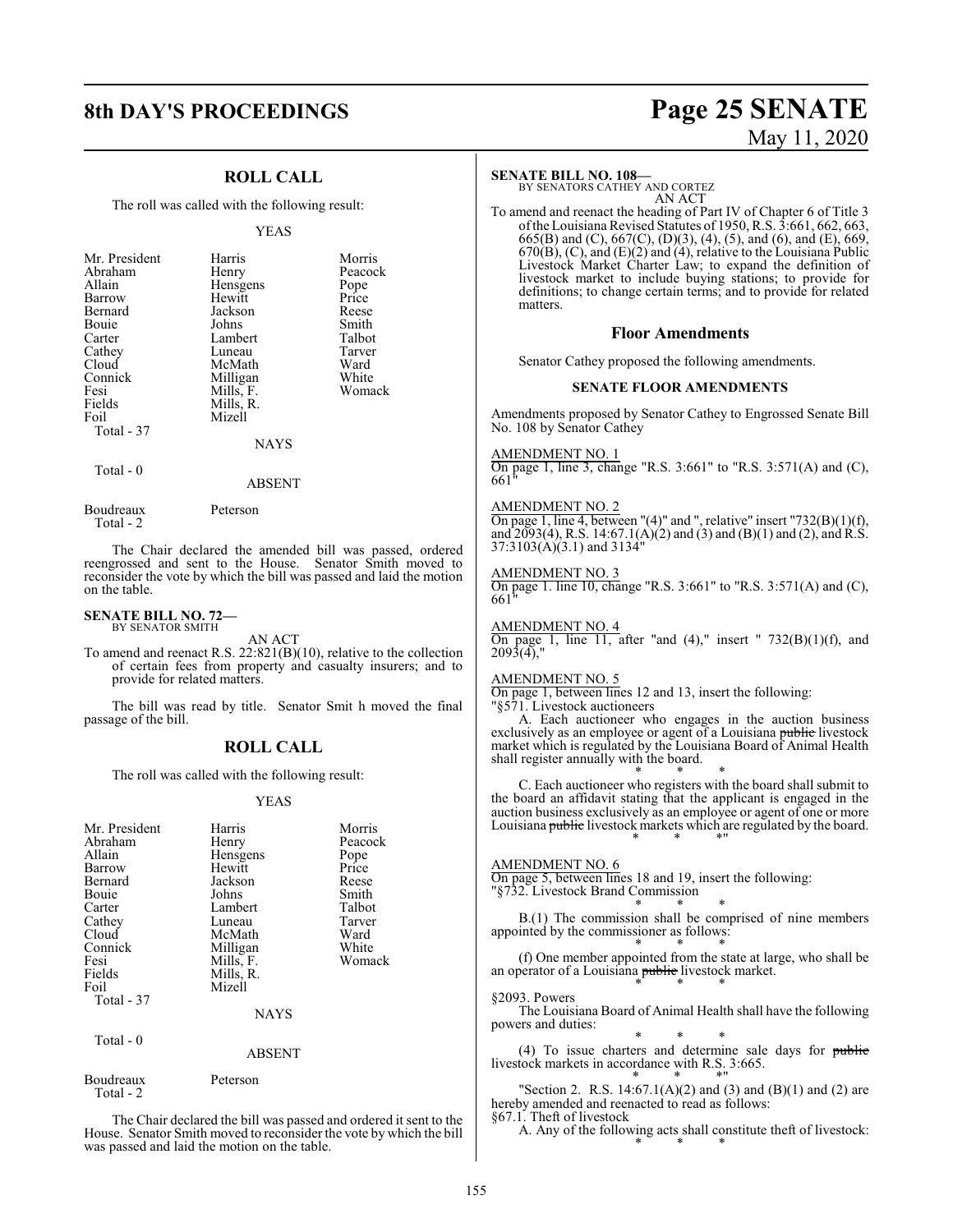### **ROLL CALL**

The roll was called with the following result:

#### YEAS

| Mr. President | Harris    | Morris  |
|---------------|-----------|---------|
| Abraham       | Henry     | Peacock |
| Allain        | Hensgens  | Pope    |
| Barrow        | Hewitt    | Price   |
| Bernard       | Jackson   | Reese   |
| Bouie         | Johns     | Smith   |
| Carter        | Lambert   | Talbot  |
| Cathey        | Luneau    | Tarver  |
| Cloud         | McMath    | Ward    |
| Connick       | Milligan  | White   |
| Fesi          | Mills, F. | Womack  |
| Fields        | Mills, R. |         |
| Foil          | Mizell    |         |
| Total - 37    |           |         |
|               | NAYS      |         |

Total - 0

## ABSENT

Boudreaux Peterson Total - 2

The Chair declared the amended bill was passed, ordered

reengrossed and sent to the House. Senator Smith moved to reconsider the vote by which the bill was passed and laid the motion on the table.

#### **SENATE BILL NO. 72—** BY SENATOR SMITH

AN ACT

To amend and reenact R.S. 22:821(B)(10), relative to the collection of certain fees from property and casualty insurers; and to provide for related matters.

The bill was read by title. Senator Smit h moved the final passage of the bill.

#### **ROLL CALL**

The roll was called with the following result:

#### YEAS

| Mr. President<br>Abraham<br>Allain<br>Barrow<br>Bernard<br>Bouie<br>Carter<br>Cathey<br>Cloud<br>Connick<br>Fesi<br>Fields<br>Foil<br>Total - 37<br>Total - 0 | Harris<br>Henry<br>Hensgens<br>Hewitt<br>Jackson<br>Johns<br>Lambert<br>Luneau<br>McMath<br>Milligan<br>Mills, F.<br>Mills, R.<br>Mizell<br>NAYS | Morris<br>Peacock<br>Pope<br>Price<br>Reese<br>Smith<br>Talbot<br>Tarver<br>Ward<br>White<br>Womack |
|---------------------------------------------------------------------------------------------------------------------------------------------------------------|--------------------------------------------------------------------------------------------------------------------------------------------------|-----------------------------------------------------------------------------------------------------|
|                                                                                                                                                               | <b>ABSENT</b>                                                                                                                                    |                                                                                                     |
| Boudreaux<br>Total - 2                                                                                                                                        | Peterson                                                                                                                                         |                                                                                                     |

The Chair declared the bill was passed and ordered it sent to the House. Senator Smith moved to reconsider the vote by which the bill was passed and laid the motion on the table.

# **8th DAY'S PROCEEDINGS Page 25 SENATE** May 11, 2020

#### **SENATE BILL NO. 108—**

BY SENATORS CATHEY AND CORTEZ AN ACT

To amend and reenact the heading of Part IV of Chapter 6 of Title 3 ofthe Louisiana Revised Statutes of 1950, R.S. 3:661, 662, 663, 665(B) and (C), 667(C), (D)(3), (4), (5), and (6), and (E), 669,  $670(B)$ , (C), and (E)(2) and (4), relative to the Louisiana Public Livestock Market Charter Law; to expand the definition of livestock market to include buying stations; to provide for definitions; to change certain terms; and to provide for related matters.

#### **Floor Amendments**

Senator Cathey proposed the following amendments.

#### **SENATE FLOOR AMENDMENTS**

Amendments proposed by Senator Cathey to Engrossed Senate Bill No. 108 by Senator Cathey

AMENDMENT NO. 1

On page 1, line 3, change "R.S. 3:661" to "R.S. 3:571(A) and (C),  $661"$ 

#### AMENDMENT NO. 2

On page 1, line 4, between "(4)" and ", relative" insert "732(B)(1)(f), and  $2093(4)$ , R.S.  $14:67.1(A)(2)$  and  $(3)$  and  $(B)(1)$  and  $(2)$ , and R.S.  $37:3103(\text{\AA})(3.1)$  and  $313\text{\AA}''$ 

#### AMENDMENT NO. 3

On page 1. line 10, change "R.S. 3:661" to "R.S. 3:571(A) and (C), 661"

AMENDMENT NO. 4 On page 1, line  $11$ , after "and  $(4)$ ," insert "  $732(B)(1)(f)$ , and 2093(4),"

#### AMENDMENT NO. 5

On page 1, between lines 12 and 13, insert the following: "§571. Livestock auctioneers

A. Each auctioneer who engages in the auction business exclusively as an employee or agent of a Louisiana <del>public</del> livestock market which is regulated by the Louisiana Board of Animal Health shall register annually with the board.

\* \* \* C. Each auctioneer who registers with the board shall submit to the board an affidavit stating that the applicant is engaged in the auction business exclusively as an employee or agent of one or more Louisiana public livestock markets which are regulated by the board. \* \* \*"

#### AMENDMENT NO. 6

On page 5, between lines 18 and 19, insert the following: "§732. Livestock Brand Commission

\* \* \* B.(1) The commission shall be comprised of nine members appointed by the commissioner as follows:

\* \* \* (f) One member appointed from the state at large, who shall be an operator of a Louisiana public livestock market. \* \* \*

§2093. Powers

The Louisiana Board of Animal Health shall have the following powers and duties:

\* \* \* (4) To issue charters and determine sale days for public livestock markets in accordance with R.S. 3:665.

\* \* \*" "Section 2. R.S.  $14:67.1(A)(2)$  and  $(3)$  and  $(B)(1)$  and  $(2)$  are hereby amended and reenacted to read as follows: §67.1. Theft of livestock

A. Any of the following acts shall constitute theft of livestock: \* \* \*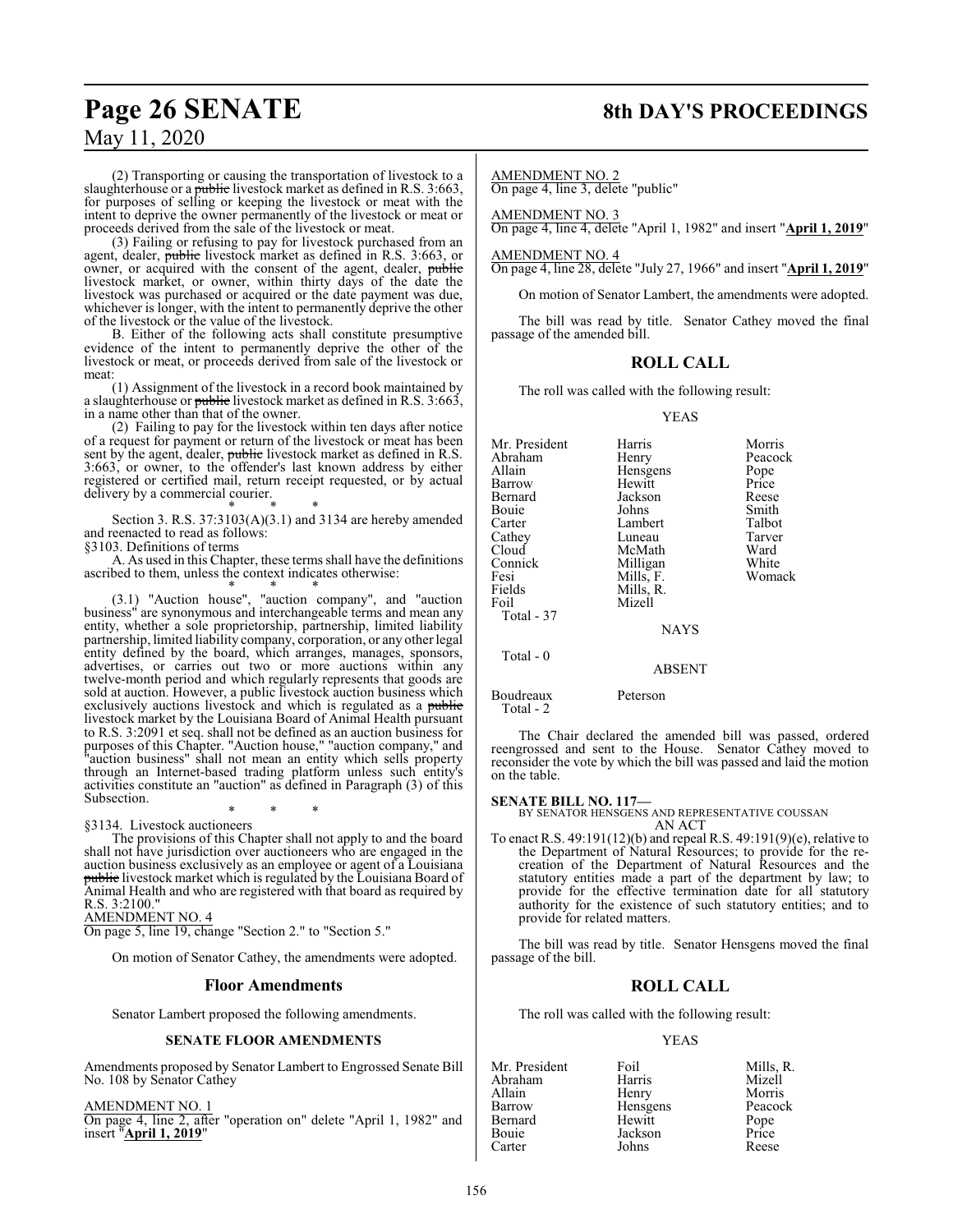# **Page 26 SENATE 8th DAY'S PROCEEDINGS**

# May 11, 2020

(2) Transporting or causing the transportation of livestock to a slaughterhouse or a *public* livestock market as defined in R.S. 3:663, for purposes of selling or keeping the livestock or meat with the intent to deprive the owner permanently of the livestock or meat or proceeds derived from the sale of the livestock or meat.

(3) Failing or refusing to pay for livestock purchased from an agent, dealer, *public* livestock market as defined in R.S. 3:663, or owner, or acquired with the consent of the agent, dealer, public livestock market, or owner, within thirty days of the date the livestock was purchased or acquired or the date payment was due, whichever is longer, with the intent to permanently deprive the other of the livestock or the value of the livestock.

B. Either of the following acts shall constitute presumptive evidence of the intent to permanently deprive the other of the livestock or meat, or proceeds derived from sale of the livestock or meat:

(1) Assignment of the livestock in a record book maintained by a slaughterhouse or public livestock market as defined in R.S. 3:663, in a name other than that of the owner.

(2) Failing to pay for the livestock within ten days after notice of a request for payment or return of the livestock or meat has been sent by the agent, dealer, public livestock market as defined in R.S. 3:663, or owner, to the offender's last known address by either registered or certified mail, return receipt requested, or by actual delivery by a commercial courier.

\* \* \* Section 3. R.S. 37:3103(A)(3.1) and 3134 are hereby amended and reenacted to read as follows:

§3103. Definitions of terms

A. As used in this Chapter, these terms shall have the definitions ascribed to them, unless the context indicates otherwise: \* \* \*

(3.1) "Auction house", "auction company", and "auction business" are synonymous and interchangeable terms and mean any entity, whether a sole proprietorship, partnership, limited liability partnership, limited liability company, corporation, or any other legal entity defined by the board, which arranges, manages, sponsors, advertises, or carries out two or more auctions within any twelve-month period and which regularly represents that goods are sold at auction. However, a public livestock auction business which exclusively auctions livestock and which is regulated as a public livestock market by the Louisiana Board of Animal Health pursuant to R.S. 3:2091 et seq. shall not be defined as an auction business for purposes of this Chapter. "Auction house," "auction company," and "auction business" shall not mean an entity which sells property through an Internet-based trading platform unless such entity's activities constitute an "auction" as defined in Paragraph (3) of this Subsection.

\* \* \* §3134. Livestock auctioneers

The provisions of this Chapter shall not apply to and the board shall not have jurisdiction over auctioneers who are engaged in the auction business exclusively as an employee or agent of a Louisiana public livestock market which is regulated by the Louisiana Board of Animal Health and who are registered with that board as required by R.S. 3:2100." AMENDMENT NO. 4

On page 5, line 19, change "Section 2." to "Section 5."

On motion of Senator Cathey, the amendments were adopted.

#### **Floor Amendments**

Senator Lambert proposed the following amendments.

#### **SENATE FLOOR AMENDMENTS**

Amendments proposed by Senator Lambert to Engrossed Senate Bill No. 108 by Senator Cathey

AMENDMENT NO. 1

On page 4, line 2, after "operation on" delete "April 1, 1982" and insert "**April 1, 2019**"

AMENDMENT NO. 2

On page 4, line 3, delete "public"

AMENDMENT NO. 3 On page 4, line 4, delete "April 1, 1982" and insert "**April 1, 2019**"

AMENDMENT NO. 4 On page 4, line 28, delete "July 27, 1966" and insert "**April 1, 2019**"

On motion of Senator Lambert, the amendments were adopted.

The bill was read by title. Senator Cathey moved the final passage of the amended bill.

### **ROLL CALL**

The roll was called with the following result:

#### YEAS

| Mr. President<br>Abraham<br>Allain<br>Barrow<br>Bernard<br>Bouie<br>Carter<br>Cathey | Harris<br>Henry<br>Hensgens<br>Hewitt<br>Jackson<br>Johns<br>Lambert<br>Luneau | Morris<br>Peacock<br>Pope<br>Price<br>Reese<br>Smith<br>Talbot<br>Tarver |
|--------------------------------------------------------------------------------------|--------------------------------------------------------------------------------|--------------------------------------------------------------------------|
| Cloud                                                                                | McMath                                                                         | Ward                                                                     |
| Connick                                                                              | Milligan                                                                       | White                                                                    |
| Fesi                                                                                 | Mills, F.                                                                      | Womack                                                                   |
| Fields                                                                               | Mills, R.                                                                      |                                                                          |
| Foil                                                                                 | Mizell                                                                         |                                                                          |
| Total - 37                                                                           |                                                                                |                                                                          |
|                                                                                      | <b>NAYS</b>                                                                    |                                                                          |
| Total $-0$                                                                           |                                                                                |                                                                          |
|                                                                                      | <b>ABSENT</b>                                                                  |                                                                          |
|                                                                                      |                                                                                |                                                                          |

Boudreaux Peterson

Total - 2

The Chair declared the amended bill was passed, ordered reengrossed and sent to the House. Senator Cathey moved to reconsider the vote by which the bill was passed and laid the motion on the table.

**SENATE BILL NO. 117—** BY SENATOR HENSGENS AND REPRESENTATIVE COUSSAN AN ACT

To enact R.S. 49:191(12)(b) and repeal R.S. 49:191(9)(e), relative to the Department of Natural Resources; to provide for the recreation of the Department of Natural Resources and the statutory entities made a part of the department by law; to provide for the effective termination date for all statutory authority for the existence of such statutory entities; and to provide for related matters.

The bill was read by title. Senator Hensgens moved the final passage of the bill.

#### **ROLL CALL**

The roll was called with the following result:

#### YEAS

Mr. President Foil Foil Mills, R.<br>Abraham Harris Mizell Abraham Harris Mizell Allain Henry Morris Barrow Hensgens Peacock<br>Bernard Hewitt Pope Bernard Hewitt Pope Bouie Jackson Price<br>Carter Johns Reese Carter Johns Reese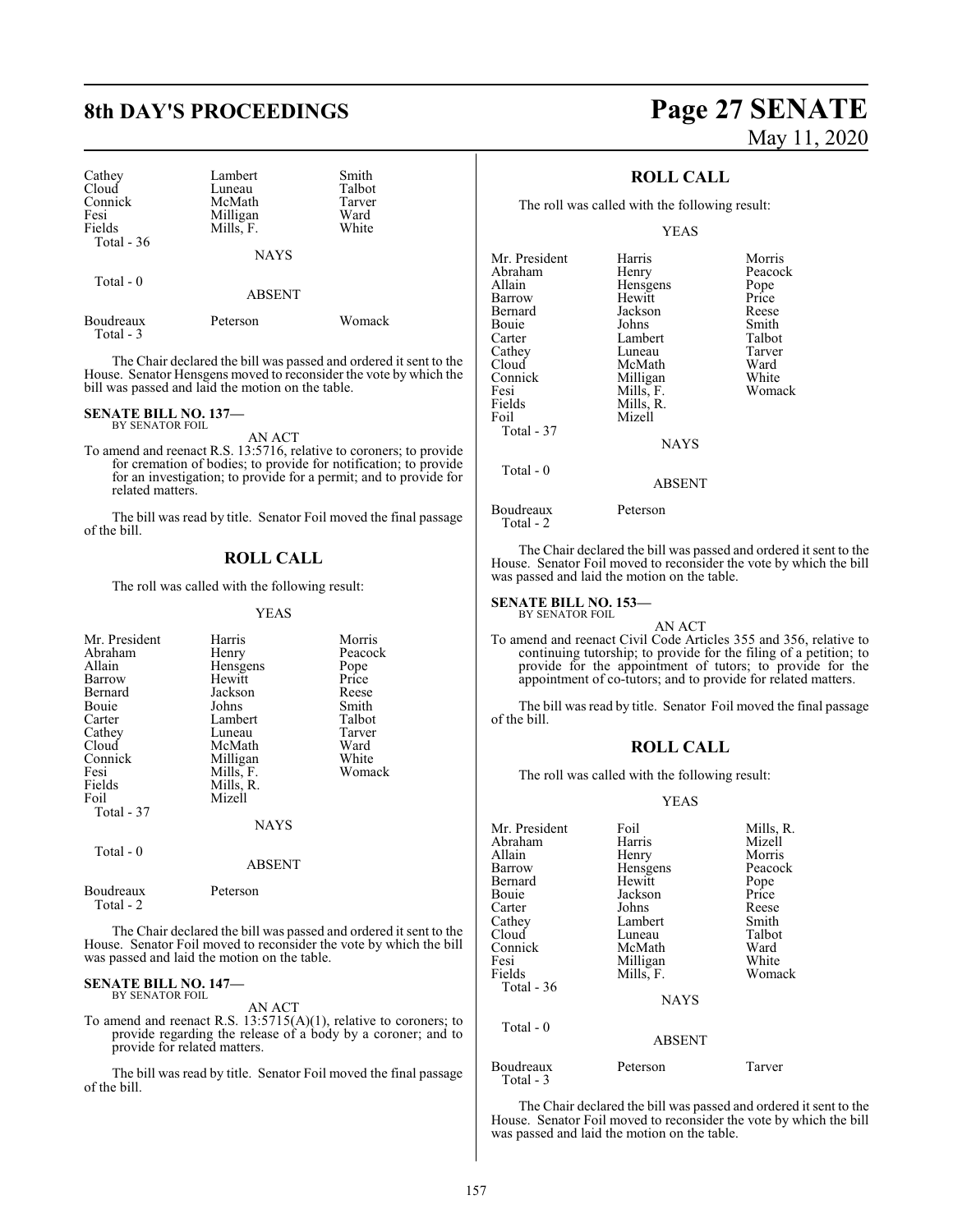| Cathey<br>Cloud<br>Connick<br>Fesi<br>Fields | Lambert<br>Luneau<br>McMath<br>Milligan<br>Mills, F. | Smith<br>Talbot<br>Tarver<br>Ward<br>White |
|----------------------------------------------|------------------------------------------------------|--------------------------------------------|
| Total $-36$                                  | <b>NAYS</b>                                          |                                            |
| Total $-0$                                   | <b>ABSENT</b>                                        |                                            |
| <b>Boudreaux</b>                             | Peterson                                             | Womack                                     |

Total - 3

The Chair declared the bill was passed and ordered it sent to the House. Senator Hensgens moved to reconsider the vote by which the bill was passed and laid the motion on the table.

#### **SENATE BILL NO. 137—** BY SENATOR FOIL

AN ACT

To amend and reenact R.S. 13:5716, relative to coroners; to provide for cremation of bodies; to provide for notification; to provide for an investigation; to provide for a permit; and to provide for related matters.

The bill was read by title. Senator Foil moved the final passage of the bill.

#### **ROLL CALL**

The roll was called with the following result:

YEAS

| Mr. President<br>Abraham<br>Allain<br>Barrow<br>Bernard<br>Bouie<br>Carter | Harris<br>Henry<br>Hensgens<br>Hewitt<br>Jackson<br>Johns<br>Lambert | Morris<br>Peacock<br>Pope<br>Price<br>Reese<br>Smith<br>Talbot |
|----------------------------------------------------------------------------|----------------------------------------------------------------------|----------------------------------------------------------------|
| Cathey<br>Cloud<br>Connick<br>Fesi                                         | Luneau<br>McMath<br>Milligan<br>Mills, F.                            | Tarver<br>Ward<br>White<br>Womack                              |
| Fields<br>Foil<br>Total - 37                                               | Mills, R.<br>Mizell<br><b>NAYS</b>                                   |                                                                |
| Total $-0$                                                                 | <b>ABSENT</b>                                                        |                                                                |
| Boudreaux                                                                  | Peterson                                                             |                                                                |

Total - 2

The Chair declared the bill was passed and ordered it sent to the House. Senator Foil moved to reconsider the vote by which the bill was passed and laid the motion on the table.

#### **SENATE BILL NO. 147—** BY SENATOR FOIL

AN ACT

To amend and reenact R.S. 13:5715(A)(1), relative to coroners; to provide regarding the release of a body by a coroner; and to provide for related matters.

The bill was read by title. Senator Foil moved the final passage of the bill.

# **8th DAY'S PROCEEDINGS Page 27 SENATE** May 11, 2020

## **ROLL CALL**

The roll was called with the following result:

YEAS

| Mr. President | Harris        | Morris  |
|---------------|---------------|---------|
| Abraham       | Henry         | Peacock |
| Allain        | Hensgens      | Pope    |
| Barrow        | Hewitt        | Price   |
| Bernard       | Jackson       | Reese   |
| Bouie         | Johns         | Smith   |
| Carter        | Lambert       | Talbot  |
| Cathey        | Luneau        | Tarver  |
| Cloud         | McMath        | Ward    |
| Connick       | Milligan      | White   |
| Fesi          | Mills, F.     | Womack  |
| Fields        | Mills, R.     |         |
| Foil          | Mizell        |         |
| Total - 37    |               |         |
|               | <b>NAYS</b>   |         |
| Total $-0$    |               |         |
|               | <b>ABSENT</b> |         |

The Chair declared the bill was passed and ordered it sent to the House. Senator Foil moved to reconsider the vote by which the bill was passed and laid the motion on the table.

#### **SENATE BILL NO. 153—**

Boudreaux Peterson

Total - 2

BY SENATOR FOIL

AN ACT To amend and reenact Civil Code Articles 355 and 356, relative to continuing tutorship; to provide for the filing of a petition; to provide for the appointment of tutors; to provide for the appointment of co-tutors; and to provide for related matters.

The bill was read by title. Senator Foil moved the final passage of the bill.

#### **ROLL CALL**

The roll was called with the following result:

#### YEAS

| Mr. President          | Foil          | Mills, R. |
|------------------------|---------------|-----------|
| Abraham                | Harris        | Mizell    |
| Allain                 | Henry         | Morris    |
| Barrow                 | Hensgens      | Peacock   |
| Bernard                | Hewitt        | Pope      |
| Bouie                  | Jackson       | Price     |
| Carter                 | Johns         | Reese     |
| Cathey                 | Lambert       | Smith     |
| Cloud                  | Luneau        | Talbot    |
| Connick                | McMath        | Ward      |
| Fesi                   | Milligan      | White     |
| Fields                 | Mills, F.     | Womack    |
| Total - $36$           |               |           |
|                        | <b>NAYS</b>   |           |
| Total - 0              |               |           |
|                        | <b>ABSENT</b> |           |
| Boudreaux<br>Total - 3 | Peterson      | Tarver    |

The Chair declared the bill was passed and ordered it sent to the House. Senator Foil moved to reconsider the vote by which the bill was passed and laid the motion on the table.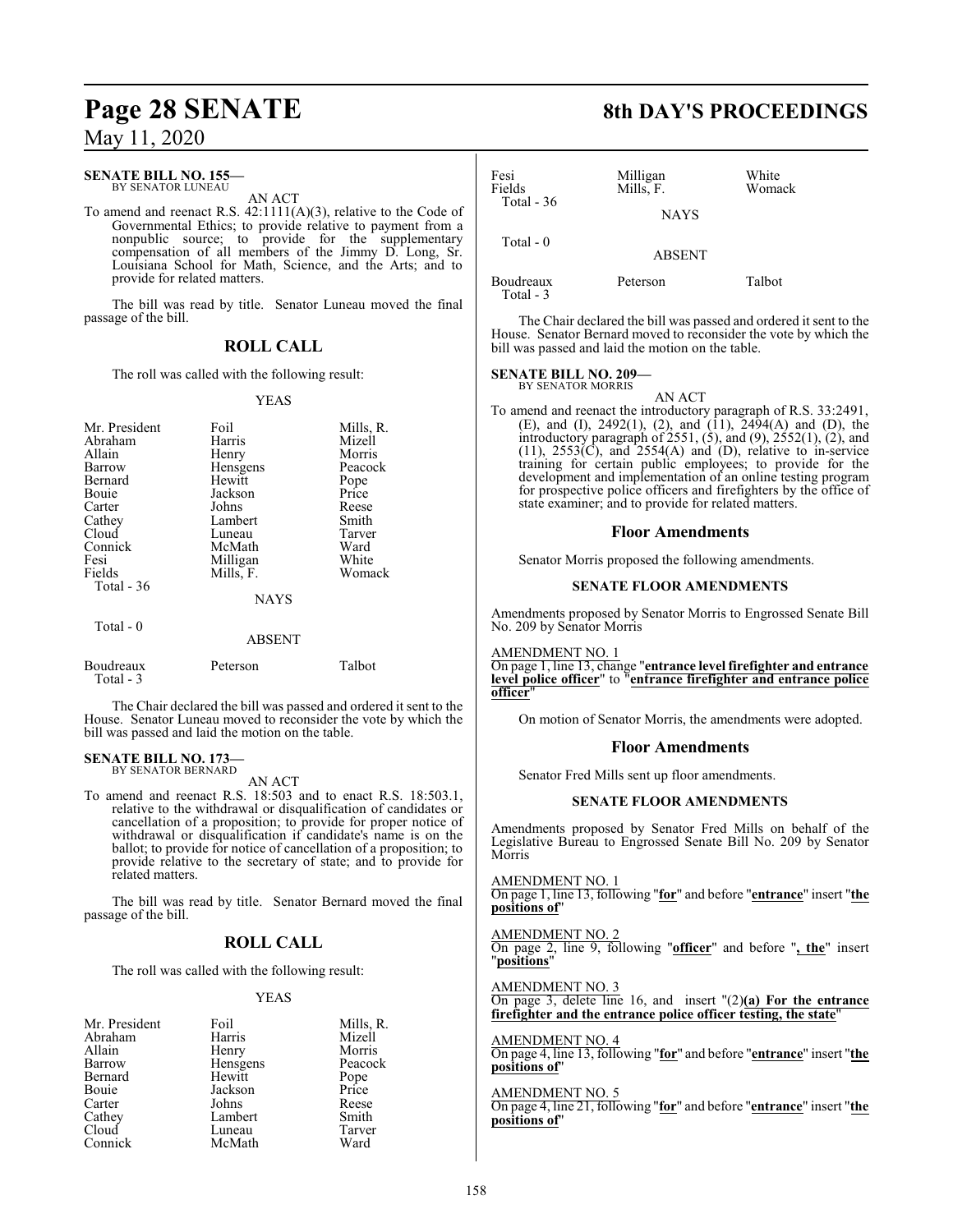### **SENATE BILL NO. 155—**

BY SENATOR LUNEAU AN ACT

To amend and reenact R.S. 42:1111(A)(3), relative to the Code of Governmental Ethics; to provide relative to payment from a nonpublic source; to provide for the supplementary compensation of all members of the Jimmy D. Long, Sr. Louisiana School for Math, Science, and the Arts; and to provide for related matters.

The bill was read by title. Senator Luneau moved the final passage of the bill.

## **ROLL CALL**

The roll was called with the following result:

#### YEAS

| Mr. President<br>Abraham<br>Allain<br>Barrow | Foil<br>Harris<br>Henry<br>Hensgens | Mills, R.<br>Mizell<br>Morris<br>Peacock |
|----------------------------------------------|-------------------------------------|------------------------------------------|
| Bernard                                      | Hewitt                              | Pope                                     |
| Bouie                                        | Jackson                             | Price                                    |
| Carter                                       | Johns                               | Reese                                    |
| Cathey                                       | Lambert                             | Smith                                    |
| Cloud                                        | Luneau                              | Tarver                                   |
| Connick                                      | McMath                              | Ward                                     |
| Fesi                                         | Milligan                            | White                                    |
| Fields                                       | Mills, F.                           | Womack                                   |
| Total $-36$                                  |                                     |                                          |
|                                              | <b>NAYS</b>                         |                                          |
| Total - 0                                    | <b>ABSENT</b>                       |                                          |

Boudreaux Peterson Talbot Total - 3 The Chair declared the bill was passed and ordered it sent to the

House. Senator Luneau moved to reconsider the vote by which the bill was passed and laid the motion on the table.

#### **SENATE BILL NO. 173—**

BY SENATOR BERNARD

AN ACT

To amend and reenact R.S. 18:503 and to enact R.S. 18:503.1, relative to the withdrawal or disqualification of candidates or cancellation of a proposition; to provide for proper notice of withdrawal or disqualification if candidate's name is on the ballot; to provide for notice of cancellation of a proposition; to provide relative to the secretary of state; and to provide for related matters.

The bill was read by title. Senator Bernard moved the final passage of the bill.

### **ROLL CALL**

The roll was called with the following result:

#### YEAS

| Foil     | Mills, R. |
|----------|-----------|
| Harris   | Mizell    |
| Henry    | Morris    |
| Hensgens | Peacock   |
| Hewitt   | Pope      |
| Jackson  | Price     |
| Johns    | Reese     |
| Lambert  | Smith     |
| Luneau   | Tarver    |
| McMath   | Ward      |
|          |           |

**Page 28 SENATE 8th DAY'S PROCEEDINGS**

| Fesi<br>Fields<br>Total - $36$ | Milligan<br>Mills, F. | White<br>Womack |
|--------------------------------|-----------------------|-----------------|
|                                | <b>NAYS</b>           |                 |
| Total $-0$                     | <b>ABSENT</b>         |                 |
| Boudreaux<br>Total - 3         | Peterson              | Talbot          |

The Chair declared the bill was passed and ordered it sent to the House. Senator Bernard moved to reconsider the vote by which the bill was passed and laid the motion on the table.

#### **SENATE BILL NO. 209—** BY SENATOR MORRIS

AN ACT To amend and reenact the introductory paragraph of R.S. 33:2491, (E), and (I), 2492(1), (2), and  $(11)$ , 2494(A) and (D), the introductory paragraph of 2551, (5), and (9), 2552(1), (2), and  $(11)$ ,  $2553(\text{C})$ , and  $2554(\text{A})$  and  $(\text{D})$ , relative to in-service training for certain public employees; to provide for the development and implementation of an online testing program for prospective police officers and firefighters by the office of state examiner; and to provide for related matters.

#### **Floor Amendments**

Senator Morris proposed the following amendments.

#### **SENATE FLOOR AMENDMENTS**

Amendments proposed by Senator Morris to Engrossed Senate Bill No. 209 by Senator Morris

AMENDMENT NO. 1

On page 1, line 13, change "**entrance level firefighter and entrance level police officer**" to "**entrance firefighter and entrance police officer**"

On motion of Senator Morris, the amendments were adopted.

#### **Floor Amendments**

Senator Fred Mills sent up floor amendments.

#### **SENATE FLOOR AMENDMENTS**

Amendments proposed by Senator Fred Mills on behalf of the Legislative Bureau to Engrossed Senate Bill No. 209 by Senator Morris

AMENDMENT NO. 1 On page 1, line 13, following "**for**" and before "**entrance**" insert "**the positions of**"

AMENDMENT NO. 2 On page 2, line 9, following "**officer**" and before "**, the**" insert "**positions**"

AMENDMENT NO. 3

On page 3, delete line 16, and insert "(2)**(a) For the entrance firefighter and the entrance police officer testing, the state**"

#### AMENDMENT NO. 4

On page 4, line 13, following "**for**" and before "**entrance**" insert "**the positions of**"

#### AMENDMENT NO. 5

On page 4, line 21, following "**for**" and before "**entrance**" insert "**the positions of**"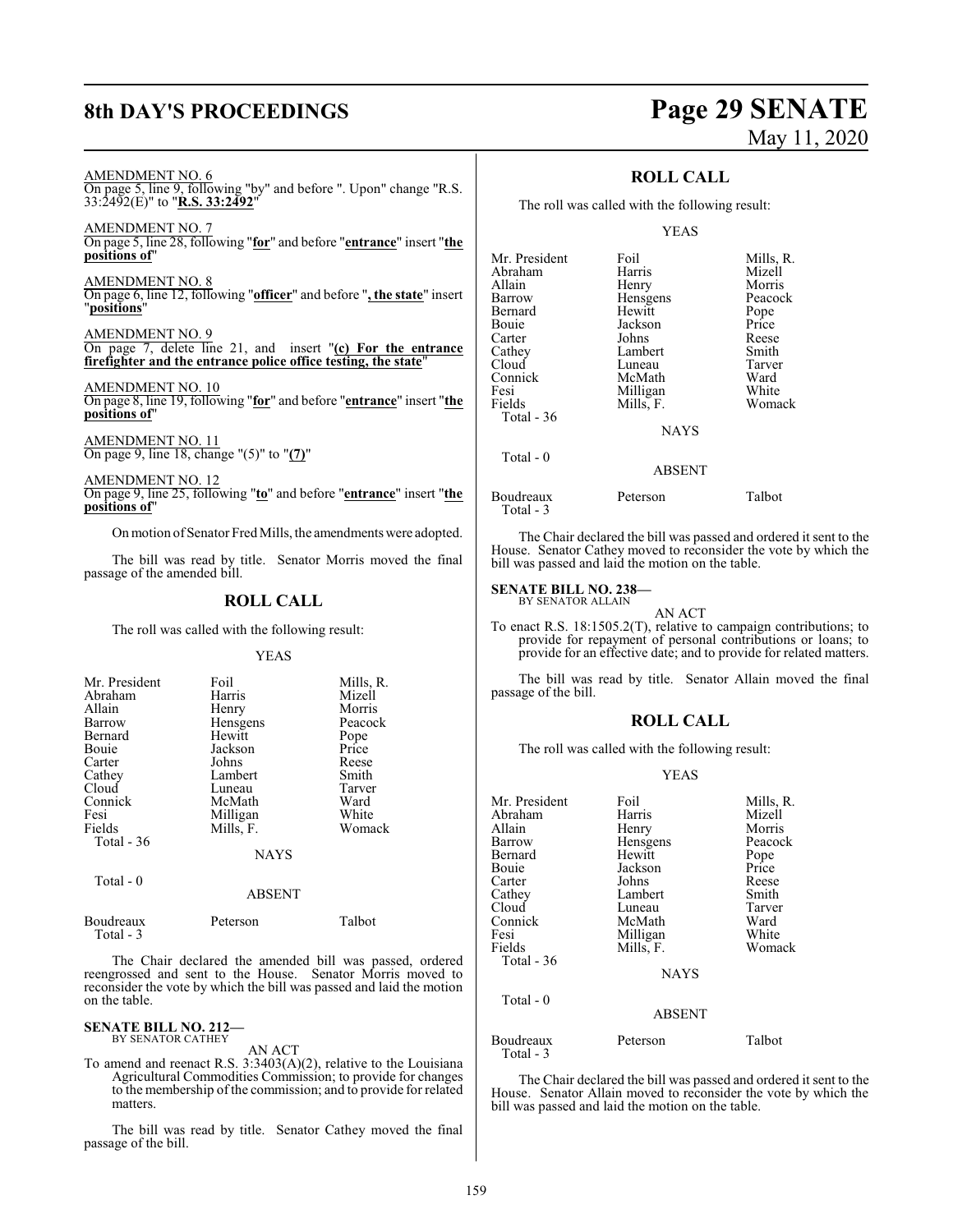# **8th DAY'S PROCEEDINGS Page 29 SENATE** May 11, 2020

AMENDMENT NO. 6

On page 5, line 9, following "by" and before ". Upon" change "R.S. 33:2492(E)" to "**R.S. 33:2492**"

AMENDMENT NO. 7 On page 5, line 28, following "**for**" and before "**entrance**" insert "**the positions of**"

AMENDMENT NO. 8 On page 6, line 12, following "**officer**" and before "**, the state**" insert "**positions**"

AMENDMENT NO. 9 On page 7, delete line 21, and insert "**(c) For the entrance firefighter and the entrance police office testing, the state**"

AMENDMENT NO. 10 On page 8, line 19, following "**for**" and before "**entrance**" insert "**the positions of**"

AMENDMENT NO. 11 On page 9, line 18, change "(5)" to "**(7)**"

AMENDMENT NO. 12 On page 9, line 25, following "**to**" and before "**entrance**" insert "**the positions of**"

Onmotion ofSenator Fred Mills, the amendments were adopted.

The bill was read by title. Senator Morris moved the final passage of the amended bill.

## **ROLL CALL**

The roll was called with the following result:

#### YEAS

| Mr. President<br>Abraham<br>Allain<br>Barrow<br>Bernard<br><b>Bouje</b><br>Carter | Foil<br>Harris<br>Henry<br>Hensgens<br>Hewitt<br>Jackson<br>Johns | Mills, R.<br>Mizell<br>Morris<br>Peacock<br>Pope<br>Price<br>Reese |
|-----------------------------------------------------------------------------------|-------------------------------------------------------------------|--------------------------------------------------------------------|
| Cathey                                                                            | Lambert                                                           | Smith                                                              |
| Cloud                                                                             | Luneau                                                            | Tarver                                                             |
| Connick                                                                           | McMath                                                            | Ward                                                               |
| Fesi                                                                              | Milligan                                                          | White                                                              |
| Fields                                                                            | Mills, F.                                                         | Womack                                                             |
| Total $-36$                                                                       |                                                                   |                                                                    |
|                                                                                   | <b>NAYS</b>                                                       |                                                                    |
| Total - 0                                                                         |                                                                   |                                                                    |

Total - 3

on the table.

ABSENT Boudreaux Peterson Talbot

The Chair declared the amended bill was passed, ordered reengrossed and sent to the House. Senator Morris moved to reconsider the vote by which the bill was passed and laid the motion

#### **SENATE BILL NO. 212—** BY SENATOR CATHEY

AN ACT

To amend and reenact R.S. 3:3403(A)(2), relative to the Louisiana Agricultural Commodities Commission; to provide for changes to the membership of the commission; and to provide for related matters.

The bill was read by title. Senator Cathey moved the final passage of the bill.

### **ROLL CALL**

The roll was called with the following result:

#### YEAS

| Mr. President | Foil          | Mills, R. |
|---------------|---------------|-----------|
| Abraham       | Harris        | Mizell    |
| Allain        | Henry         | Morris    |
| Barrow        | Hensgens      | Peacock   |
| Bernard       | Hewitt        | Pope      |
| Bouie         | Jackson       | Price     |
| Carter        | Johns         | Reese     |
| Cathey        | Lambert       | Smith     |
| Cloud         | Luneau        | Tarver    |
| Connick       | McMath        | Ward      |
| Fesi          | Milligan      | White     |
| Fields        | Mills, F.     | Womack    |
| Total - 36    |               |           |
|               | <b>NAYS</b>   |           |
| Total $-0$    |               |           |
|               | <b>ABSENT</b> |           |

Boudreaux Peterson Talbot Total - 3

The Chair declared the bill was passed and ordered it sent to the House. Senator Cathey moved to reconsider the vote by which the bill was passed and laid the motion on the table.

#### **SENATE BILL NO. 238—**

BY SENATOR ALLAIN AN ACT

To enact R.S. 18:1505.2(T), relative to campaign contributions; to provide for repayment of personal contributions or loans; to provide for an effective date; and to provide for related matters.

The bill was read by title. Senator Allain moved the final passage of the bill.

#### **ROLL CALL**

The roll was called with the following result:

#### YEAS

| Mr. President          | Foil          | Mills, R. |
|------------------------|---------------|-----------|
| Abraham                | Harris        | Mizell    |
| Allain                 | Henry         | Morris    |
| Barrow                 | Hensgens      | Peacock   |
| Bernard                | Hewitt        | Pope      |
| Bouie                  | Jackson       | Price     |
| Carter                 | Johns         | Reese     |
| Cathey                 | Lambert       | Smith     |
| Cloud                  | Luneau        | Tarver    |
| Connick                | McMath        | Ward      |
| Fesi                   | Milligan      | White     |
| Fields                 | Mills, F.     | Womack    |
| Total - 36             |               |           |
|                        | <b>NAYS</b>   |           |
| Total - 0              |               |           |
|                        | <b>ABSENT</b> |           |
| Boudreaux<br>Total - 3 | Peterson      | Talbot    |

The Chair declared the bill was passed and ordered it sent to the House. Senator Allain moved to reconsider the vote by which the bill was passed and laid the motion on the table.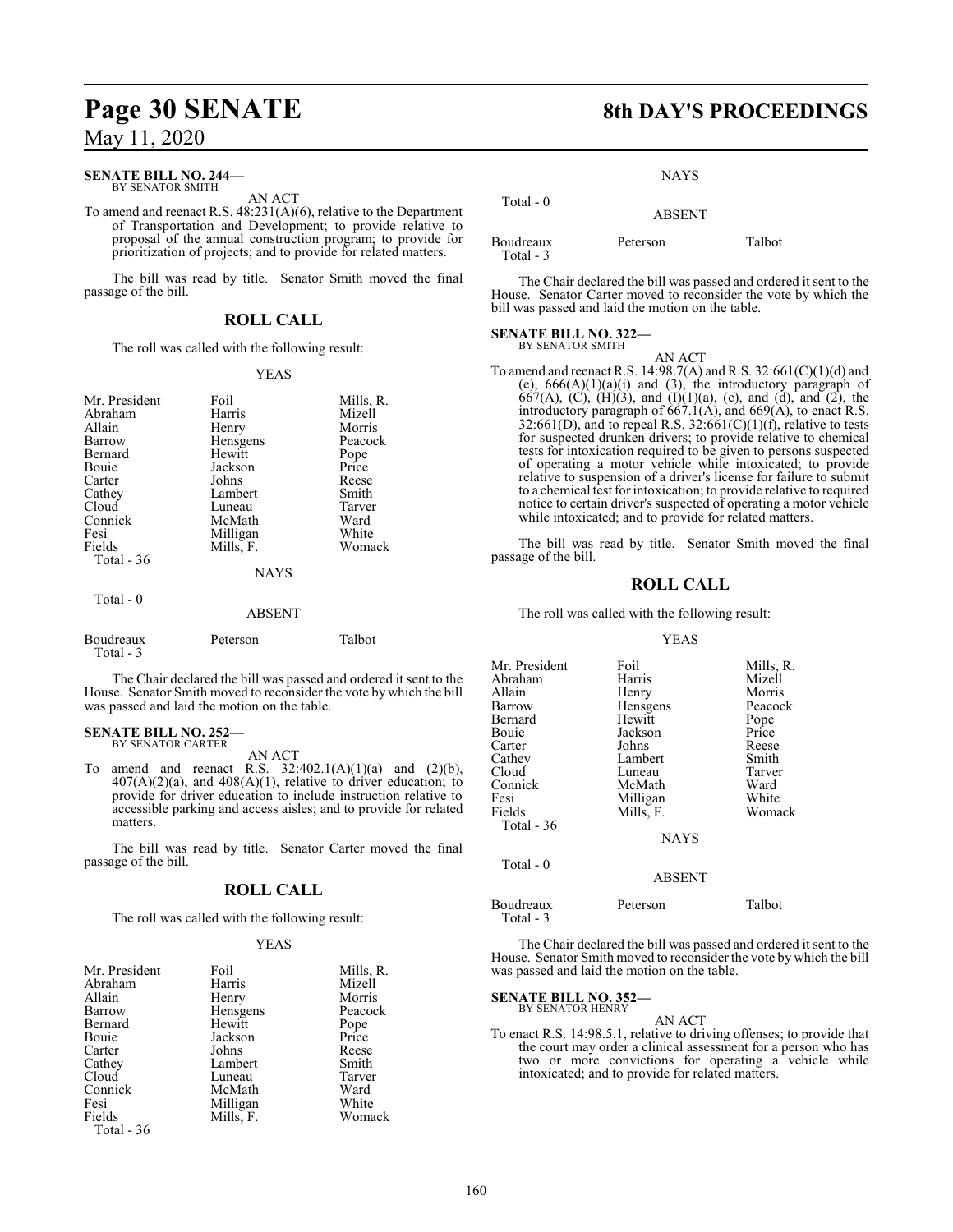# **Page 30 SENATE 8th DAY'S PROCEEDINGS**

# May 11, 2020

#### **SENATE BILL NO. 244—** BY SENATOR SMITH

AN ACT

To amend and reenact R.S. 48:231(A)(6), relative to the Department of Transportation and Development; to provide relative to proposal of the annual construction program; to provide for prioritization of projects; and to provide for related matters.

The bill was read by title. Senator Smith moved the final passage of the bill.

### **ROLL CALL**

The roll was called with the following result:

#### YEAS

| Mr. President<br>Abraham<br>Allain<br>Barrow<br>Bernard<br>Bouie<br>Carter<br>Cathey<br>Cloud<br>Connick<br>Fesi<br>Fields | Foil<br>Harris<br>Henry<br>Hensgens<br>Hewitt<br>Jackson<br>Johns<br>Lambert<br>Luneau<br>McMath<br>Milligan<br>Mills, F. | Mills, R.<br>Mizell<br>Morris<br>Peacock<br>Pope<br>Price<br>Reese<br>Smith<br>Tarver<br>Ward<br>White<br>Womack |
|----------------------------------------------------------------------------------------------------------------------------|---------------------------------------------------------------------------------------------------------------------------|------------------------------------------------------------------------------------------------------------------|
| Total $-36$                                                                                                                | <b>NAYS</b>                                                                                                               |                                                                                                                  |
| Total - 0                                                                                                                  | <b>ABSENT</b>                                                                                                             |                                                                                                                  |
| Boudreaux<br>Total - 3                                                                                                     | Peterson                                                                                                                  | Talbot                                                                                                           |

The Chair declared the bill was passed and ordered it sent to the House. Senator Smith moved to reconsider the vote by which the bill was passed and laid the motion on the table.

# **SENATE BILL NO. 252—** BY SENATOR CARTER

AN ACT

To amend and reenact R.S.  $32:402.1(A)(1)(a)$  and  $(2)(b)$ ,  $407(A)(2)(a)$ , and  $408(A)(1)$ , relative to driver education; to provide for driver education to include instruction relative to accessible parking and access aisles; and to provide for related matters.

The bill was read by title. Senator Carter moved the final passage of the bill.

### **ROLL CALL**

The roll was called with the following result:

#### YEAS

| Mr. President | Foil      | Mills, R. |
|---------------|-----------|-----------|
| Abraham       | Harris    | Mizell    |
| Allain        | Henry     | Morris    |
| Barrow        | Hensgens  | Peacock   |
| Bernard       | Hewitt    | Pope      |
| Bouie         | Jackson   | Price     |
| Carter        | Johns     | Reese     |
| Cathey        | Lambert   | Smith     |
| Cloud         | Luneau    | Tarver    |
| Connick       | McMath    | Ward      |
| Fesi          | Milligan  | White     |
| Fields        | Mills, F. | Womack    |
| Total - 36    |           |           |

**NAYS** 

| Total $-0$ | <b>ABSENT</b> |        |
|------------|---------------|--------|
| Boudreaux  | Peterson      | Talbot |

The Chair declared the bill was passed and ordered it sent to the House. Senator Carter moved to reconsider the vote by which the bill was passed and laid the motion on the table.

#### **SENATE BILL NO. 322—** BY SENATOR SMITH

Total - 3

AN ACT

To amend and reenact R.S. 14:98.7(A) and R.S. 32:661(C)(1)(d) and (e),  $666(A)(1)(a)(i)$  and (3), the introductory paragraph of 667(A), (C), (H)(3), and (I)(1)(a), (c), and (d), and (2), the introductory paragraph of  $667.1(A)$ , and  $669(A)$ , to enact R.S. 32:661(D), and to repeal R.S. 32:661(C)(1)(f), relative to tests for suspected drunken drivers; to provide relative to chemical tests for intoxication required to be given to persons suspected of operating a motor vehicle while intoxicated; to provide relative to suspension of a driver's license for failure to submit to a chemical test forintoxication; to provide relative to required notice to certain driver's suspected of operating a motor vehicle while intoxicated; and to provide for related matters.

The bill was read by title. Senator Smith moved the final passage of the bill.

#### **ROLL CALL**

The roll was called with the following result:

#### YEAS

| Mr. President | Foil            | Mills, R. |
|---------------|-----------------|-----------|
| Abraham       | Harris          | Mizell    |
| Allain        | Henry           | Morris    |
| Barrow        | <b>Hensgens</b> | Peacock   |
| Bernard       | Hewitt          | Pope      |
| Bouie         | Jackson         | Price     |
| Carter        | Johns           | Reese     |
| Cathey        | Lambert         | Smith     |
| Cloud         | Luneau          | Tarver    |
| Connick       | McMath          | Ward      |
| Fesi          | Milligan        | White     |
| Fields        | Mills, F.       | Womack    |
| Total - 36    |                 |           |
|               | <b>NAYS</b>     |           |
| Total $-0$    |                 |           |
|               | <b>ABSENT</b>   |           |
|               |                 |           |

Boudreaux Peterson Talbot

Total - 3

The Chair declared the bill was passed and ordered it sent to the House. Senator Smith moved to reconsider the vote by which the bill was passed and laid the motion on the table.

#### **SENATE BILL NO. 352—** BY SENATOR HENRY

AN ACT To enact R.S. 14:98.5.1, relative to driving offenses; to provide that the court may order a clinical assessment for a person who has two or more convictions for operating a vehicle while intoxicated; and to provide for related matters.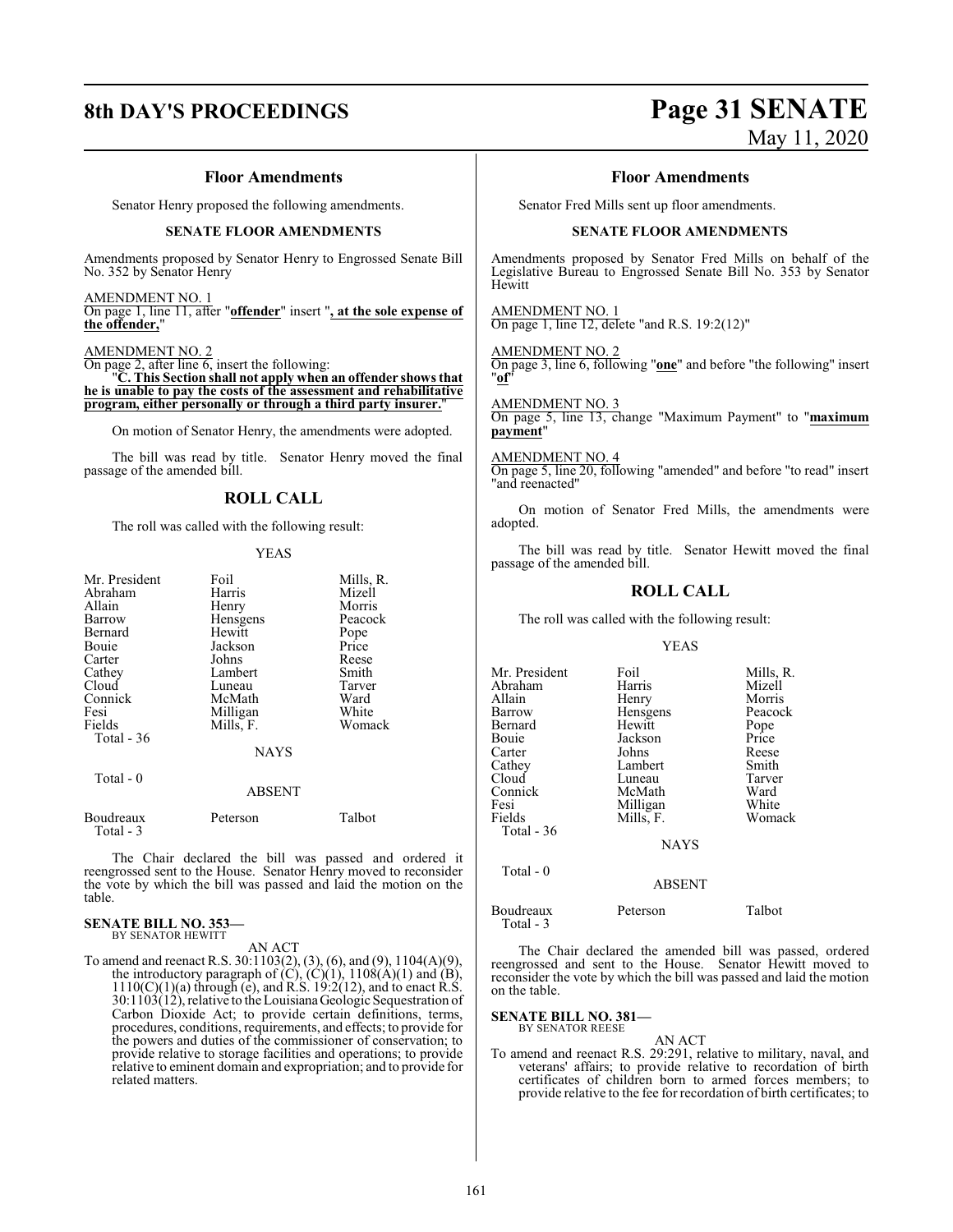# **8th DAY'S PROCEEDINGS Page 31 SENATE** May 11, 2020

#### **Floor Amendments**

Senator Henry proposed the following amendments.

#### **SENATE FLOOR AMENDMENTS**

Amendments proposed by Senator Henry to Engrossed Senate Bill No. 352 by Senator Henry

#### AMENDMENT NO. 1

On page 1, line 11, after "**offender**" insert "**, at the sole expense of the offender,**"

#### AMENDMENT NO. 2

On page 2, after line 6, insert the following:

"**C. This Section shall not apply when an offender shows that he is unable to pay the costs of the assessment and rehabilitative program, either personally or through a third party insurer.**"

On motion of Senator Henry, the amendments were adopted.

The bill was read by title. Senator Henry moved the final passage of the amended bill.

## **ROLL CALL**

The roll was called with the following result:

#### YEAS

| Mr. President | Foil        | Mills, R. |
|---------------|-------------|-----------|
| Abraham       | Harris      | Mizell    |
| Allain        | Henry       | Morris    |
| Barrow        | Hensgens    | Peacock   |
| Bernard       | Hewitt      | Pope      |
| Bouie         | Jackson     | Price     |
| Carter        | Johns       | Reese     |
| Cathey        | Lambert     | Smith     |
| Cloud         | Luneau      | Tarver    |
| Connick       | McMath      | Ward      |
| Fesi          | Milligan    | White     |
| Fields        | Mills, F.   | Womack    |
| Total - 36    |             |           |
|               | <b>NAYS</b> |           |
|               |             |           |

#### Total - 0

#### ABSENT

Boudreaux Peterson Talbot Total - 3 The Chair declared the bill was passed and ordered it

reengrossed sent to the House. Senator Henry moved to reconsider the vote by which the bill was passed and laid the motion on the table.

#### **SENATE BILL NO. 353—** BY SENATOR HEWITT

AN ACT

To amend and reenact R.S. 30:1103(2), (3), (6), and (9), 1104(A)(9), the introductory paragraph of  $(C)$ ,  $(C)(1)$ ,  $1108(A)(1)$  and  $(B)$ ,  $1110(C)(1)(a)$  through (e), and R.S. 19:2(12), and to enact R.S. 30:1103(12), relative to the LouisianaGeologic Sequestration of Carbon Dioxide Act; to provide certain definitions, terms, procedures, conditions, requirements, and effects; to provide for the powers and duties of the commissioner of conservation; to provide relative to storage facilities and operations; to provide relative to eminent domain and expropriation; and to provide for related matters.

#### **Floor Amendments**

Senator Fred Mills sent up floor amendments.

#### **SENATE FLOOR AMENDMENTS**

Amendments proposed by Senator Fred Mills on behalf of the Legislative Bureau to Engrossed Senate Bill No. 353 by Senator Hewitt

AMENDMENT NO. 1 On page 1, line 12, delete "and R.S. 19:2(12)"

#### AMENDMENT NO. 2

On page 3, line 6, following "**one**" and before "the following" insert "**of**"

#### AMENDMENT NO. 3

On page 5, line 13, change "Maximum Payment" to "**maximum payment**"

#### AMENDMENT NO. 4

On page 5, line 20, following "amended" and before "to read" insert "and reenacted"

On motion of Senator Fred Mills, the amendments were adopted.

The bill was read by title. Senator Hewitt moved the final passage of the amended bill.

### **ROLL CALL**

The roll was called with the following result:

#### YEAS

| Mr. President<br>Abraham<br>Allain<br>Barrow<br>Bernard<br>Bouie<br>Carter<br>Cathey<br>Cloud<br>Connick<br>Fesi<br>Fields<br>Total - 36 | Foil<br>Harris<br>Henry<br>Hensgens<br>Hewitt<br>Jackson<br>Johns<br>Lambert<br>Luneau<br>McMath<br>Milligan<br>Mills, F.<br><b>NAYS</b> | Mills, R.<br>Mizell<br>Morris<br>Peacock<br>Pope<br>Price<br>Reese<br>Smith<br>Tarver<br>Ward<br>White<br>Womack |
|------------------------------------------------------------------------------------------------------------------------------------------|------------------------------------------------------------------------------------------------------------------------------------------|------------------------------------------------------------------------------------------------------------------|
| Total - 0                                                                                                                                | <b>ABSENT</b>                                                                                                                            |                                                                                                                  |
|                                                                                                                                          |                                                                                                                                          |                                                                                                                  |

| Boudreaux<br>Total - 3 | Peterson | Talbot |
|------------------------|----------|--------|
|                        |          |        |

The Chair declared the amended bill was passed, ordered reengrossed and sent to the House. Senator Hewitt moved to reconsider the vote by which the bill was passed and laid the motion on the table.

#### **SENATE BILL NO. 381—**

BY SENATOR REESE

AN ACT To amend and reenact R.S. 29:291, relative to military, naval, and veterans' affairs; to provide relative to recordation of birth certificates of children born to armed forces members; to provide relative to the fee for recordation of birth certificates; to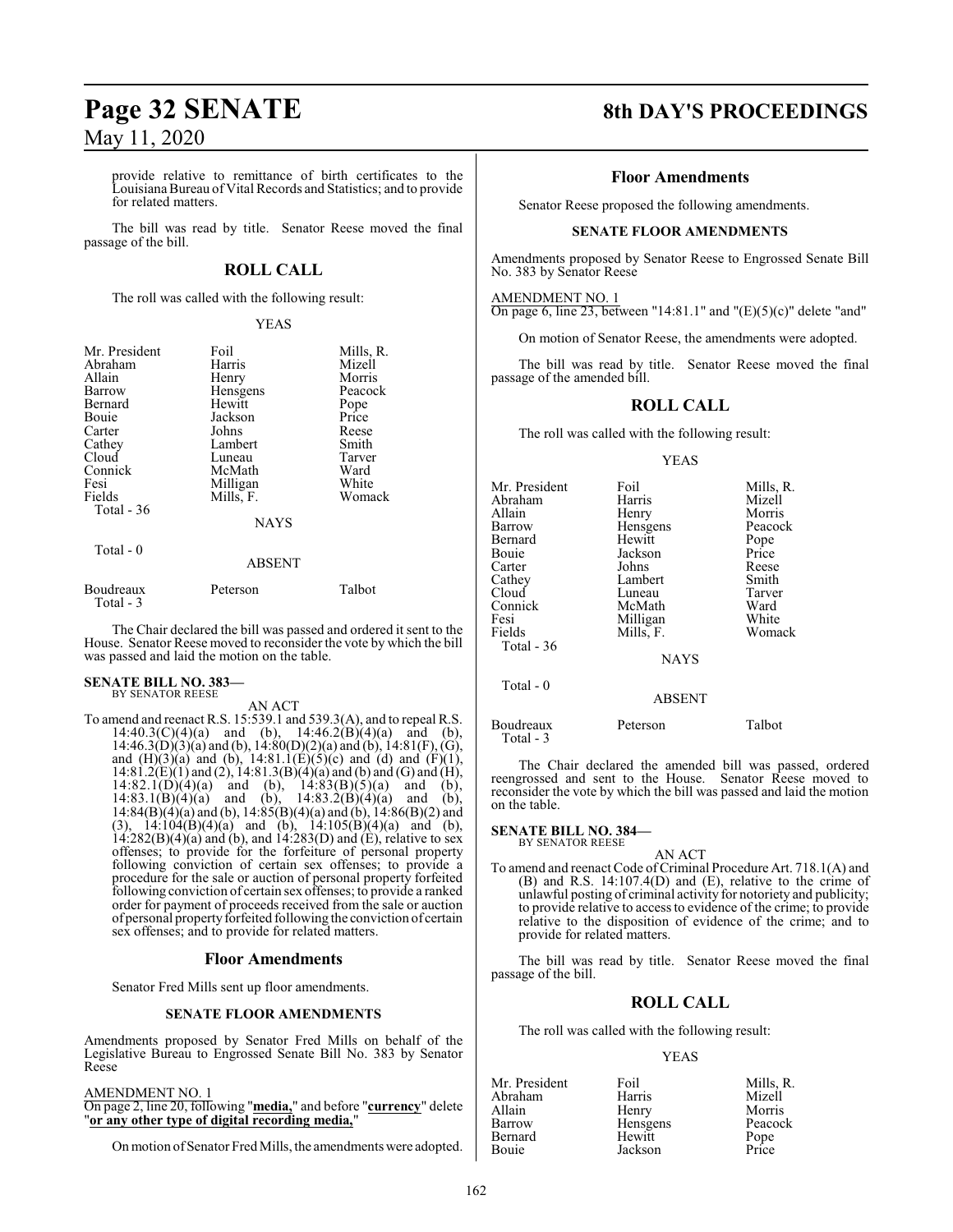provide relative to remittance of birth certificates to the LouisianaBureau of Vital Records and Statistics; and to provide for related matters.

The bill was read by title. Senator Reese moved the final passage of the bill.

## **ROLL CALL**

The roll was called with the following result:

#### YEAS

| Mr. President<br>Abraham<br>Allain<br>Barrow<br>Bernard<br>Bouie<br>Carter<br>Cathey<br>Cloud<br>Connick<br>Fesi | Foil<br>Harris<br>Henry<br>Hensgens<br>Hewitt<br>Jackson<br>Johns<br>Lambert<br>Luneau<br>McMath<br>Milligan | Mills, R.<br>Mizell<br>Morris<br>Peacock<br>Pope<br>Price<br>Reese<br>Smith<br>Tarver<br>Ward<br>White |
|------------------------------------------------------------------------------------------------------------------|--------------------------------------------------------------------------------------------------------------|--------------------------------------------------------------------------------------------------------|
| Total $-36$                                                                                                      | <b>NAYS</b>                                                                                                  |                                                                                                        |
| Total $-0$                                                                                                       | <b>ABSENT</b>                                                                                                |                                                                                                        |
| Boudreaux<br>Total - 3                                                                                           | Peterson                                                                                                     | Talbot                                                                                                 |

The Chair declared the bill was passed and ordered it sent to the House. Senator Reese moved to reconsider the vote by which the bill was passed and laid the motion on the table.

# **SENATE BILL NO. 383—** BY SENATOR REESE

AN ACT

To amend and reenact R.S. 15:539.1 and 539.3(A), and to repeal R.S. 14:40.3(C)(4)(a) and (b),  $14:46.2(B)(4)(a)$  and (b),  $14:46.3(D)(3)(a)$  and (b),  $14:80(D)(2)(a)$  and (b),  $14:81(F)$ , (G), and  $(H)(3)(a)$  and  $(b)$ ,  $14:81.1(E)(5)(c)$  and  $(d)$  and  $(F)(1)$ ,  $14:81.2(E)(1)$  and  $(2)$ ,  $14:81.3(B)(4)(a)$  and  $(b)$  and  $(G)$  and  $(H)$ ,  $14:82.1(\overrightarrow{D})(4)(a)$  and (b),  $14:83(B)(5)(a)$  and (b),  $14:83.1(B)(4)(a)$  and (b),  $14:83.2(B)(4)(a)$  and (b), 14:84(B)(4)(a) and (b), 14:85(B)(4)(a) and (b), 14:86(B)(2) and (3),  $14:104(B)(4)(a)$  and (b),  $14:105(B)(4)(a)$  and (b),  $14:282(B)(4)(a)$  and (b), and  $14:283(D)$  and (E), relative to sex offenses; to provide for the forfeiture of personal property following conviction of certain sex offenses; to provide a procedure for the sale or auction of personal property forfeited following conviction of certain sex offenses; to provide a ranked order for payment of proceeds received from the sale or auction of personal property forfeited following the conviction of certain sex offenses; and to provide for related matters.

#### **Floor Amendments**

Senator Fred Mills sent up floor amendments.

#### **SENATE FLOOR AMENDMENTS**

Amendments proposed by Senator Fred Mills on behalf of the Legislative Bureau to Engrossed Senate Bill No. 383 by Senator Reese

#### AMENDMENT NO. 1

On page 2, line 20, following "**media,**" and before "**currency**" delete "**or any other type of digital recording media,**"

On motion of Senator Fred Mills, the amendments were adopted.

# **Page 32 SENATE 8th DAY'S PROCEEDINGS**

#### **Floor Amendments**

Senator Reese proposed the following amendments.

#### **SENATE FLOOR AMENDMENTS**

Amendments proposed by Senator Reese to Engrossed Senate Bill No. 383 by Senator Reese

AMENDMENT NO. 1

On page 6, line 23, between "14:81.1" and " $(E)(5)(c)$ " delete "and"

On motion of Senator Reese, the amendments were adopted.

The bill was read by title. Senator Reese moved the final passage of the amended bill.

## **ROLL CALL**

The roll was called with the following result:

#### YEAS

| Mr. President | Foil        | Mills, R. |
|---------------|-------------|-----------|
| Abraham       | Harris      | Mizell    |
| Allain        | Henry       | Morris    |
| Barrow        | Hensgens    | Peacock   |
| Bernard       | Hewitt      | Pope      |
| Bouie         | Jackson     | Price     |
| Carter        | Johns       | Reese     |
| Cathey        | Lambert     | Smith     |
| Cloud         | Luneau      | Tarver    |
| Connick       | McMath      | Ward      |
| Fesi          | Milligan    | White     |
| Fields        | Mills, F.   | Womack    |
| Total - 36    |             |           |
|               | <b>NAYS</b> |           |
| Total - 0     |             |           |

ABSENT

Boudreaux Peterson Talbot Total - 3

The Chair declared the amended bill was passed, ordered reengrossed and sent to the House. Senator Reese moved to reconsider the vote by which the bill was passed and laid the motion on the table.

**SENATE BILL NO. 384—** BY SENATOR REESE

AN ACT

To amend and reenact Code of Criminal Procedure Art. 718.1(A) and (B) and R.S. 14:107.4(D) and (E), relative to the crime of unlawful posting of criminal activity for notoriety and publicity; to provide relative to access to evidence of the crime; to provide relative to the disposition of evidence of the crime; and to provide for related matters.

The bill was read by title. Senator Reese moved the final passage of the bill.

#### **ROLL CALL**

The roll was called with the following result:

#### YEAS

| Foil     | Mills, R. |
|----------|-----------|
| Harris   | Mizell    |
| Henry    | Morris    |
| Hensgens | Peacock   |
| Hewitt   | Pope      |
| Jackson  | Price     |
|          |           |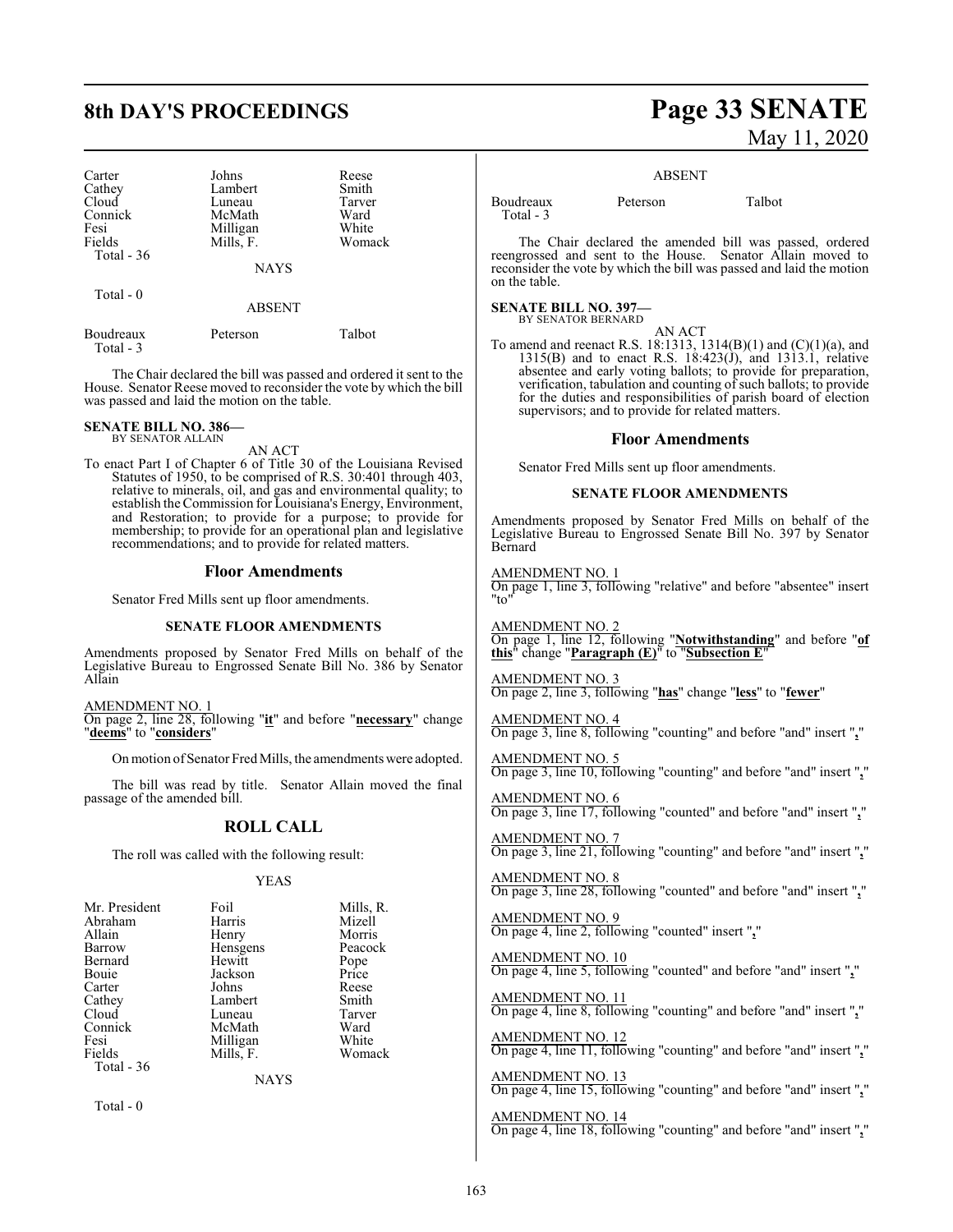| Carter      | Johns       | Reese  |
|-------------|-------------|--------|
| Cathey      | Lambert     | Smith  |
| Cloud       | Luneau      | Tarver |
| Connick     | McMath      | Ward   |
| Fesi        | Milligan    | White  |
| Fields      | Mills, F.   | Womack |
| Total $-36$ |             |        |
|             | <b>NAYS</b> |        |
| Total $-0$  |             |        |
|             | ABSENT      |        |

Boudreaux Peterson Talbot

The Chair declared the bill was passed and ordered it sent to the House. Senator Reese moved to reconsider the vote by which the bill was passed and laid the motion on the table.

#### **SENATE BILL NO. 386—** BY SENATOR ALLAIN

Total - 3

AN ACT

To enact Part I of Chapter 6 of Title 30 of the Louisiana Revised Statutes of 1950, to be comprised of R.S. 30:401 through 403, relative to minerals, oil, and gas and environmental quality; to establish the Commission for Louisiana's Energy, Environment, and Restoration; to provide for a purpose; to provide for membership; to provide for an operational plan and legislative recommendations; and to provide for related matters.

#### **Floor Amendments**

Senator Fred Mills sent up floor amendments.

#### **SENATE FLOOR AMENDMENTS**

Amendments proposed by Senator Fred Mills on behalf of the Legislative Bureau to Engrossed Senate Bill No. 386 by Senator Allain

AMENDMENT NO. 1 On page 2, line 28, following "**it**" and before "**necessary**" change "**deems**" to "**considers**"

On motion of Senator Fred Mills, the amendments were adopted.

The bill was read by title. Senator Allain moved the final passage of the amended bill.

#### **ROLL CALL**

The roll was called with the following result:

#### YEAS

| Mr. President | Foil      | Mills, R. |
|---------------|-----------|-----------|
| Abraham       | Harris    | Mizell    |
| Allain        | Henry     | Morris    |
| Barrow        | Hensgens  | Peacock   |
| Bernard       | Hewitt    | Pope      |
| Bouie         | Jackson   | Price     |
| Carter        | Johns     | Reese     |
| Cathey        | Lambert   | Smith     |
| Cloud         | Luneau    | Tarver    |
| Connick       | McMath    | Ward      |
| Fesi          | Milligan  | White     |
| Fields        | Mills, F. | Womack    |
| Total - 36    |           |           |

NAYS

Total - 0

# **8th DAY'S PROCEEDINGS Page 33 SENATE** May 11, 2020

#### ABSENT

Boudreaux Peterson Talbot Total - 3

The Chair declared the amended bill was passed, ordered reengrossed and sent to the House. Senator Allain moved to reconsider the vote by which the bill was passed and laid the motion on the table.

#### **SENATE BILL NO. 397—**

BY SENATOR BERNARD

AN ACT To amend and reenact R.S. 18:1313, 1314(B)(1) and (C)(1)(a), and 1315(B) and to enact R.S. 18:423( $j$ ), and 1313.1, relative absentee and early voting ballots; to provide for preparation, verification, tabulation and counting of such ballots; to provide for the duties and responsibilities of parish board of election supervisors; and to provide for related matters.

#### **Floor Amendments**

Senator Fred Mills sent up floor amendments.

#### **SENATE FLOOR AMENDMENTS**

Amendments proposed by Senator Fred Mills on behalf of the Legislative Bureau to Engrossed Senate Bill No. 397 by Senator Bernard

#### AMENDMENT NO. 1

On page 1, line 3, following "relative" and before "absentee" insert "to"

AMENDMENT NO. 2 On page 1, line 12, following "**Notwithstanding**" and before "**of this**" change "**Paragraph (E)**" to "**Subsection E**"

#### AMENDMENT NO. 3 On page 2, line 3, following "**has**" change "**less**" to "**fewer**"

AMENDMENT NO. 4 On page 3, line 8, following "counting" and before "and" insert "**,**"

AMENDMENT NO. 5 On page 3, line 10, following "counting" and before "and" insert "**,**"

AMENDMENT NO. 6 On page 3, line 17, following "counted" and before "and" insert "**,**"

AMENDMENT NO. 7 On page 3, line 21, following "counting" and before "and" insert "**,**"

AMENDMENT NO. 8 On page 3, line 28, following "counted" and before "and" insert "**,**"

AMENDMENT NO. 9 On page 4, line 2, following "counted" insert "**,**"

AMENDMENT NO. 10 On page 4, line 5, following "counted" and before "and" insert "**,**"

AMENDMENT NO. 11 On page 4, line 8, following "counting" and before "and" insert "**,**"

AMENDMENT NO. 12 On page 4, line 11, following "counting" and before "and" insert "**,**"

AMENDMENT NO. 13 On page 4, line 15, following "counting" and before "and" insert "**,**"

AMENDMENT NO. 14 On page 4, line 18, following "counting" and before "and" insert "**,**"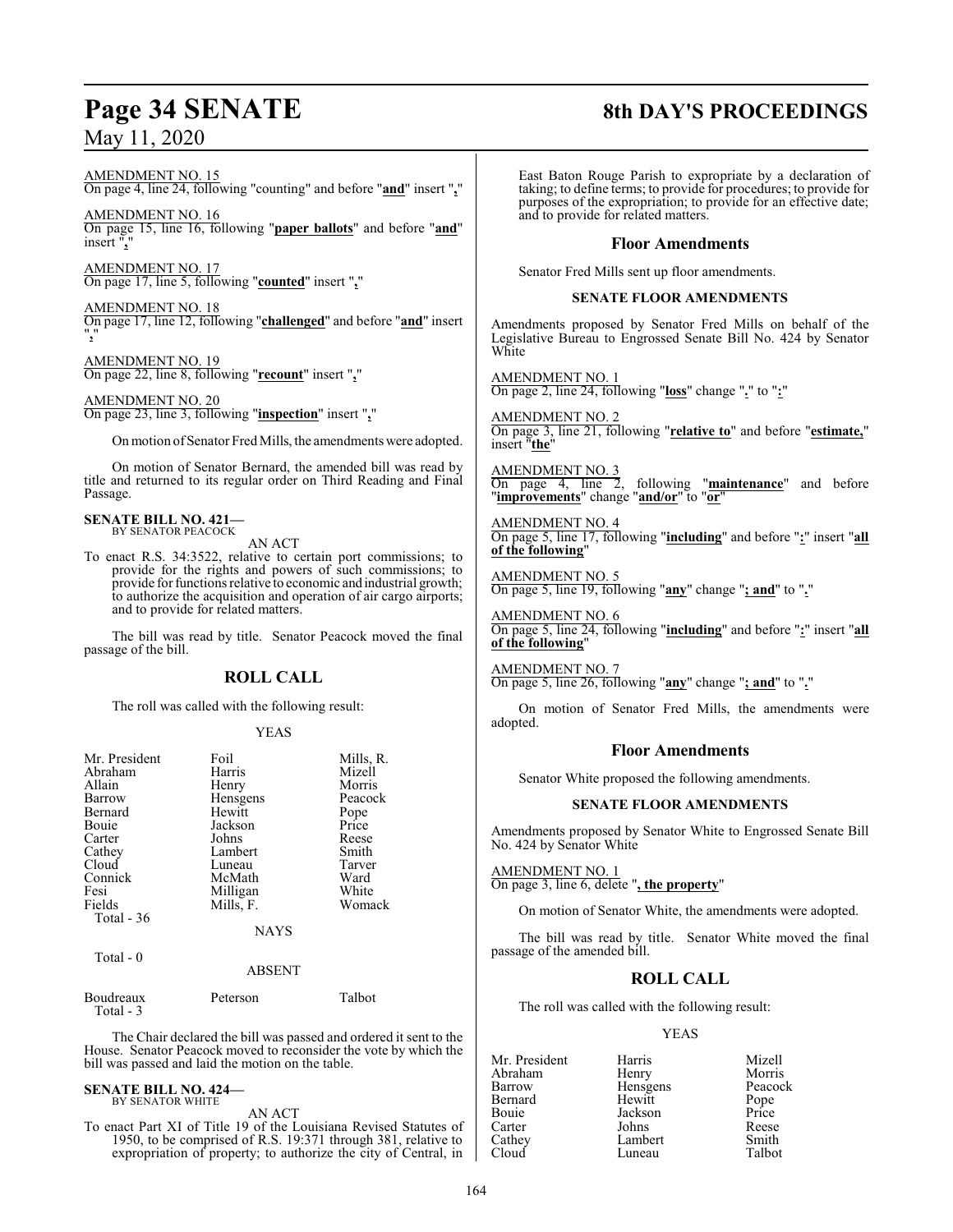# **Page 34 SENATE 8th DAY'S PROCEEDINGS**

# May 11, 2020

AMENDMENT NO. 15

On page 4, line 24, following "counting" and before "**and**" insert "**,**"

AMENDMENT NO. 16 On page 15, line 16, following "**paper ballots**" and before "**and**" insert ",

AMENDMENT NO. 17 On page 17, line 5, following "**counted**" insert "**,**"

AMENDMENT NO. 18 On page 17, line 12, following "**challenged**" and before "**and**" insert "**,**"

AMENDMENT NO. 19 On page 22, line 8, following "**recount**" insert "**,**"

AMENDMENT NO. 20 On page 23, line 3, following "**inspection**" insert "**,**"

Onmotion ofSenator Fred Mills, the amendments were adopted.

On motion of Senator Bernard, the amended bill was read by title and returned to its regular order on Third Reading and Final Passage.

#### **SENATE BILL NO. 421—** BY SENATOR PEACOCK

AN ACT

To enact R.S. 34:3522, relative to certain port commissions; to provide for the rights and powers of such commissions; to provide for functions relative to economic and industrial growth; to authorize the acquisition and operation of air cargo airports; and to provide for related matters.

The bill was read by title. Senator Peacock moved the final passage of the bill.

### **ROLL CALL**

The roll was called with the following result:

#### YEAS

| Mr. President | Foil          | Mills, R. |
|---------------|---------------|-----------|
| Abraham       | Harris        | Mizell    |
| Allain        | Henry         | Morris    |
| Barrow        | Hensgens      | Peacock   |
| Bernard       | Hewitt        | Pope      |
| Bouie         | Jackson       | Price     |
| Carter        | Johns         | Reese     |
| Cathey        | Lambert       | Smith     |
| Cloud         | Luneau        | Tarver    |
| Connick       | McMath        | Ward      |
| Fesi          | Milligan      | White     |
| Fields        | Mills, F.     | Womack    |
| Total $-36$   |               |           |
|               | <b>NAYS</b>   |           |
| Total $-0$    |               |           |
|               | <b>ABSENT</b> |           |
|               |               |           |

Boudreaux Peterson Talbot Total - 3

The Chair declared the bill was passed and ordered it sent to the House. Senator Peacock moved to reconsider the vote by which the bill was passed and laid the motion on the table.

#### **SENATE BILL NO. 424—** BY SENATOR WHITE

AN ACT

To enact Part XI of Title 19 of the Louisiana Revised Statutes of 1950, to be comprised of R.S. 19:371 through 381, relative to expropriation of property; to authorize the city of Central, in

East Baton Rouge Parish to expropriate by a declaration of taking; to define terms; to provide for procedures; to provide for purposes of the expropriation; to provide for an effective date; and to provide for related matters.

#### **Floor Amendments**

Senator Fred Mills sent up floor amendments.

#### **SENATE FLOOR AMENDMENTS**

Amendments proposed by Senator Fred Mills on behalf of the Legislative Bureau to Engrossed Senate Bill No. 424 by Senator White

AMENDMENT NO. 1 On page 2, line 24, following "**loss**" change "**.**" to "**:**"

AMENDMENT NO. 2 On page 3, line 21, following "**relative to**" and before "**estimate,**" insert "**the**"

 $\frac{\text{AMENDMENT NO. 3}}{\text{On page } 4}$ , line 2, On page 4, line 2, following "**maintenance**" and before "**improvements**" change "**and/or**" to "**or**"

AMENDMENT NO. 4 On page 5, line 17, following "**including**" and before "**:**" insert "**all of the following**"

AMENDMENT NO. 5 On page 5, line 19, following "**any**" change "**; and**" to "**.**"

AMENDMENT NO. 6 On page 5, line 24, following "**including**" and before "**:**" insert "**all of the following**"

AMENDMENT NO. 7 On page 5, line 26, following "**any**" change "**; and**" to "**.**"

On motion of Senator Fred Mills, the amendments were adopted.

#### **Floor Amendments**

Senator White proposed the following amendments.

#### **SENATE FLOOR AMENDMENTS**

Amendments proposed by Senator White to Engrossed Senate Bill No. 424 by Senator White

AMENDMENT NO. 1

On page 3, line 6, delete "**, the property**"

On motion of Senator White, the amendments were adopted.

The bill was read by title. Senator White moved the final passage of the amended bill.

## **ROLL CALL**

The roll was called with the following result:

#### YEAS

Mr. President Harris Mizell Abraham Henry Morris<br>
Barrow Hensgens Peacock Hensgens Peacock<br>Hewitt Pope Bernard Hewitt Pope<br>Bouie Jackson Price Bouie Jackson Price Carter Johns Reese Cathey Lambert Smith<br>Cloud Luneau Talbot Luneau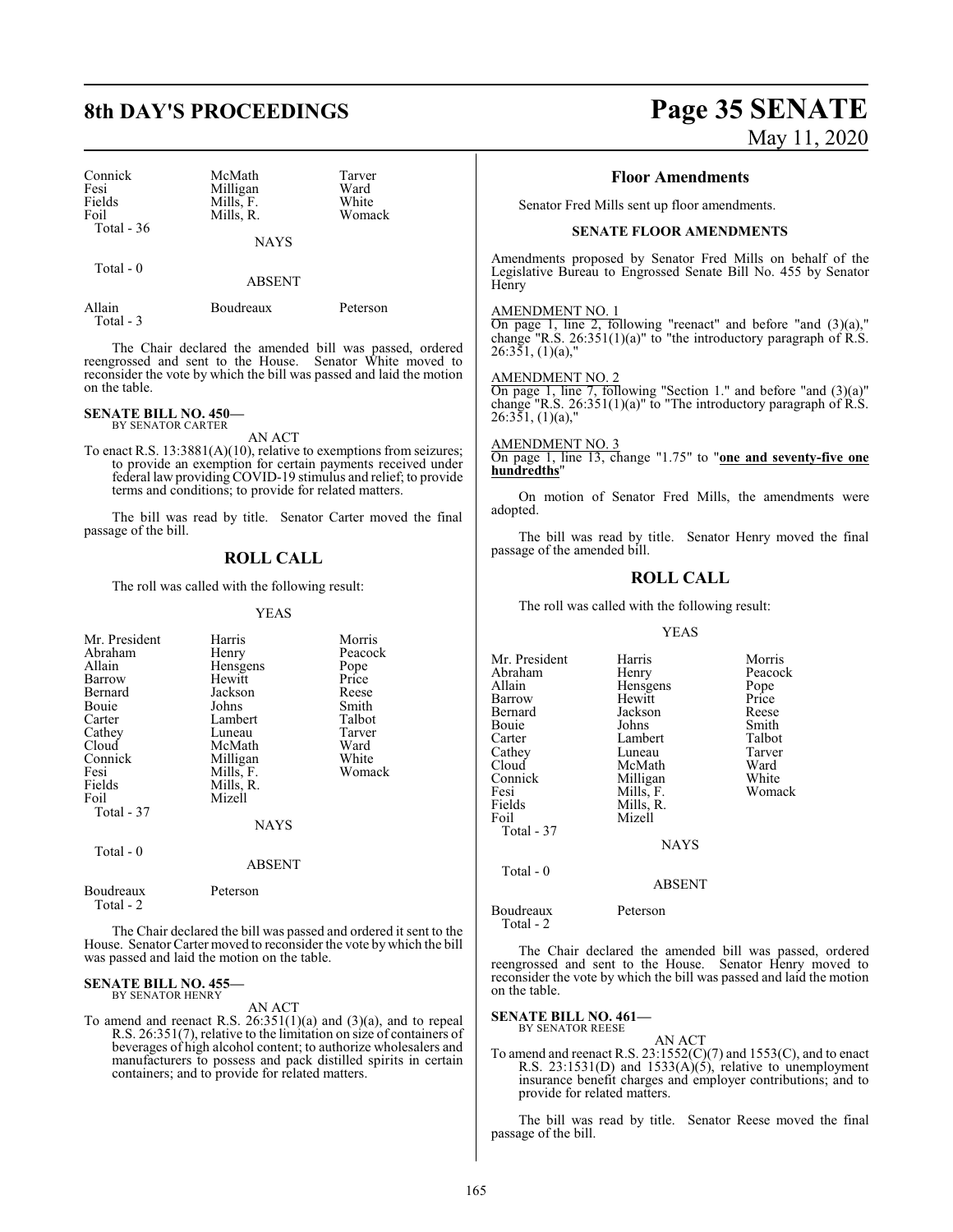| Connick<br>Fesi     | McMath<br>Milligan | Tarver<br>Ward |
|---------------------|--------------------|----------------|
| Fields              | Mills, F.          | White          |
| Foil<br>Total $-36$ | Mills. R.          | Womack         |
|                     | <b>NAYS</b>        |                |

Total - 0

ABSENT

| Allain     | Boudreaux | Peterson |
|------------|-----------|----------|
| Total $-3$ |           |          |

The Chair declared the amended bill was passed, ordered reengrossed and sent to the House. Senator White moved to reconsider the vote by which the bill was passed and laid the motion on the table.

#### **SENATE BILL NO. 450—** BY SENATOR CARTER

AN ACT

To enact R.S. 13:3881(A)(10), relative to exemptions from seizures; to provide an exemption for certain payments received under federal law providing COVID-19 stimulus and relief; to provide terms and conditions; to provide for related matters.

The bill was read by title. Senator Carter moved the final passage of the bill.

### **ROLL CALL**

The roll was called with the following result:

#### YEAS

| Mr. President<br>Abraham<br>Allain<br>Barrow<br>Bernard<br>Bouie<br>Carter<br>Cathey<br>Cloud<br>Connick<br>Fesi<br>Fields<br>Foil<br>Total - 37 | Harris<br>Henry<br>Hensgens<br>Hewitt<br>Jackson<br>Johns<br>Lambert<br>Luneau<br>McMath<br>Milligan<br>Mills, F.<br>Mills, R.<br>Mizell<br><b>NAYS</b> | Morris<br>Peacock<br>Pope<br>Price<br>Reese<br>Smith<br>Talbot<br>Tarver<br>Ward<br>White<br>Womack |
|--------------------------------------------------------------------------------------------------------------------------------------------------|---------------------------------------------------------------------------------------------------------------------------------------------------------|-----------------------------------------------------------------------------------------------------|
| Total - 0                                                                                                                                        | <b>ABSENT</b>                                                                                                                                           |                                                                                                     |
| Boudreaux<br>Total - 2                                                                                                                           | Peterson                                                                                                                                                |                                                                                                     |

The Chair declared the bill was passed and ordered it sent to the House. Senator Carter moved to reconsider the vote by which the bill was passed and laid the motion on the table.

#### **SENATE BILL NO. 455—** BY SENATOR HENRY

AN ACT

To amend and reenact R.S. 26:351(1)(a) and (3)(a), and to repeal R.S. 26:351(7), relative to the limitation on size of containers of beverages of high alcohol content; to authorize wholesalers and manufacturers to possess and pack distilled spirits in certain containers; and to provide for related matters.

# **8th DAY'S PROCEEDINGS Page 35 SENATE** May 11, 2020

#### **Floor Amendments**

Senator Fred Mills sent up floor amendments.

#### **SENATE FLOOR AMENDMENTS**

Amendments proposed by Senator Fred Mills on behalf of the Legislative Bureau to Engrossed Senate Bill No. 455 by Senator Henry

AMENDMENT NO. 1

On page 1, line 2, following "reenact" and before "and (3)(a)," change "R.S.  $26:351(1)(a)$ " to "the introductory paragraph of R.S. 26:351, (1)(a),"

AMENDMENT NO. 2 On page 1, line 7, following "Section 1." and before "and (3)(a)" change "R.S.  $26:351(1)(a)$ " to "The introductory paragraph of R.S.  $26:351, (1)(a)$ ,"

AMENDMENT NO. 3 On page 1, line 13, change "1.75" to "**one and seventy-five one hundredths**"

On motion of Senator Fred Mills, the amendments were adopted.

The bill was read by title. Senator Henry moved the final passage of the amended bill.

## **ROLL CALL**

The roll was called with the following result:

#### YEAS

| Mr. President | Harris        | Morris  |
|---------------|---------------|---------|
| Abraham       | Henry         | Peacock |
| Allain        | Hensgens      | Pope    |
| Barrow        | Hewitt        | Price   |
| Bernard       | Jackson       | Reese   |
| Bouie         | Johns         | Smith   |
| Carter        | Lambert       | Talbot  |
| Cathey        | Luneau        | Tarver  |
| Cloud         | McMath        | Ward    |
| Connick       | Milligan      | White   |
| Fesi          | Mills, F.     | Womack  |
| Fields        | Mills, R.     |         |
| Foil          | Mizell        |         |
| Total - 37    |               |         |
|               | <b>NAYS</b>   |         |
| Total - 0     |               |         |
|               | <b>ABSENT</b> |         |
| Boudreaux     | Peterson      |         |

Total - 2

The Chair declared the amended bill was passed, ordered reengrossed and sent to the House. Senator Henry moved to reconsider the vote by which the bill was passed and laid the motion on the table.

#### **SENATE BILL NO. 461—**

BY SENATOR REESE

AN ACT To amend and reenact R.S.  $23:1552(C)(7)$  and  $1553(C)$ , and to enact R.S.  $23:1531(D)$  and  $1533(A)(5)$ , relative to unemployment insurance benefit charges and employer contributions; and to provide for related matters.

The bill was read by title. Senator Reese moved the final passage of the bill.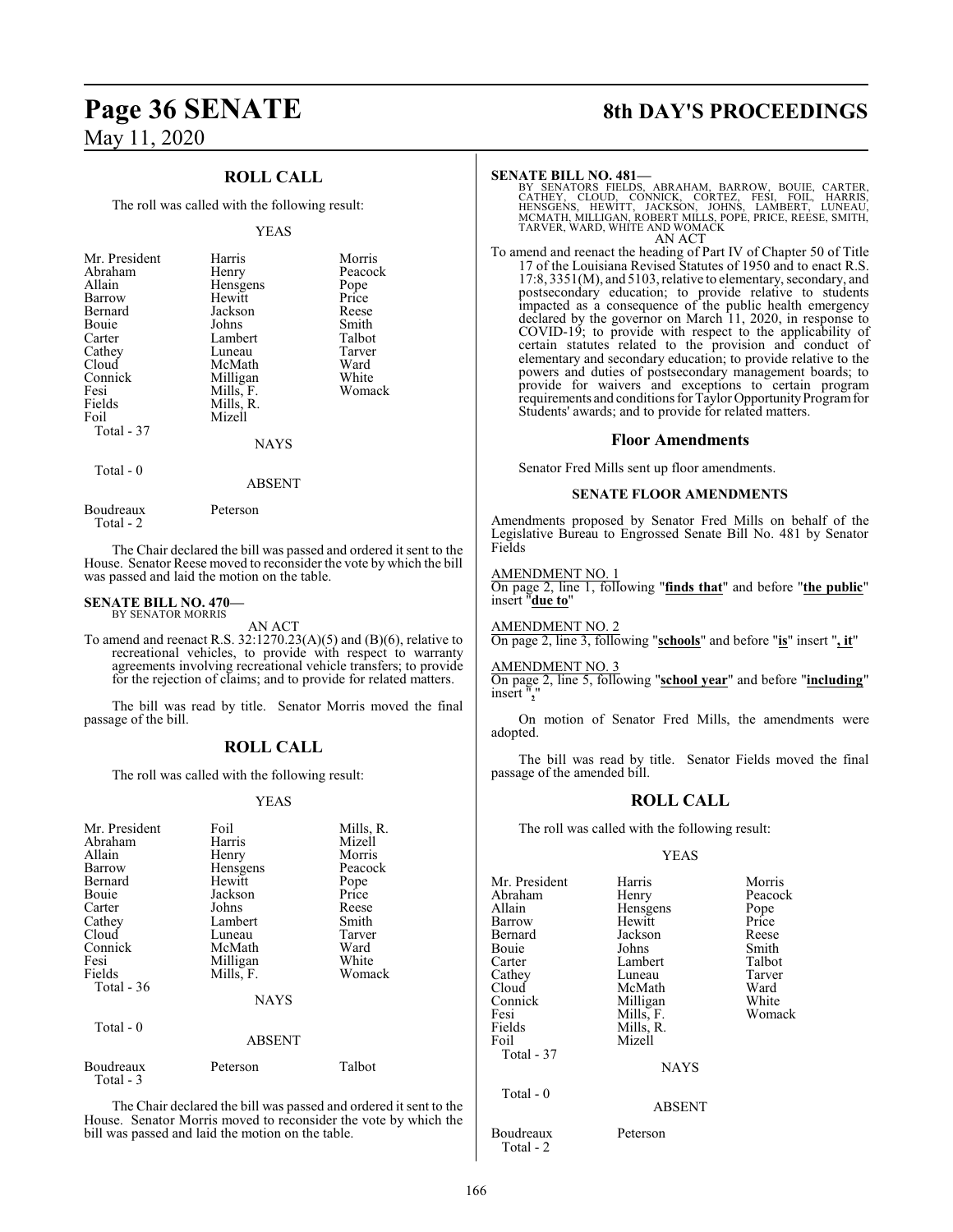# **Page 36 SENATE 8th DAY'S PROCEEDINGS** May 11, 2020

#### **ROLL CALL**

The roll was called with the following result:

#### YEAS

| Mr. President<br>Abraham<br>Allain<br>Barrow<br>Bernard<br>Bouie<br>Carter<br>Cathey<br>Cloud<br>Connick<br>Fesi<br>Fields<br>Foil | Harris<br>Henry<br>Hensgens<br>Hewitt<br>Jackson<br>Johns<br>Lambert<br>Luneau<br>McMath<br>Milligan<br>Mills, F.<br>Mills, R.<br>Mizell | Morris<br>Peacock<br>Pope<br>Price<br>Reese<br>Smith<br>Talbot<br>Tarver<br>Ward<br>White<br>Womack |
|------------------------------------------------------------------------------------------------------------------------------------|------------------------------------------------------------------------------------------------------------------------------------------|-----------------------------------------------------------------------------------------------------|
| Total - 37                                                                                                                         | <b>NAYS</b>                                                                                                                              |                                                                                                     |

Total - 0

ABSENT

Boudreaux Peterson Total - 2

The Chair declared the bill was passed and ordered it sent to the House. Senator Reese moved to reconsider the vote by which the bill was passed and laid the motion on the table.

#### **SENATE BILL NO. 470—** BY SENATOR MORRIS

AN ACT

To amend and reenact R.S. 32:1270.23(A)(5) and (B)(6), relative to recreational vehicles, to provide with respect to warranty agreements involving recreational vehicle transfers; to provide for the rejection of claims; and to provide for related matters.

The bill was read by title. Senator Morris moved the final passage of the bill.

#### **ROLL CALL**

The roll was called with the following result:

#### YEAS

| Mr. President<br>Abraham<br>Allain<br>Barrow<br>Bernard<br>Bouie<br>Carter<br>Cathey<br>Cloud<br>Connick<br>Fesi<br>Fields<br>Total - 36<br>Total $-0$ | Foil<br>Harris<br>Henry<br>Hensgens<br>Hewitt<br>Jackson<br>Johns<br>Lambert<br>Luneau<br>McMath<br>Milligan<br>Mills, F.<br><b>NAYS</b> | Mills, R.<br>Mizell<br>Morris<br>Peacock<br>Pope<br>Price<br>Reese<br>Smith<br>Tarver<br>Ward<br>White<br>Womack |
|--------------------------------------------------------------------------------------------------------------------------------------------------------|------------------------------------------------------------------------------------------------------------------------------------------|------------------------------------------------------------------------------------------------------------------|
|                                                                                                                                                        | <b>ABSENT</b>                                                                                                                            |                                                                                                                  |
| Boudreaux<br>Total - 3                                                                                                                                 | Peterson                                                                                                                                 | Talbot                                                                                                           |

The Chair declared the bill was passed and ordered it sent to the House. Senator Morris moved to reconsider the vote by which the bill was passed and laid the motion on the table.

#### **SENATE BILL NO. 481—**

BY SENATORS FIELDS, ABRAHAM, BARROW, BOUIE, CARTER,<br>CATHEY, CLOUD, CONNICK, CORTEZ, FESI, FOIL, HARRIS,<br>HENSGENS, HEWITT, JACKSON, JOHNS, LAMBERT, LUNEAU,<br>MCMATH,MILLIGAN,ROBERT MILLS,POPE,PRICE,REESE,SMITH,<br>TARVER,WARD,WH AN ACT

To amend and reenact the heading of Part IV of Chapter 50 of Title 17 of the Louisiana Revised Statutes of 1950 and to enact R.S. 17:8, 3351(M), and 5103, relative to elementary, secondary, and postsecondary education; to provide relative to students impacted as a consequence of the public health emergency declared by the governor on March 11, 2020, in response to COVID-19; to provide with respect to the applicability of certain statutes related to the provision and conduct of elementary and secondary education; to provide relative to the powers and duties of postsecondary management boards; to provide for waivers and exceptions to certain program requirements and conditions for Taylor Opportunity Program for Students' awards; and to provide for related matters.

#### **Floor Amendments**

Senator Fred Mills sent up floor amendments.

#### **SENATE FLOOR AMENDMENTS**

Amendments proposed by Senator Fred Mills on behalf of the Legislative Bureau to Engrossed Senate Bill No. 481 by Senator Fields

#### AMENDMENT NO. 1

On page 2, line 1, following "**finds that**" and before "**the public**" insert "**due to**"

AMENDMENT NO. 2

On page 2, line 3, following "**schools**" and before "**is**" insert "**, it**"

#### AMENDMENT NO. 3

On page 2, line 5, following "**school year**" and before "**including**" insert ".

On motion of Senator Fred Mills, the amendments were adopted.

The bill was read by title. Senator Fields moved the final passage of the amended bill.

#### **ROLL CALL**

The roll was called with the following result:

#### YEAS

| Mr. President          | Harris      | Morris  |
|------------------------|-------------|---------|
| Abraham                | Henry       | Peacock |
| Allain                 | Hensgens    | Pope    |
|                        | Hewitt      | Price   |
| Barrow                 |             |         |
| Bernard                | Jackson     | Reese   |
| Bouie                  | Johns       | Smith   |
| Carter                 | Lambert     | Talbot  |
| Cathey                 | Luneau      | Tarver  |
| Cloud                  | McMath      | Ward    |
| Connick                | Milligan    | White   |
| Fesi                   | Mills, F.   | Womack  |
| Fields                 | Mills, R.   |         |
| Foil                   | Mizell      |         |
| Total - 37             |             |         |
|                        | <b>NAYS</b> |         |
| Total - 0              |             |         |
|                        | ABSENT      |         |
| Boudreaux<br>Total - 2 | Peterson    |         |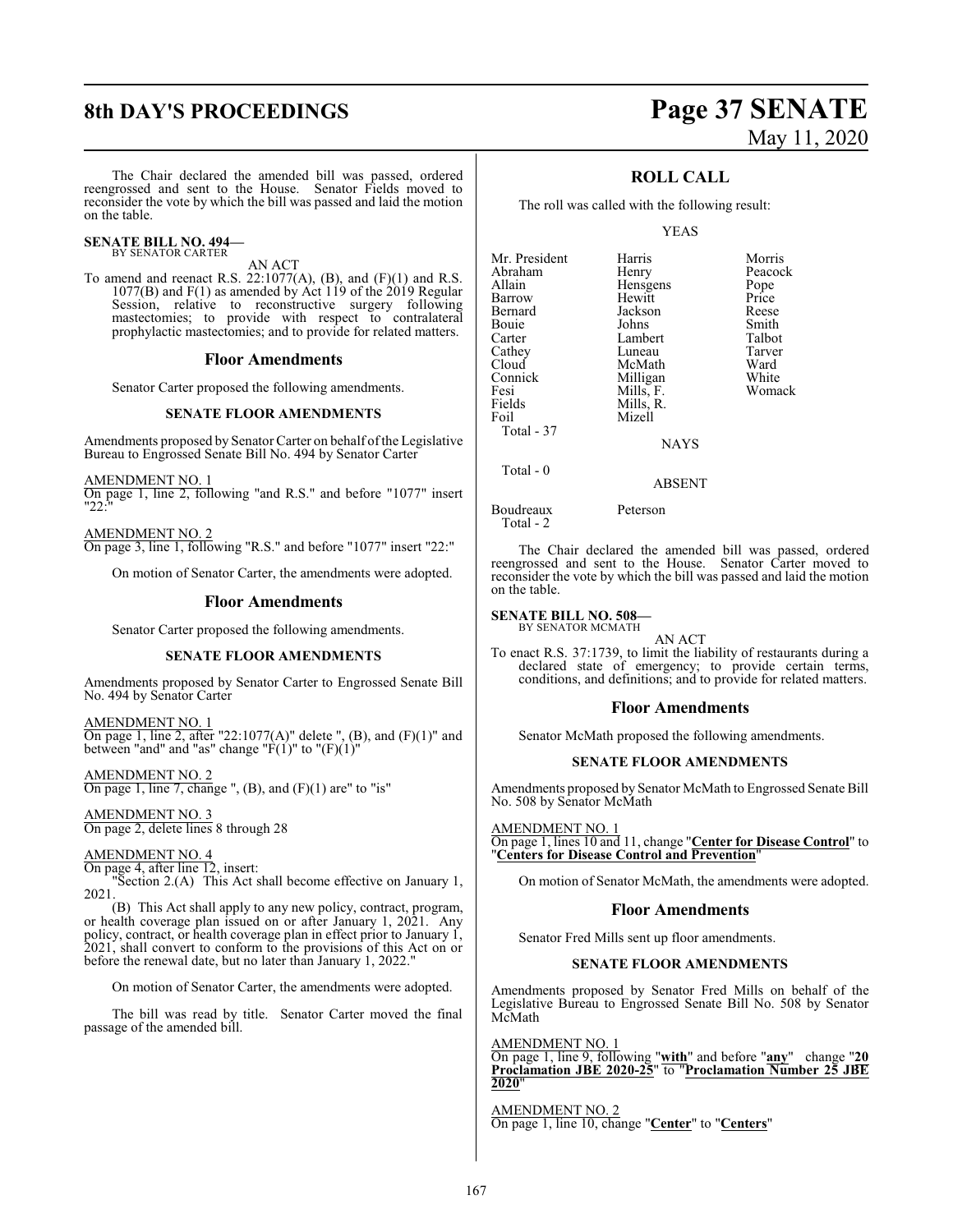# **8th DAY'S PROCEEDINGS Page 37 SENATE**

The Chair declared the amended bill was passed, ordered reengrossed and sent to the House. Senator Fields moved to reconsider the vote by which the bill was passed and laid the motion on the table.

#### **SENATE BILL NO. 494—** BY SENATOR CARTER

AN ACT

To amend and reenact R.S.  $22:1077(A)$ , (B), and (F)(1) and R.S. 1077(B) and  $F(1)$  as amended by Act 119 of the 2019 Regular Session, relative to reconstructive surgery following mastectomies; to provide with respect to contralateral prophylactic mastectomies; and to provide for related matters.

#### **Floor Amendments**

Senator Carter proposed the following amendments.

#### **SENATE FLOOR AMENDMENTS**

Amendments proposed by Senator Carter on behalf of the Legislative Bureau to Engrossed Senate Bill No. 494 by Senator Carter

AMENDMENT NO. 1 On page 1, line 2, following "and R.S." and before "1077" insert "22:"

AMENDMENT NO. 2 On page 3, line 1, following "R.S." and before "1077" insert "22:"

On motion of Senator Carter, the amendments were adopted.

#### **Floor Amendments**

Senator Carter proposed the following amendments.

#### **SENATE FLOOR AMENDMENTS**

Amendments proposed by Senator Carter to Engrossed Senate Bill No. 494 by Senator Carter

AMENDMENT NO. 1 On page 1, line 2, after "22:1077(A)" delete ", (B), and  $(F)(1)$ " and between "and" and "as" change " $\vec{F}(1)$ " to " $(F)(1)$ "

AMENDMENT NO. 2 On page 1, line 7, change ",  $(B)$ , and  $(F)(1)$  are" to "is"

AMENDMENT NO. 3 On page 2, delete lines 8 through 28

#### AMENDMENT NO. 4

On page 4, after line 12, insert:

"Section 2.(A) This Act shall become effective on January 1, 2021.

(B) This Act shall apply to any new policy, contract, program, or health coverage plan issued on or after January 1, 2021. Any policy, contract, or health coverage plan in effect prior to January 1, 2021, shall convert to conform to the provisions of this Act on or before the renewal date, but no later than January 1, 2022."

On motion of Senator Carter, the amendments were adopted.

The bill was read by title. Senator Carter moved the final passage of the amended bill.

# May 11, 2020

Womack

## **ROLL CALL**

The roll was called with the following result:

YEAS

| Harris<br>Henry<br>Hensgens<br>Hewitt<br>Jackson<br>Johns<br>Lambert<br>Luneau<br>McMath | Morris<br>Peacock<br>Pope<br>Price<br>Reese<br>Smith<br>Talbot<br>Tarver<br>Ward |
|------------------------------------------------------------------------------------------|----------------------------------------------------------------------------------|
|                                                                                          |                                                                                  |
| Milligan                                                                                 | White                                                                            |
|                                                                                          | Womack                                                                           |
|                                                                                          |                                                                                  |
|                                                                                          |                                                                                  |
| NAYS                                                                                     |                                                                                  |
|                                                                                          | Mills, F.<br>Mills, R.<br>Mizell                                                 |

Total - 0

Boudreaux Peterson

Total - 2

The Chair declared the amended bill was passed, ordered reengrossed and sent to the House. Senator Carter moved to reconsider the vote by which the bill was passed and laid the motion on the table.

ABSENT

#### **SENATE BILL NO. 508—**

BY SENATOR MCMATH AN ACT

To enact R.S. 37:1739, to limit the liability of restaurants during a declared state of emergency; to provide certain terms, conditions, and definitions; and to provide for related matters.

#### **Floor Amendments**

Senator McMath proposed the following amendments.

#### **SENATE FLOOR AMENDMENTS**

Amendments proposed by Senator McMath to Engrossed Senate Bill No. 508 by Senator McMath

AMENDMENT NO. 1 On page 1, lines 10 and 11, change "**Center for Disease Control**" to "**Centers for Disease Control and Prevention**"

On motion of Senator McMath, the amendments were adopted.

#### **Floor Amendments**

Senator Fred Mills sent up floor amendments.

#### **SENATE FLOOR AMENDMENTS**

Amendments proposed by Senator Fred Mills on behalf of the Legislative Bureau to Engrossed Senate Bill No. 508 by Senator McMath

AMENDMENT NO. 1 On page 1, line 9, following "**with**" and before "**any**" change "**20 Proclamation JBE 2020-25**" to "**Proclamation Number 25 JBE 2020**"

AMENDMENT NO. 2 On page 1, line 10, change "**Center**" to "**Centers**"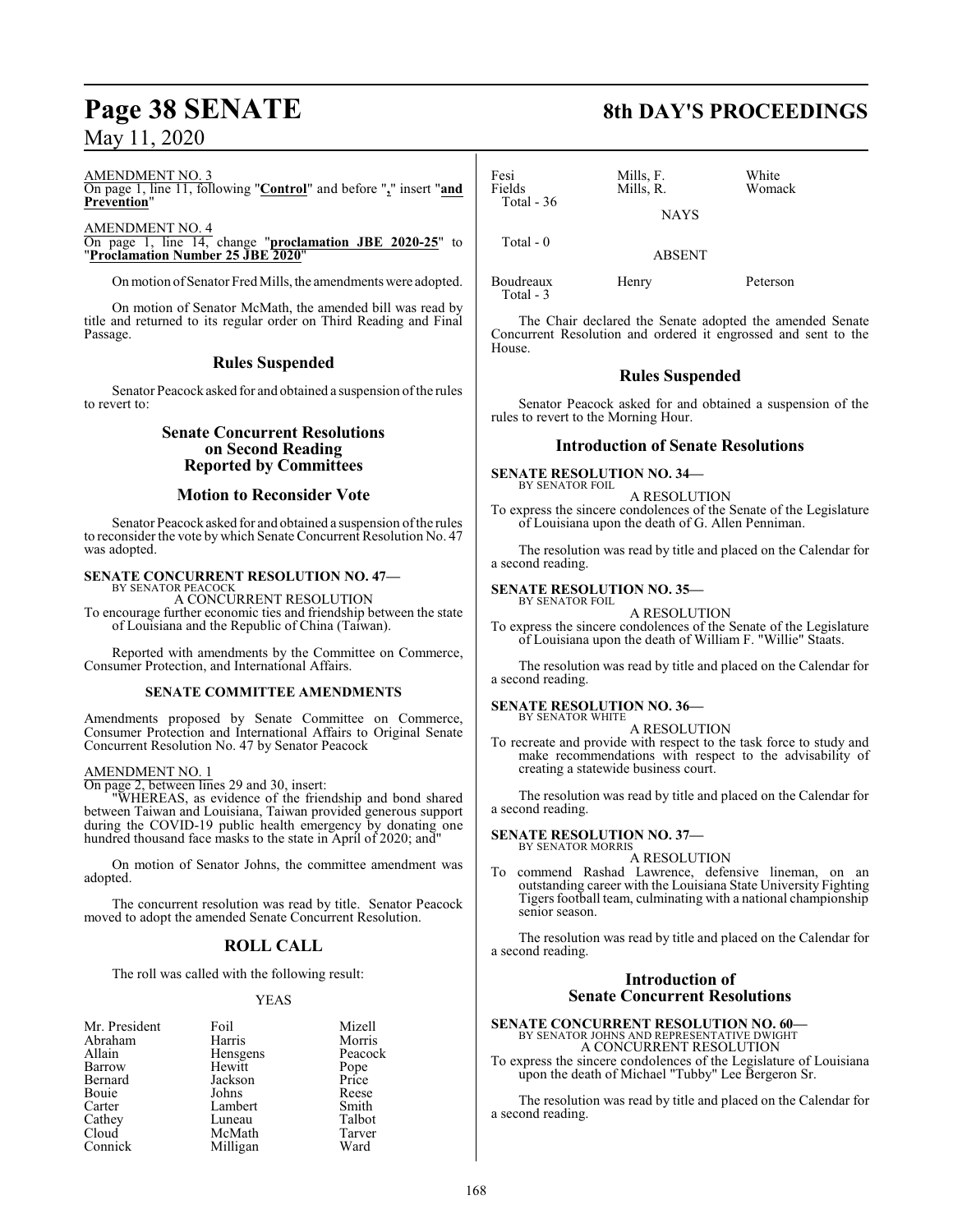#### AMENDMENT NO. 3

On page 1, line 11, following "**Control**" and before "**,**" insert "**and Prevention**"

AMENDMENT NO. 4

On page 1, line 14, change "**proclamation JBE 2020-25**" to "**Proclamation Number 25 JBE 2020**"

On motion of Senator Fred Mills, the amendments were adopted.

On motion of Senator McMath, the amended bill was read by title and returned to its regular order on Third Reading and Final Passage.

### **Rules Suspended**

Senator Peacock asked for and obtained a suspension of the rules to revert to:

## **Senate Concurrent Resolutions on Second Reading Reported by Committees**

#### **Motion to Reconsider Vote**

Senator Peacock asked for and obtained a suspension ofthe rules to reconsider the vote by which Senate Concurrent Resolution No. 47 was adopted.

# **SENATE CONCURRENT RESOLUTION NO. 47—** BY SENATOR PEACOCK

A CONCURRENT RESOLUTION To encourage further economic ties and friendship between the state of Louisiana and the Republic of China (Taiwan).

Reported with amendments by the Committee on Commerce, Consumer Protection, and International Affairs.

#### **SENATE COMMITTEE AMENDMENTS**

Amendments proposed by Senate Committee on Commerce, Consumer Protection and International Affairs to Original Senate Concurrent Resolution No. 47 by Senator Peacock

#### AMENDMENT NO. 1

On page 2, between lines 29 and 30, insert:

"WHEREAS, as evidence of the friendship and bond shared between Taiwan and Louisiana, Taiwan provided generous support during the COVID-19 public health emergency by donating one hundred thousand face masks to the state in April of 2020; and

On motion of Senator Johns, the committee amendment was adopted.

The concurrent resolution was read by title. Senator Peacock moved to adopt the amended Senate Concurrent Resolution.

## **ROLL CALL**

The roll was called with the following result:

#### YEAS

| Mr. President | Foil     | Mizell        |
|---------------|----------|---------------|
| Abraham       | Harris   | Morris        |
| Allain        | Hensgens | Peacock       |
| Barrow        | Hewitt   | Pope<br>Price |
| Bernard       | Jackson  |               |
| Bouie         | Johns    | Reese         |
| Carter        | Lambert  | Smith         |
| Cathey        | Luneau   | Talbot        |
| Cloud         | McMath   | Tarver        |
| Connick       | Milligan | Ward          |

# **Page 38 SENATE 8th DAY'S PROCEEDINGS**

| Fesi<br>Fields | Mills, F.<br>Mills, R. | White<br>Womack |
|----------------|------------------------|-----------------|
| Total $-36$    | <b>NAYS</b>            |                 |
| Total $-0$     | <b>ABSENT</b>          |                 |
| Boudreaux      | Henry                  | Peterson        |

Total - 3

The Chair declared the Senate adopted the amended Senate Concurrent Resolution and ordered it engrossed and sent to the House.

### **Rules Suspended**

Senator Peacock asked for and obtained a suspension of the rules to revert to the Morning Hour.

#### **Introduction of Senate Resolutions**

#### **SENATE RESOLUTION NO. 34—** BY SENATOR FOIL

A RESOLUTION

To express the sincere condolences of the Senate of the Legislature of Louisiana upon the death of G. Allen Penniman.

The resolution was read by title and placed on the Calendar for a second reading.

#### **SENATE RESOLUTION NO. 35—**

BY SENATOR FOIL A RESOLUTION

To express the sincere condolences of the Senate of the Legislature of Louisiana upon the death of William F. "Willie" Staats.

The resolution was read by title and placed on the Calendar for a second reading.

#### **SENATE RESOLUTION NO. 36—** BY SENATOR WHITE

A RESOLUTION

To recreate and provide with respect to the task force to study and make recommendations with respect to the advisability of creating a statewide business court.

The resolution was read by title and placed on the Calendar for a second reading.

#### **SENATE RESOLUTION NO. 37—** BY SENATOR MORRIS

A RESOLUTION

To commend Rashad Lawrence, defensive lineman, on an outstanding career with the Louisiana State University Fighting Tigers football team, culminating with a national championship senior season.

The resolution was read by title and placed on the Calendar for a second reading.

## **Introduction of Senate Concurrent Resolutions**

**SENATE CONCURRENT RESOLUTION NO. 60—** BY SENATOR JOHNS AND REPRESENTATIVE DWIGHT A CONCURRENT RESOLUTION

To express the sincere condolences of the Legislature of Louisiana upon the death of Michael "Tubby" Lee Bergeron Sr.

The resolution was read by title and placed on the Calendar for a second reading.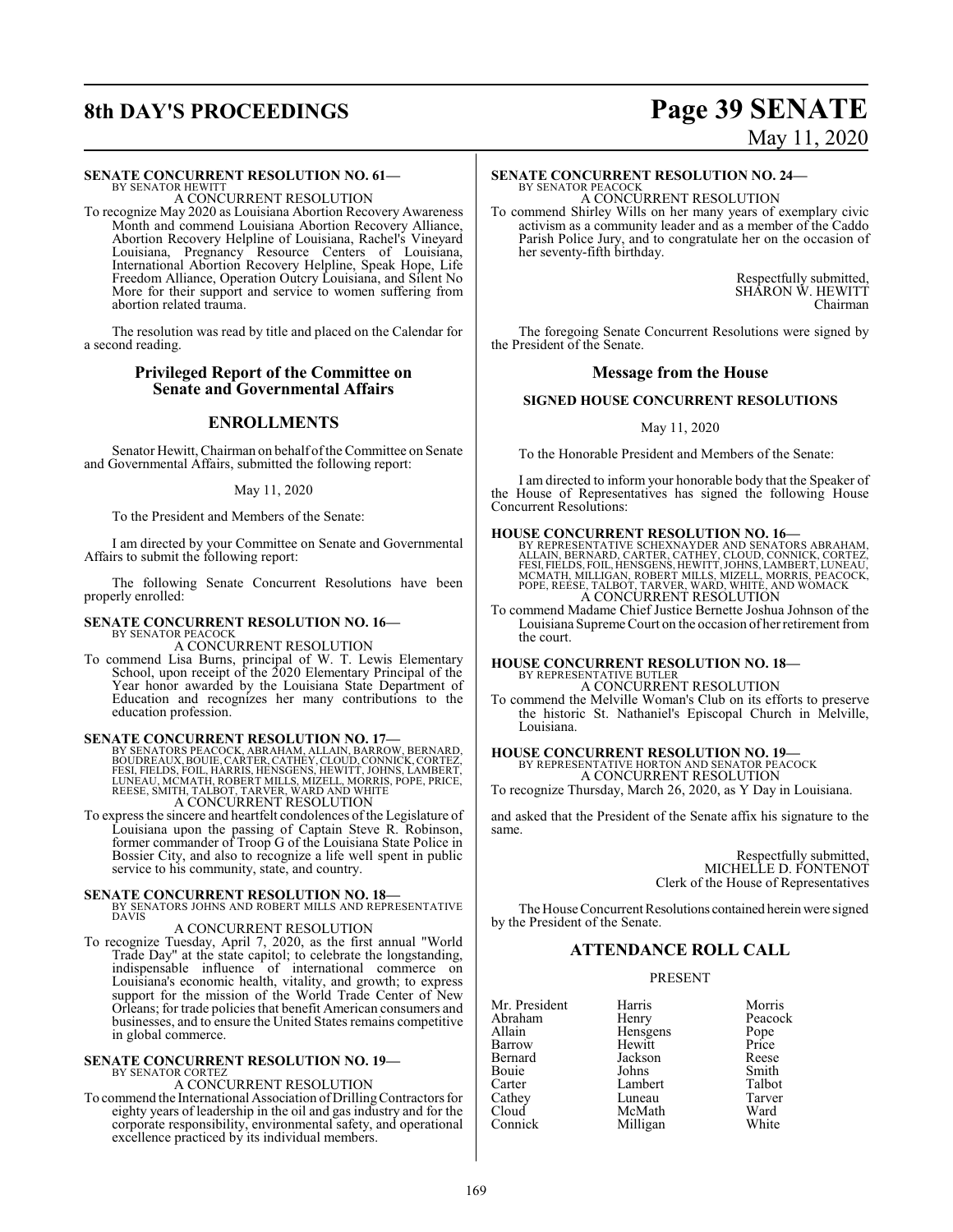#### **SENATE CONCURRENT RESOLUTION NO. 61—**

BY SENATOR HEWITT A CONCURRENT RESOLUTION

To recognize May 2020 as Louisiana Abortion Recovery Awareness Month and commend Louisiana Abortion Recovery Alliance, Abortion Recovery Helpline of Louisiana, Rachel's Vineyard Louisiana, Pregnancy Resource Centers of Louisiana, International Abortion Recovery Helpline, Speak Hope, Life Freedom Alliance, Operation Outcry Louisiana, and Silent No More for their support and service to women suffering from abortion related trauma.

The resolution was read by title and placed on the Calendar for a second reading.

#### **Privileged Report of the Committee on Senate and Governmental Affairs**

### **ENROLLMENTS**

Senator Hewitt, Chairman on behalf of the Committee on Senate and Governmental Affairs, submitted the following report:

#### May 11, 2020

To the President and Members of the Senate:

I am directed by your Committee on Senate and Governmental Affairs to submit the following report:

The following Senate Concurrent Resolutions have been properly enrolled:

## **SENATE CONCURRENT RESOLUTION NO. 16—** BY SENATOR PEACOCK A CONCURRENT RESOLUTION

To commend Lisa Burns, principal of W. T. Lewis Elementary School, upon receipt of the 2020 Elementary Principal of the Year honor awarded by the Louisiana State Department of Education and recognizes her many contributions to the education profession.

SENATE CONCURRENT RESOLUTION NO. 17—<br>BY SENATORS PEACOCK, ABRAHAM, ALLAIN, BARROW, BERNARD,<br>BOUDREAUX, BOULE, CARTER, CATHEY, CLOUD, CONNICK, CORTEZ,<br>FESI, FIELDS, FOIL, HARRIS, HENSGENS, HEWITT, JOHNS, LAMBERT,<br>LUNEAU, MC

To express the sincere and heartfelt condolences of the Legislature of Louisiana upon the passing of Captain Steve R. Robinson, former commander of Troop G of the Louisiana State Police in Bossier City, and also to recognize a life well spent in public service to his community, state, and country.

# **SENATE CONCURRENT RESOLUTION NO. 18—BY SENATORS JOHNS AND ROBERT MILLS AND REPRESENTATIVE DAVIS**

#### A CONCURRENT RESOLUTION

To recognize Tuesday, April 7, 2020, as the first annual "World Trade Day" at the state capitol; to celebrate the longstanding, indispensable influence of international commerce on Louisiana's economic health, vitality, and growth; to express support for the mission of the World Trade Center of New Orleans; for trade policies that benefit American consumers and businesses, and to ensure the United States remains competitive in global commerce.

#### **SENATE CONCURRENT RESOLUTION NO. 19—** BY SENATOR CORTEZ

A CONCURRENT RESOLUTION

To commend the International Association ofDrillingContractors for eighty years of leadership in the oil and gas industry and for the corporate responsibility, environmental safety, and operational excellence practiced by its individual members.

# **8th DAY'S PROCEEDINGS Page 39 SENATE** May 11, 2020

## **SENATE CONCURRENT RESOLUTION NO. 24—**

BY SENATOR PEACOCK A CONCURRENT RESOLUTION

To commend Shirley Wills on her many years of exemplary civic activism as a community leader and as a member of the Caddo Parish Police Jury, and to congratulate her on the occasion of her seventy-fifth birthday.

> Respectfully submitted, SHARON W. HEWITT Chairman

The foregoing Senate Concurrent Resolutions were signed by the President of the Senate.

#### **Message from the House**

#### **SIGNED HOUSE CONCURRENT RESOLUTIONS**

#### May 11, 2020

To the Honorable President and Members of the Senate:

I am directed to inform your honorable body that the Speaker of the House of Representatives has signed the following House Concurrent Resolutions:

#### **HOUSE CONCURRENT RESOLUTION NO. 16—**

BY REPRESENTATIVE SCHEXNAYDER AND SENATORS ABRAHAM.<br>ALLAIN, BERNARD, CARTER, CATHEY, CLOUD, CONNICK, CORTEZ,<br>FESI, FIELDS, FOIL, HENSGENS, HEWITT, JOHNS, LAMBERT, LUNEAU,<br>MCMATH, MILLIGAN, ROBERT MILLS, MIZELL, MORRIS, PEA

To commend Madame Chief Justice Bernette Joshua Johnson of the Louisiana Supreme Court on the occasion of her retirement from the court.

#### **HOUSE CONCURRENT RESOLUTION NO. 18—**

BY REPRESENTATIVE BUTLER A CONCURRENT RESOLUTION

To commend the Melville Woman's Club on its efforts to preserve the historic St. Nathaniel's Episcopal Church in Melville, Louisiana.

# **HOUSE CONCURRENT RESOLUTION NO. 19—**<br>BY REPRESENTATIVE HORTON AND SENATOR PEACOCK<br>A CONCURRENT RESOLUTION

To recognize Thursday, March 26, 2020, as Y Day in Louisiana.

and asked that the President of the Senate affix his signature to the same.

> Respectfully submitted, MICHELLE D. FONTENOT Clerk of the House of Representatives

The House Concurrent Resolutions contained herein were signed by the President of the Senate.

## **ATTENDANCE ROLL CALL**

#### PRESENT

| Mr. President | Harris   |
|---------------|----------|
| Abraham       | Henry    |
| Allain        | Hensgens |
| Barrow        | Hewitt   |
| Bernard       | Jackson  |
| Bouie         | Johns    |
| Carter        | Lambert  |
| Cathey        | Luneau   |
| Cloud         | McMath   |
| Connick       | Milligan |
|               |          |

arris Morris<br>
enry Peacoc Peacock<br>Pope ewitt Price<br>
Reese<br>
Reese Smith<br>Talbot uneau Tarver<br>IcMath Ward IcMath Ward<br>Iilligan White